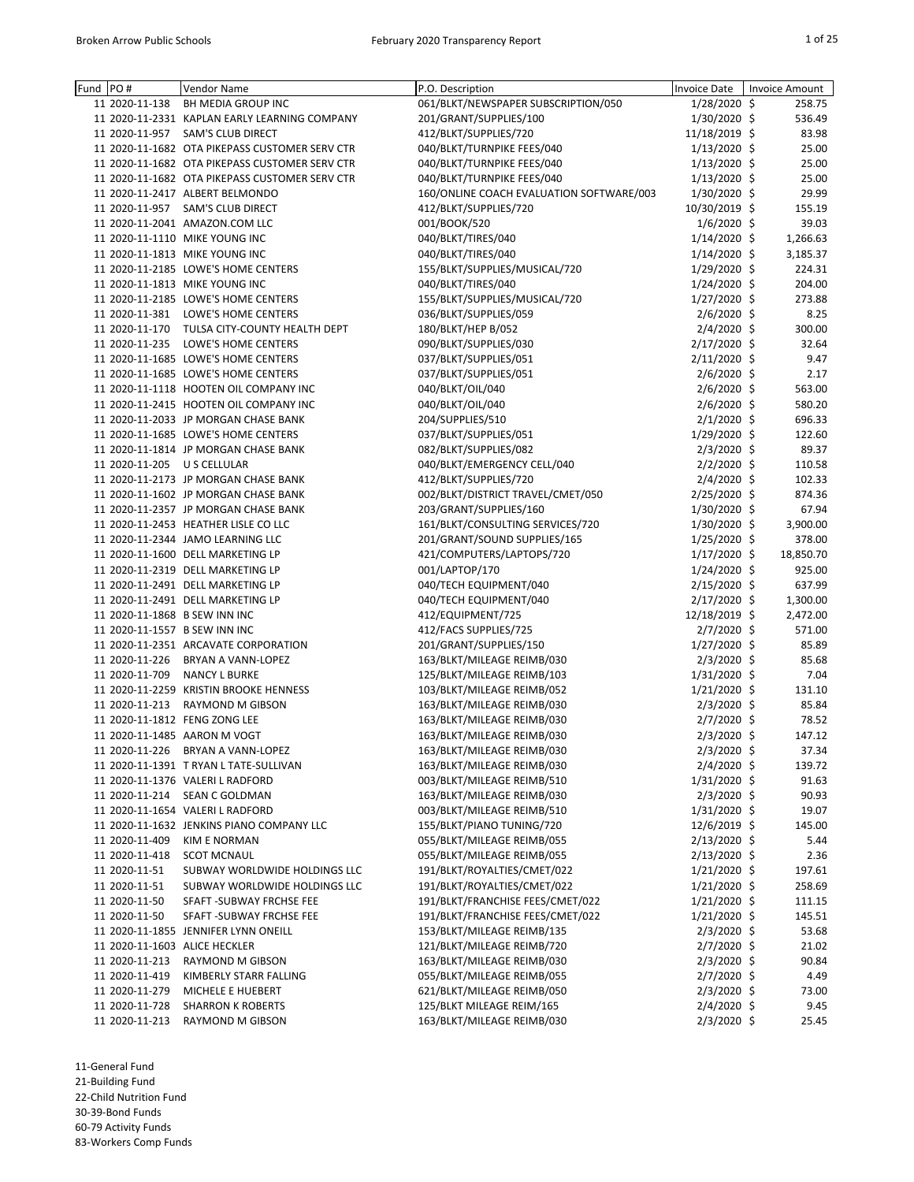| Fund | PO#            | Vendor Name                                    | P.O. Description                         | <b>Invoice Date</b> | <b>Invoice Amount</b> |
|------|----------------|------------------------------------------------|------------------------------------------|---------------------|-----------------------|
|      |                | <b>BH MEDIA GROUP INC</b>                      |                                          |                     |                       |
|      | 11 2020-11-138 |                                                | 061/BLKT/NEWSPAPER SUBSCRIPTION/050      | $1/28/2020$ \$      | 258.75                |
|      |                | 11 2020-11-2331 KAPLAN EARLY LEARNING COMPANY  | 201/GRANT/SUPPLIES/100                   | 1/30/2020 \$        | 536.49                |
|      | 11 2020-11-957 | <b>SAM'S CLUB DIRECT</b>                       | 412/BLKT/SUPPLIES/720                    | 11/18/2019 \$       | 83.98                 |
|      |                | 11 2020-11-1682 OTA PIKEPASS CUSTOMER SERV CTR | 040/BLKT/TURNPIKE FEES/040               | $1/13/2020$ \$      | 25.00                 |
|      |                | 11 2020-11-1682 OTA PIKEPASS CUSTOMER SERV CTR | 040/BLKT/TURNPIKE FEES/040               | $1/13/2020$ \$      | 25.00                 |
|      |                | 11 2020-11-1682 OTA PIKEPASS CUSTOMER SERV CTR | 040/BLKT/TURNPIKE FEES/040               | $1/13/2020$ \$      | 25.00                 |
|      |                | 11 2020-11-2417 ALBERT BELMONDO                | 160/ONLINE COACH EVALUATION SOFTWARE/003 | 1/30/2020 \$        | 29.99                 |
|      | 11 2020-11-957 | <b>SAM'S CLUB DIRECT</b>                       | 412/BLKT/SUPPLIES/720                    | 10/30/2019 \$       | 155.19                |
|      |                | 11 2020-11-2041 AMAZON.COM LLC                 | 001/BOOK/520                             | $1/6/2020$ \$       | 39.03                 |
|      |                | 11 2020-11-1110 MIKE YOUNG INC                 | 040/BLKT/TIRES/040                       | $1/14/2020$ \$      | 1,266.63              |
|      |                | 11 2020-11-1813 MIKE YOUNG INC                 | 040/BLKT/TIRES/040                       | $1/14/2020$ \$      | 3,185.37              |
|      |                | 11 2020-11-2185 LOWE'S HOME CENTERS            | 155/BLKT/SUPPLIES/MUSICAL/720            | 1/29/2020 \$        | 224.31                |
|      |                | 11 2020-11-1813 MIKE YOUNG INC                 | 040/BLKT/TIRES/040                       | $1/24/2020$ \$      | 204.00                |
|      |                | 11 2020-11-2185 LOWE'S HOME CENTERS            | 155/BLKT/SUPPLIES/MUSICAL/720            | $1/27/2020$ \$      | 273.88                |
|      | 11 2020-11-381 | LOWE'S HOME CENTERS                            | 036/BLKT/SUPPLIES/059                    | $2/6/2020$ \$       | 8.25                  |
|      | 11 2020-11-170 | TULSA CITY-COUNTY HEALTH DEPT                  | 180/BLKT/HEP B/052                       | $2/4/2020$ \$       | 300.00                |
|      | 11 2020-11-235 | LOWE'S HOME CENTERS                            | 090/BLKT/SUPPLIES/030                    | $2/17/2020$ \$      | 32.64                 |
|      |                | 11 2020-11-1685 LOWE'S HOME CENTERS            | 037/BLKT/SUPPLIES/051                    | $2/11/2020$ \$      | 9.47                  |
|      |                | 11 2020-11-1685 LOWE'S HOME CENTERS            | 037/BLKT/SUPPLIES/051                    | $2/6/2020$ \$       | 2.17                  |
|      |                | 11 2020-11-1118 HOOTEN OIL COMPANY INC         | 040/BLKT/OIL/040                         | $2/6/2020$ \$       | 563.00                |
|      |                | 11 2020-11-2415 HOOTEN OIL COMPANY INC         | 040/BLKT/OIL/040                         | $2/6/2020$ \$       | 580.20                |
|      |                | 11 2020-11-2033 JP MORGAN CHASE BANK           | 204/SUPPLIES/510                         | $2/1/2020$ \$       | 696.33                |
|      |                | 11 2020-11-1685 LOWE'S HOME CENTERS            | 037/BLKT/SUPPLIES/051                    | 1/29/2020 \$        | 122.60                |
|      |                | 11 2020-11-1814 JP MORGAN CHASE BANK           | 082/BLKT/SUPPLIES/082                    | $2/3/2020$ \$       | 89.37                 |
|      | 11 2020-11-205 | U S CELLULAR                                   | 040/BLKT/EMERGENCY CELL/040              | $2/2/2020$ \$       | 110.58                |
|      |                | 11 2020-11-2173 JP MORGAN CHASE BANK           | 412/BLKT/SUPPLIES/720                    | $2/4/2020$ \$       | 102.33                |
|      |                |                                                |                                          |                     |                       |
|      |                | 11 2020-11-1602 JP MORGAN CHASE BANK           | 002/BLKT/DISTRICT TRAVEL/CMET/050        | $2/25/2020$ \$      | 874.36                |
|      |                | 11 2020-11-2357 JP MORGAN CHASE BANK           | 203/GRANT/SUPPLIES/160                   | 1/30/2020 \$        | 67.94                 |
|      |                | 11 2020-11-2453 HEATHER LISLE CO LLC           | 161/BLKT/CONSULTING SERVICES/720         | $1/30/2020$ \$      | 3,900.00              |
|      |                | 11 2020-11-2344 JAMO LEARNING LLC              | 201/GRANT/SOUND SUPPLIES/165             | $1/25/2020$ \$      | 378.00                |
|      |                | 11 2020-11-1600 DELL MARKETING LP              | 421/COMPUTERS/LAPTOPS/720                | $1/17/2020$ \$      | 18,850.70             |
|      |                | 11 2020-11-2319 DELL MARKETING LP              | 001/LAPTOP/170                           | $1/24/2020$ \$      | 925.00                |
|      |                | 11 2020-11-2491 DELL MARKETING LP              | 040/TECH EQUIPMENT/040                   | $2/15/2020$ \$      | 637.99                |
|      |                | 11 2020-11-2491 DELL MARKETING LP              | 040/TECH EQUIPMENT/040                   | 2/17/2020 \$        | 1,300.00              |
|      |                | 11 2020-11-1868 B SEW INN INC                  | 412/EQUIPMENT/725                        | 12/18/2019 \$       | 2,472.00              |
|      |                | 11 2020-11-1557 B SEW INN INC                  | 412/FACS SUPPLIES/725                    | $2/7/2020$ \$       | 571.00                |
|      |                | 11 2020-11-2351 ARCAVATE CORPORATION           | 201/GRANT/SUPPLIES/150                   | $1/27/2020$ \$      | 85.89                 |
|      | 11 2020-11-226 | <b>BRYAN A VANN-LOPEZ</b>                      | 163/BLKT/MILEAGE REIMB/030               | $2/3/2020$ \$       | 85.68                 |
|      | 11 2020-11-709 | <b>NANCY L BURKE</b>                           | 125/BLKT/MILEAGE REIMB/103               | $1/31/2020$ \$      | 7.04                  |
|      |                | 11 2020-11-2259 KRISTIN BROOKE HENNESS         | 103/BLKT/MILEAGE REIMB/052               | $1/21/2020$ \$      | 131.10                |
|      | 11 2020-11-213 | RAYMOND M GIBSON                               | 163/BLKT/MILEAGE REIMB/030               | $2/3/2020$ \$       | 85.84                 |
|      |                | 11 2020-11-1812 FENG ZONG LEE                  | 163/BLKT/MILEAGE REIMB/030               | $2/7/2020$ \$       | 78.52                 |
|      |                | 11 2020-11-1485 AARON M VOGT                   | 163/BLKT/MILEAGE REIMB/030               | $2/3/2020$ \$       | 147.12                |
|      | 11 2020-11-226 | BRYAN A VANN-LOPEZ                             | 163/BLKT/MILEAGE REIMB/030               | $2/3/2020$ \$       | 37.34                 |
|      |                | 11 2020-11-1391 T RYAN L TATE-SULLIVAN         | 163/BLKT/MILEAGE REIMB/030               | $2/4/2020$ \$       | 139.72                |
|      |                | 11 2020-11-1376 VALERI L RADFORD               | 003/BLKT/MILEAGE REIMB/510               | $1/31/2020$ \$      | 91.63                 |
|      | 11 2020-11-214 | <b>SEAN C GOLDMAN</b>                          | 163/BLKT/MILEAGE REIMB/030               | $2/3/2020$ \$       | 90.93                 |
|      |                | 11 2020-11-1654 VALERI L RADFORD               | 003/BLKT/MILEAGE REIMB/510               | $1/31/2020$ \$      | 19.07                 |
|      |                | 11 2020-11-1632 JENKINS PIANO COMPANY LLC      | 155/BLKT/PIANO TUNING/720                | 12/6/2019 \$        | 145.00                |
|      | 11 2020-11-409 | <b>KIM E NORMAN</b>                            | 055/BLKT/MILEAGE REIMB/055               | $2/13/2020$ \$      | 5.44                  |
|      | 11 2020-11-418 | <b>SCOT MCNAUL</b>                             | 055/BLKT/MILEAGE REIMB/055               | $2/13/2020$ \$      | 2.36                  |
|      | 11 2020-11-51  | SUBWAY WORLDWIDE HOLDINGS LLC                  | 191/BLKT/ROYALTIES/CMET/022              | $1/21/2020$ \$      | 197.61                |
|      | 11 2020-11-51  | SUBWAY WORLDWIDE HOLDINGS LLC                  | 191/BLKT/ROYALTIES/CMET/022              | $1/21/2020$ \$      | 258.69                |
|      | 11 2020-11-50  | SFAFT - SUBWAY FRCHSE FEE                      | 191/BLKT/FRANCHISE FEES/CMET/022         | $1/21/2020$ \$      | 111.15                |
|      | 11 2020-11-50  | SFAFT - SUBWAY FRCHSE FEE                      | 191/BLKT/FRANCHISE FEES/CMET/022         | $1/21/2020$ \$      | 145.51                |
|      |                |                                                |                                          |                     |                       |
|      |                | 11 2020-11-1855 JENNIFER LYNN ONEILL           | 153/BLKT/MILEAGE REIMB/135               | $2/3/2020$ \$       | 53.68                 |
|      |                | 11 2020-11-1603 ALICE HECKLER                  | 121/BLKT/MILEAGE REIMB/720               | $2/7/2020$ \$       | 21.02                 |
|      | 11 2020-11-213 | RAYMOND M GIBSON                               | 163/BLKT/MILEAGE REIMB/030               | $2/3/2020$ \$       | 90.84                 |
|      | 11 2020-11-419 | KIMBERLY STARR FALLING                         | 055/BLKT/MILEAGE REIMB/055               | $2/7/2020$ \$       | 4.49                  |
|      | 11 2020-11-279 | MICHELE E HUEBERT                              | 621/BLKT/MILEAGE REIMB/050               | $2/3/2020$ \$       | 73.00                 |
|      | 11 2020-11-728 | <b>SHARRON K ROBERTS</b>                       | 125/BLKT MILEAGE REIM/165                | $2/4/2020$ \$       | 9.45                  |
|      | 11 2020-11-213 | RAYMOND M GIBSON                               | 163/BLKT/MILEAGE REIMB/030               | $2/3/2020$ \$       | 25.45                 |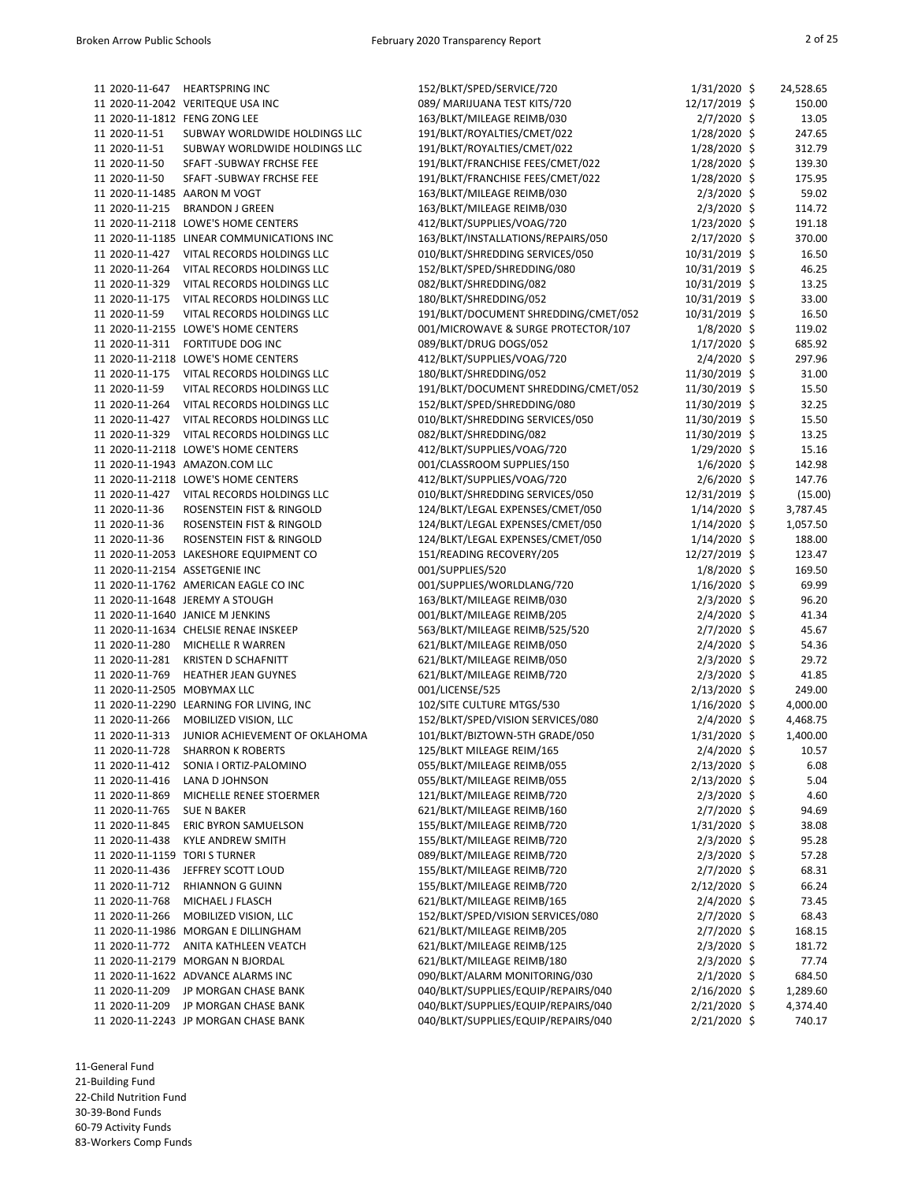| 11 2020-11-647                 | <b>HEARTSPRING INC</b>                    | 152/BLKT/SPED/SERVICE/720            | $1/31/2020$ \$ | 24,528.65 |
|--------------------------------|-------------------------------------------|--------------------------------------|----------------|-----------|
|                                | 11 2020-11-2042 VERITEQUE USA INC         | 089/ MARIJUANA TEST KITS/720         | 12/17/2019 \$  | 150.00    |
| 11 2020-11-1812 FENG ZONG LEE  |                                           | 163/BLKT/MILEAGE REIMB/030           | $2/7/2020$ \$  | 13.05     |
| 11 2020-11-51                  | SUBWAY WORLDWIDE HOLDINGS LLC             | 191/BLKT/ROYALTIES/CMET/022          | $1/28/2020$ \$ | 247.65    |
| 11 2020-11-51                  | SUBWAY WORLDWIDE HOLDINGS LLC             | 191/BLKT/ROYALTIES/CMET/022          | $1/28/2020$ \$ | 312.79    |
| 11 2020-11-50                  | SFAFT - SUBWAY FRCHSE FEE                 | 191/BLKT/FRANCHISE FEES/CMET/022     | 1/28/2020 \$   | 139.30    |
| 11 2020-11-50                  | SFAFT - SUBWAY FRCHSE FEE                 | 191/BLKT/FRANCHISE FEES/CMET/022     | $1/28/2020$ \$ | 175.95    |
| 11 2020-11-1485                | AARON M VOGT                              | 163/BLKT/MILEAGE REIMB/030           | $2/3/2020$ \$  | 59.02     |
| 11 2020-11-215                 | <b>BRANDON J GREEN</b>                    | 163/BLKT/MILEAGE REIMB/030           | $2/3/2020$ \$  | 114.72    |
|                                | 11 2020-11-2118 LOWE'S HOME CENTERS       | 412/BLKT/SUPPLIES/VOAG/720           | 1/23/2020 \$   | 191.18    |
|                                | 11 2020-11-1185 LINEAR COMMUNICATIONS INC | 163/BLKT/INSTALLATIONS/REPAIRS/050   | 2/17/2020 \$   | 370.00    |
| 11 2020-11-427                 | VITAL RECORDS HOLDINGS LLC                | 010/BLKT/SHREDDING SERVICES/050      | 10/31/2019 \$  | 16.50     |
| 11 2020-11-264                 | VITAL RECORDS HOLDINGS LLC                | 152/BLKT/SPED/SHREDDING/080          | 10/31/2019 \$  | 46.25     |
| 11 2020-11-329                 | VITAL RECORDS HOLDINGS LLC                | 082/BLKT/SHREDDING/082               | 10/31/2019 \$  | 13.25     |
| 11 2020-11-175                 | VITAL RECORDS HOLDINGS LLC                | 180/BLKT/SHREDDING/052               | 10/31/2019 \$  | 33.00     |
| 11 2020-11-59                  | VITAL RECORDS HOLDINGS LLC                | 191/BLKT/DOCUMENT SHREDDING/CMET/052 | 10/31/2019 \$  | 16.50     |
|                                | 11 2020-11-2155 LOWE'S HOME CENTERS       | 001/MICROWAVE & SURGE PROTECTOR/107  | $1/8/2020$ \$  | 119.02    |
| 11 2020-11-311                 | <b>FORTITUDE DOG INC</b>                  |                                      |                |           |
| 11 2020-11-2118                |                                           | 089/BLKT/DRUG DOGS/052               | $1/17/2020$ \$ | 685.92    |
|                                | LOWE'S HOME CENTERS                       | 412/BLKT/SUPPLIES/VOAG/720           | $2/4/2020$ \$  | 297.96    |
| 11 2020-11-175                 | VITAL RECORDS HOLDINGS LLC                | 180/BLKT/SHREDDING/052               | 11/30/2019 \$  | 31.00     |
| 11 2020-11-59                  | VITAL RECORDS HOLDINGS LLC                | 191/BLKT/DOCUMENT SHREDDING/CMET/052 | 11/30/2019 \$  | 15.50     |
| 11 2020-11-264                 | VITAL RECORDS HOLDINGS LLC                | 152/BLKT/SPED/SHREDDING/080          | 11/30/2019 \$  | 32.25     |
| 11 2020-11-427                 | VITAL RECORDS HOLDINGS LLC                | 010/BLKT/SHREDDING SERVICES/050      | 11/30/2019 \$  | 15.50     |
| 11 2020-11-329                 | VITAL RECORDS HOLDINGS LLC                | 082/BLKT/SHREDDING/082               | 11/30/2019 \$  | 13.25     |
|                                | 11 2020-11-2118 LOWE'S HOME CENTERS       | 412/BLKT/SUPPLIES/VOAG/720           | 1/29/2020 \$   | 15.16     |
|                                | 11 2020-11-1943 AMAZON.COM LLC            | 001/CLASSROOM SUPPLIES/150           | $1/6/2020$ \$  | 142.98    |
|                                | 11 2020-11-2118 LOWE'S HOME CENTERS       | 412/BLKT/SUPPLIES/VOAG/720           | $2/6/2020$ \$  | 147.76    |
| 11 2020-11-427                 | VITAL RECORDS HOLDINGS LLC                | 010/BLKT/SHREDDING SERVICES/050      | 12/31/2019 \$  | (15.00)   |
| 11 2020-11-36                  | ROSENSTEIN FIST & RINGOLD                 | 124/BLKT/LEGAL EXPENSES/CMET/050     | $1/14/2020$ \$ | 3,787.45  |
| 11 2020-11-36                  | ROSENSTEIN FIST & RINGOLD                 | 124/BLKT/LEGAL EXPENSES/CMET/050     | $1/14/2020$ \$ | 1,057.50  |
| 11 2020-11-36                  | ROSENSTEIN FIST & RINGOLD                 | 124/BLKT/LEGAL EXPENSES/CMET/050     | $1/14/2020$ \$ | 188.00    |
|                                | 11 2020-11-2053 LAKESHORE EQUIPMENT CO    | 151/READING RECOVERY/205             | 12/27/2019 \$  | 123.47    |
| 11 2020-11-2154 ASSETGENIE INC |                                           | 001/SUPPLIES/520                     | $1/8/2020$ \$  | 169.50    |
|                                | 11 2020-11-1762 AMERICAN EAGLE CO INC     | 001/SUPPLIES/WORLDLANG/720           | $1/16/2020$ \$ | 69.99     |
|                                | 11 2020-11-1648 JEREMY A STOUGH           | 163/BLKT/MILEAGE REIMB/030           | $2/3/2020$ \$  | 96.20     |
|                                | 11 2020-11-1640 JANICE M JENKINS          | 001/BLKT/MILEAGE REIMB/205           | $2/4/2020$ \$  | 41.34     |
|                                | 11 2020-11-1634 CHELSIE RENAE INSKEEP     | 563/BLKT/MILEAGE REIMB/525/520       | $2/7/2020$ \$  | 45.67     |
| 11 2020-11-280                 | MICHELLE R WARREN                         | 621/BLKT/MILEAGE REIMB/050           | $2/4/2020$ \$  | 54.36     |
| 11 2020-11-281                 | <b>KRISTEN D SCHAFNITT</b>                | 621/BLKT/MILEAGE REIMB/050           | $2/3/2020$ \$  | 29.72     |
| 11 2020-11-769                 | <b>HEATHER JEAN GUYNES</b>                | 621/BLKT/MILEAGE REIMB/720           | $2/3/2020$ \$  | 41.85     |
| 11 2020-11-2505 MOBYMAX LLC    |                                           | 001/LICENSE/525                      | 2/13/2020 \$   | 249.00    |
|                                | 11 2020-11-2290 LEARNING FOR LIVING, INC  | 102/SITE CULTURE MTGS/530            | $1/16/2020$ \$ | 4,000.00  |
| 11 2020-11-266                 | MOBILIZED VISION, LLC                     | 152/BLKT/SPED/VISION SERVICES/080    | $2/4/2020$ \$  | 4,468.75  |
| 11 2020-11-313                 | JUNIOR ACHIEVEMENT OF OKLAHOMA            | 101/BLKT/BIZTOWN-5TH GRADE/050       | $1/31/2020$ \$ | 1,400.00  |
| 11 2020-11-728                 | <b>SHARRON K ROBERTS</b>                  | 125/BLKT MILEAGE REIM/165            | $2/4/2020$ \$  | 10.57     |
| 11 2020-11-412                 | SONIA I ORTIZ-PALOMINO                    | 055/BLKT/MILEAGE REIMB/055           | $2/13/2020$ \$ | 6.08      |
| 11 2020-11-416                 | LANA D JOHNSON                            | 055/BLKT/MILEAGE REIMB/055           | $2/13/2020$ \$ | 5.04      |
| 11 2020-11-869                 | MICHELLE RENEE STOERMER                   | 121/BLKT/MILEAGE REIMB/720           | $2/3/2020$ \$  | 4.60      |
| 11 2020-11-765                 | <b>SUE N BAKER</b>                        | 621/BLKT/MILEAGE REIMB/160           | $2/7/2020$ \$  | 94.69     |
| 11 2020-11-845                 | ERIC BYRON SAMUELSON                      | 155/BLKT/MILEAGE REIMB/720           | $1/31/2020$ \$ | 38.08     |
| 11 2020-11-438                 | <b>KYLE ANDREW SMITH</b>                  | 155/BLKT/MILEAGE REIMB/720           | $2/3/2020$ \$  | 95.28     |
| 11 2020-11-1159 TORI S TURNER  |                                           | 089/BLKT/MILEAGE REIMB/720           | $2/3/2020$ \$  | 57.28     |
| 11 2020-11-436                 | JEFFREY SCOTT LOUD                        | 155/BLKT/MILEAGE REIMB/720           | $2/7/2020$ \$  | 68.31     |
| 11 2020-11-712                 | <b>RHIANNON G GUINN</b>                   | 155/BLKT/MILEAGE REIMB/720           | 2/12/2020 \$   | 66.24     |
| 11 2020-11-768                 | MICHAEL J FLASCH                          | 621/BLKT/MILEAGE REIMB/165           | $2/4/2020$ \$  | 73.45     |
| 11 2020-11-266                 | MOBILIZED VISION, LLC                     | 152/BLKT/SPED/VISION SERVICES/080    | $2/7/2020$ \$  | 68.43     |
|                                | 11 2020-11-1986 MORGAN E DILLINGHAM       | 621/BLKT/MILEAGE REIMB/205           | $2/7/2020$ \$  | 168.15    |
| 11 2020-11-772                 | ANITA KATHLEEN VEATCH                     | 621/BLKT/MILEAGE REIMB/125           | $2/3/2020$ \$  | 181.72    |
|                                | 11 2020-11-2179 MORGAN N BJORDAL          | 621/BLKT/MILEAGE REIMB/180           | $2/3/2020$ \$  | 77.74     |
|                                | 11 2020-11-1622 ADVANCE ALARMS INC        | 090/BLKT/ALARM MONITORING/030        | $2/1/2020$ \$  | 684.50    |
| 11 2020-11-209                 | JP MORGAN CHASE BANK                      | 040/BLKT/SUPPLIES/EQUIP/REPAIRS/040  | $2/16/2020$ \$ | 1,289.60  |
| 11 2020-11-209                 | JP MORGAN CHASE BANK                      | 040/BLKT/SUPPLIES/EQUIP/REPAIRS/040  | $2/21/2020$ \$ | 4,374.40  |
|                                | 11 2020-11-2243 JP MORGAN CHASE BANK      | 040/BLKT/SUPPLIES/EQUIP/REPAIRS/040  | 2/21/2020 \$   | 740.17    |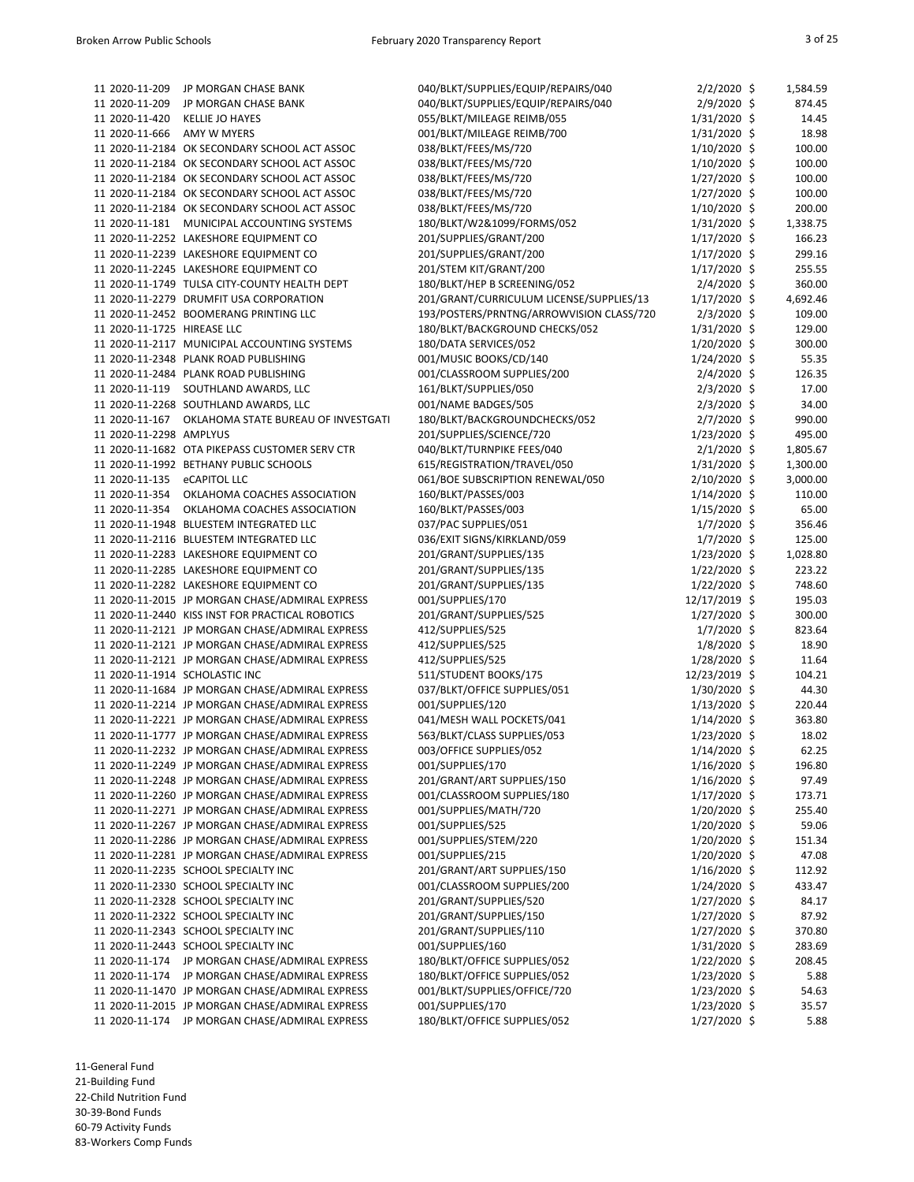| 11 2020-11-209                 | JP MORGAN CHASE BANK                             | 040/BLKT/SUPPLIES/EQUIP/REPAIRS/040      | $2/2/2020$ \$  | 1,584.59 |
|--------------------------------|--------------------------------------------------|------------------------------------------|----------------|----------|
| 11 2020-11-209                 | JP MORGAN CHASE BANK                             | 040/BLKT/SUPPLIES/EQUIP/REPAIRS/040      | $2/9/2020$ \$  | 874.45   |
| 11 2020-11-420                 | <b>KELLIE JO HAYES</b>                           | 055/BLKT/MILEAGE REIMB/055               | $1/31/2020$ \$ | 14.45    |
| 11 2020-11-666                 | AMY W MYERS                                      | 001/BLKT/MILEAGE REIMB/700               | $1/31/2020$ \$ | 18.98    |
|                                | 11 2020-11-2184 OK SECONDARY SCHOOL ACT ASSOC    | 038/BLKT/FEES/MS/720                     | $1/10/2020$ \$ | 100.00   |
|                                | 11 2020-11-2184 OK SECONDARY SCHOOL ACT ASSOC    |                                          | $1/10/2020$ \$ | 100.00   |
|                                |                                                  | 038/BLKT/FEES/MS/720                     |                |          |
|                                | 11 2020-11-2184 OK SECONDARY SCHOOL ACT ASSOC    | 038/BLKT/FEES/MS/720                     | 1/27/2020 \$   | 100.00   |
|                                | 11 2020-11-2184 OK SECONDARY SCHOOL ACT ASSOC    | 038/BLKT/FEES/MS/720                     | $1/27/2020$ \$ | 100.00   |
|                                | 11 2020-11-2184 OK SECONDARY SCHOOL ACT ASSOC    | 038/BLKT/FEES/MS/720                     | $1/10/2020$ \$ | 200.00   |
| 11 2020-11-181                 | MUNICIPAL ACCOUNTING SYSTEMS                     | 180/BLKT/W2&1099/FORMS/052               | $1/31/2020$ \$ | 1,338.75 |
|                                | 11 2020-11-2252 LAKESHORE EQUIPMENT CO           | 201/SUPPLIES/GRANT/200                   | $1/17/2020$ \$ | 166.23   |
|                                | 11 2020-11-2239 LAKESHORE EQUIPMENT CO           | 201/SUPPLIES/GRANT/200                   | $1/17/2020$ \$ | 299.16   |
|                                | 11 2020-11-2245 LAKESHORE EQUIPMENT CO           | 201/STEM KIT/GRANT/200                   | $1/17/2020$ \$ | 255.55   |
|                                | 11 2020-11-1749 TULSA CITY-COUNTY HEALTH DEPT    |                                          |                |          |
|                                |                                                  | 180/BLKT/HEP B SCREENING/052             | $2/4/2020$ \$  | 360.00   |
|                                | 11 2020-11-2279 DRUMFIT USA CORPORATION          | 201/GRANT/CURRICULUM LICENSE/SUPPLIES/13 | $1/17/2020$ \$ | 4,692.46 |
|                                | 11 2020-11-2452 BOOMERANG PRINTING LLC           | 193/POSTERS/PRNTNG/ARROWVISION CLASS/720 | $2/3/2020$ \$  | 109.00   |
| 11 2020-11-1725 HIREASE LLC    |                                                  | 180/BLKT/BACKGROUND CHECKS/052           | $1/31/2020$ \$ | 129.00   |
|                                | 11 2020-11-2117 MUNICIPAL ACCOUNTING SYSTEMS     | 180/DATA SERVICES/052                    | $1/20/2020$ \$ | 300.00   |
|                                | 11 2020-11-2348 PLANK ROAD PUBLISHING            | 001/MUSIC BOOKS/CD/140                   | $1/24/2020$ \$ | 55.35    |
|                                | 11 2020-11-2484 PLANK ROAD PUBLISHING            | 001/CLASSROOM SUPPLIES/200               | $2/4/2020$ \$  | 126.35   |
| 11 2020-11-119                 | SOUTHLAND AWARDS, LLC                            | 161/BLKT/SUPPLIES/050                    | $2/3/2020$ \$  | 17.00    |
|                                |                                                  |                                          |                | 34.00    |
|                                | 11 2020-11-2268 SOUTHLAND AWARDS, LLC            | 001/NAME BADGES/505                      | $2/3/2020$ \$  |          |
| 11 2020-11-167                 | OKLAHOMA STATE BUREAU OF INVESTGATI              | 180/BLKT/BACKGROUNDCHECKS/052            | $2/7/2020$ \$  | 990.00   |
| 11 2020-11-2298 AMPLYUS        |                                                  | 201/SUPPLIES/SCIENCE/720                 | $1/23/2020$ \$ | 495.00   |
|                                | 11 2020-11-1682 OTA PIKEPASS CUSTOMER SERV CTR   | 040/BLKT/TURNPIKE FEES/040               | $2/1/2020$ \$  | 1,805.67 |
|                                | 11 2020-11-1992 BETHANY PUBLIC SCHOOLS           | 615/REGISTRATION/TRAVEL/050              | 1/31/2020 \$   | 1,300.00 |
| 11 2020-11-135                 | eCAPITOL LLC                                     | 061/BOE SUBSCRIPTION RENEWAL/050         | 2/10/2020 \$   | 3,000.00 |
| 11 2020-11-354                 | OKLAHOMA COACHES ASSOCIATION                     | 160/BLKT/PASSES/003                      | $1/14/2020$ \$ | 110.00   |
| 11 2020-11-354                 | OKLAHOMA COACHES ASSOCIATION                     | 160/BLKT/PASSES/003                      | 1/15/2020 \$   | 65.00    |
|                                | 11 2020-11-1948 BLUESTEM INTEGRATED LLC          | 037/PAC SUPPLIES/051                     |                | 356.46   |
|                                |                                                  |                                          | $1/7/2020$ \$  |          |
|                                | 11 2020-11-2116 BLUESTEM INTEGRATED LLC          | 036/EXIT SIGNS/KIRKLAND/059              | $1/7/2020$ \$  | 125.00   |
|                                | 11 2020-11-2283 LAKESHORE EQUIPMENT CO           | 201/GRANT/SUPPLIES/135                   | 1/23/2020 \$   | 1,028.80 |
|                                | 11 2020-11-2285 LAKESHORE EQUIPMENT CO           | 201/GRANT/SUPPLIES/135                   | $1/22/2020$ \$ | 223.22   |
|                                | 11 2020-11-2282 LAKESHORE EQUIPMENT CO           | 201/GRANT/SUPPLIES/135                   | $1/22/2020$ \$ | 748.60   |
|                                | 11 2020-11-2015 JP MORGAN CHASE/ADMIRAL EXPRESS  | 001/SUPPLIES/170                         | 12/17/2019 \$  | 195.03   |
|                                | 11 2020-11-2440 KISS INST FOR PRACTICAL ROBOTICS | 201/GRANT/SUPPLIES/525                   | 1/27/2020 \$   | 300.00   |
|                                | 11 2020-11-2121 JP MORGAN CHASE/ADMIRAL EXPRESS  | 412/SUPPLIES/525                         | $1/7/2020$ \$  | 823.64   |
|                                | 11 2020-11-2121 JP MORGAN CHASE/ADMIRAL EXPRESS  | 412/SUPPLIES/525                         | $1/8/2020$ \$  | 18.90    |
|                                |                                                  |                                          |                |          |
|                                | 11 2020-11-2121 JP MORGAN CHASE/ADMIRAL EXPRESS  | 412/SUPPLIES/525                         | 1/28/2020 \$   | 11.64    |
| 11 2020-11-1914 SCHOLASTIC INC |                                                  | 511/STUDENT BOOKS/175                    | 12/23/2019 \$  | 104.21   |
|                                | 11 2020-11-1684 JP MORGAN CHASE/ADMIRAL EXPRESS  | 037/BLKT/OFFICE SUPPLIES/051             | 1/30/2020 \$   | 44.30    |
|                                | 11 2020-11-2214 JP MORGAN CHASE/ADMIRAL EXPRESS  | 001/SUPPLIES/120                         | $1/13/2020$ \$ | 220.44   |
|                                | 11 2020-11-2221 JP MORGAN CHASE/ADMIRAL EXPRESS  | 041/MESH WALL POCKETS/041                | $1/14/2020$ \$ | 363.80   |
|                                | 11 2020-11-1777 JP MORGAN CHASE/ADMIRAL EXPRESS  | 563/BLKT/CLASS SUPPLIES/053              | $1/23/2020$ \$ | 18.02    |
|                                | 11 2020-11-2232 JP MORGAN CHASE/ADMIRAL EXPRESS  | 003/OFFICE SUPPLIES/052                  | $1/14/2020$ \$ | 62.25    |
|                                | 11 2020-11-2249 JP MORGAN CHASE/ADMIRAL EXPRESS  | 001/SUPPLIES/170                         | $1/16/2020$ \$ | 196.80   |
|                                |                                                  |                                          |                | 97.49    |
|                                | 11 2020-11-2248 JP MORGAN CHASE/ADMIRAL EXPRESS  | 201/GRANT/ART SUPPLIES/150               | $1/16/2020$ \$ |          |
|                                | 11 2020-11-2260 JP MORGAN CHASE/ADMIRAL EXPRESS  | 001/CLASSROOM SUPPLIES/180               | 1/17/2020 \$   | 173.71   |
|                                | 11 2020-11-2271 JP MORGAN CHASE/ADMIRAL EXPRESS  | 001/SUPPLIES/MATH/720                    | $1/20/2020$ \$ | 255.40   |
|                                | 11 2020-11-2267 JP MORGAN CHASE/ADMIRAL EXPRESS  | 001/SUPPLIES/525                         | $1/20/2020$ \$ | 59.06    |
|                                | 11 2020-11-2286 JP MORGAN CHASE/ADMIRAL EXPRESS  | 001/SUPPLIES/STEM/220                    | $1/20/2020$ \$ | 151.34   |
|                                | 11 2020-11-2281 JP MORGAN CHASE/ADMIRAL EXPRESS  | 001/SUPPLIES/215                         | $1/20/2020$ \$ | 47.08    |
|                                | 11 2020-11-2235 SCHOOL SPECIALTY INC             | 201/GRANT/ART SUPPLIES/150               | $1/16/2020$ \$ | 112.92   |
|                                | 11 2020-11-2330 SCHOOL SPECIALTY INC             | 001/CLASSROOM SUPPLIES/200               | $1/24/2020$ \$ | 433.47   |
|                                | 11 2020-11-2328 SCHOOL SPECIALTY INC             | 201/GRANT/SUPPLIES/520                   | $1/27/2020$ \$ | 84.17    |
|                                |                                                  |                                          |                |          |
|                                | 11 2020-11-2322 SCHOOL SPECIALTY INC             | 201/GRANT/SUPPLIES/150                   | $1/27/2020$ \$ | 87.92    |
|                                | 11 2020-11-2343 SCHOOL SPECIALTY INC             | 201/GRANT/SUPPLIES/110                   | $1/27/2020$ \$ | 370.80   |
|                                | 11 2020-11-2443 SCHOOL SPECIALTY INC             | 001/SUPPLIES/160                         | $1/31/2020$ \$ | 283.69   |
|                                | 11 2020-11-174 JP MORGAN CHASE/ADMIRAL EXPRESS   | 180/BLKT/OFFICE SUPPLIES/052             | $1/22/2020$ \$ | 208.45   |
| 11 2020-11-174                 | JP MORGAN CHASE/ADMIRAL EXPRESS                  | 180/BLKT/OFFICE SUPPLIES/052             | $1/23/2020$ \$ | 5.88     |
|                                | 11 2020-11-1470 JP MORGAN CHASE/ADMIRAL EXPRESS  | 001/BLKT/SUPPLIES/OFFICE/720             | $1/23/2020$ \$ | 54.63    |
|                                | 11 2020-11-2015 JP MORGAN CHASE/ADMIRAL EXPRESS  | 001/SUPPLIES/170                         | $1/23/2020$ \$ | 35.57    |
|                                | 11 2020-11-174 JP MORGAN CHASE/ADMIRAL EXPRESS   | 180/BLKT/OFFICE SUPPLIES/052             | $1/27/2020$ \$ | 5.88     |
|                                |                                                  |                                          |                |          |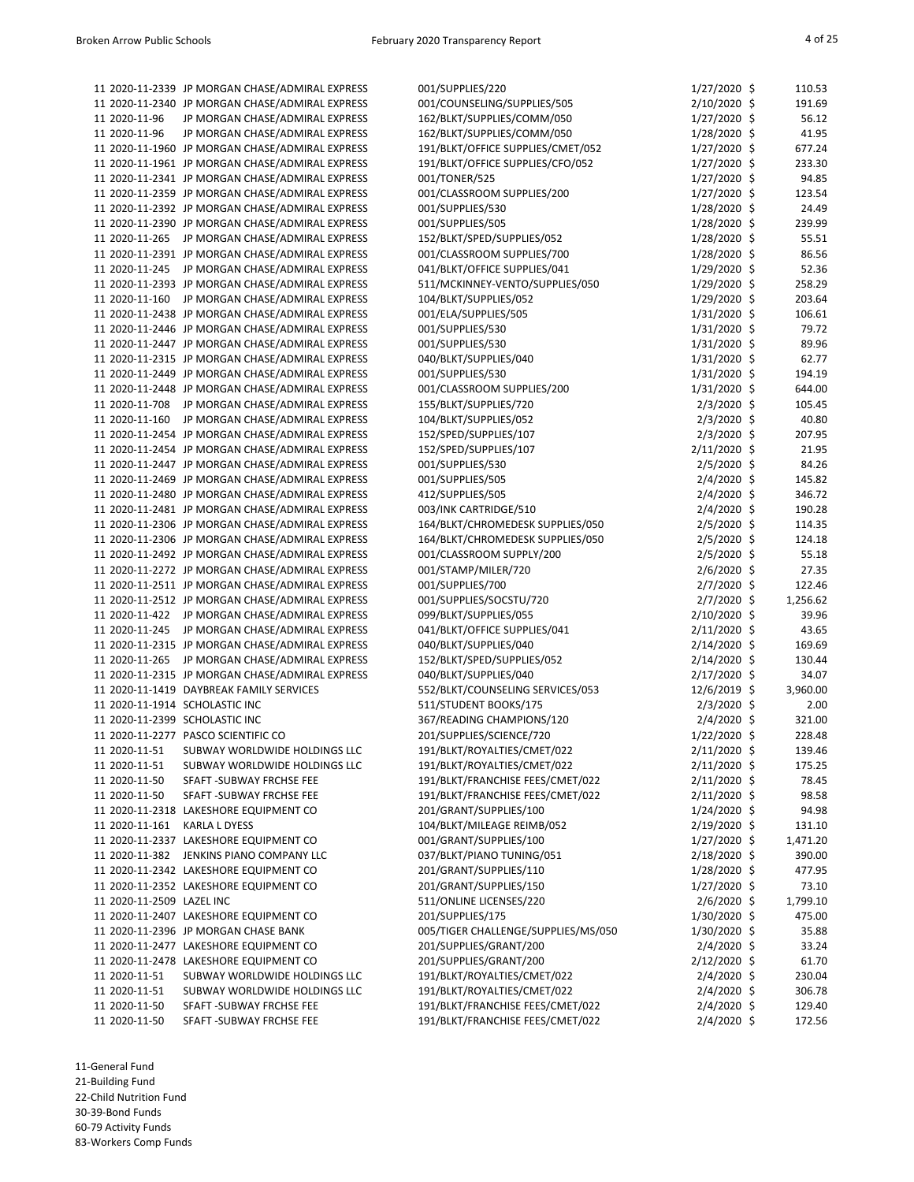|                                | 11 2020-11-2339 JP MORGAN CHASE/ADMIRAL EXPRESS                                                    | 001/SUPPLIES/220                                 | $1/27/2020$ \$                | 110.53          |
|--------------------------------|----------------------------------------------------------------------------------------------------|--------------------------------------------------|-------------------------------|-----------------|
|                                | 11 2020-11-2340 JP MORGAN CHASE/ADMIRAL EXPRESS                                                    | 001/COUNSELING/SUPPLIES/505                      | 2/10/2020 \$                  | 191.69          |
| 11 2020-11-96                  | JP MORGAN CHASE/ADMIRAL EXPRESS                                                                    | 162/BLKT/SUPPLIES/COMM/050                       | $1/27/2020$ \$                | 56.12           |
| 11 2020-11-96                  | JP MORGAN CHASE/ADMIRAL EXPRESS                                                                    | 162/BLKT/SUPPLIES/COMM/050                       | 1/28/2020 \$                  | 41.95           |
|                                | 11 2020-11-1960 JP MORGAN CHASE/ADMIRAL EXPRESS                                                    | 191/BLKT/OFFICE SUPPLIES/CMET/052                | $1/27/2020$ \$                | 677.24          |
|                                | 11 2020-11-1961 JP MORGAN CHASE/ADMIRAL EXPRESS                                                    | 191/BLKT/OFFICE SUPPLIES/CFO/052                 | $1/27/2020$ \$                | 233.30          |
|                                | 11 2020-11-2341 JP MORGAN CHASE/ADMIRAL EXPRESS                                                    | 001/TONER/525                                    | $1/27/2020$ \$                | 94.85           |
|                                | 11 2020-11-2359 JP MORGAN CHASE/ADMIRAL EXPRESS                                                    | 001/CLASSROOM SUPPLIES/200                       | $1/27/2020$ \$                | 123.54          |
|                                | 11 2020-11-2392 JP MORGAN CHASE/ADMIRAL EXPRESS                                                    | 001/SUPPLIES/530                                 | 1/28/2020 \$                  | 24.49           |
|                                | 11 2020-11-2390 JP MORGAN CHASE/ADMIRAL EXPRESS                                                    | 001/SUPPLIES/505                                 | 1/28/2020 \$                  | 239.99          |
| 11 2020-11-265                 | JP MORGAN CHASE/ADMIRAL EXPRESS                                                                    | 152/BLKT/SPED/SUPPLIES/052                       | 1/28/2020 \$                  | 55.51           |
|                                | 11 2020-11-2391 JP MORGAN CHASE/ADMIRAL EXPRESS                                                    | 001/CLASSROOM SUPPLIES/700                       | 1/28/2020 \$                  | 86.56           |
|                                | 11 2020-11-245 JP MORGAN CHASE/ADMIRAL EXPRESS                                                     | 041/BLKT/OFFICE SUPPLIES/041                     | 1/29/2020 \$                  | 52.36           |
|                                | 11 2020-11-2393 JP MORGAN CHASE/ADMIRAL EXPRESS                                                    | 511/MCKINNEY-VENTO/SUPPLIES/050                  | 1/29/2020 \$                  | 258.29          |
| 11 2020-11-160                 | JP MORGAN CHASE/ADMIRAL EXPRESS                                                                    | 104/BLKT/SUPPLIES/052                            | 1/29/2020 \$                  | 203.64          |
|                                | 11 2020-11-2438 JP MORGAN CHASE/ADMIRAL EXPRESS                                                    | 001/ELA/SUPPLIES/505                             | $1/31/2020$ \$                | 106.61          |
|                                | 11 2020-11-2446 JP MORGAN CHASE/ADMIRAL EXPRESS                                                    | 001/SUPPLIES/530                                 | $1/31/2020$ \$                | 79.72           |
|                                | 11 2020-11-2447 JP MORGAN CHASE/ADMIRAL EXPRESS                                                    | 001/SUPPLIES/530                                 | $1/31/2020$ \$                | 89.96           |
|                                | 11 2020-11-2315 JP MORGAN CHASE/ADMIRAL EXPRESS                                                    | 040/BLKT/SUPPLIES/040                            | 1/31/2020 \$                  | 62.77           |
|                                | 11 2020-11-2449 JP MORGAN CHASE/ADMIRAL EXPRESS                                                    | 001/SUPPLIES/530                                 | 1/31/2020 \$                  | 194.19          |
|                                | 11 2020-11-2448 JP MORGAN CHASE/ADMIRAL EXPRESS                                                    | 001/CLASSROOM SUPPLIES/200                       | 1/31/2020 \$                  | 644.00          |
| 11 2020-11-708                 | JP MORGAN CHASE/ADMIRAL EXPRESS                                                                    | 155/BLKT/SUPPLIES/720                            | $2/3/2020$ \$                 | 105.45          |
| 11 2020-11-160                 | JP MORGAN CHASE/ADMIRAL EXPRESS                                                                    | 104/BLKT/SUPPLIES/052                            | $2/3/2020$ \$                 | 40.80           |
|                                | 11 2020-11-2454 JP MORGAN CHASE/ADMIRAL EXPRESS                                                    | 152/SPED/SUPPLIES/107                            | $2/3/2020$ \$                 | 207.95          |
|                                | 11 2020-11-2454 JP MORGAN CHASE/ADMIRAL EXPRESS                                                    | 152/SPED/SUPPLIES/107                            | $2/11/2020$ \$                | 21.95           |
|                                | 11 2020-11-2447 JP MORGAN CHASE/ADMIRAL EXPRESS                                                    | 001/SUPPLIES/530                                 | $2/5/2020$ \$                 | 84.26           |
|                                | 11 2020-11-2469 JP MORGAN CHASE/ADMIRAL EXPRESS                                                    | 001/SUPPLIES/505                                 | $2/4/2020$ \$                 | 145.82          |
|                                | 11 2020-11-2480 JP MORGAN CHASE/ADMIRAL EXPRESS                                                    | 412/SUPPLIES/505                                 | $2/4/2020$ \$                 | 346.72          |
|                                | 11 2020-11-2481 JP MORGAN CHASE/ADMIRAL EXPRESS                                                    | 003/INK CARTRIDGE/510                            | $2/4/2020$ \$                 | 190.28          |
|                                | 11 2020-11-2306 JP MORGAN CHASE/ADMIRAL EXPRESS                                                    | 164/BLKT/CHROMEDESK SUPPLIES/050                 | $2/5/2020$ \$                 | 114.35          |
|                                | 11 2020-11-2306 JP MORGAN CHASE/ADMIRAL EXPRESS                                                    | 164/BLKT/CHROMEDESK SUPPLIES/050                 | $2/5/2020$ \$                 | 124.18          |
|                                | 11 2020-11-2492 JP MORGAN CHASE/ADMIRAL EXPRESS                                                    | 001/CLASSROOM SUPPLY/200                         | $2/5/2020$ \$                 | 55.18           |
|                                | 11 2020-11-2272 JP MORGAN CHASE/ADMIRAL EXPRESS                                                    | 001/STAMP/MILER/720<br>001/SUPPLIES/700          | $2/6/2020$ \$                 | 27.35<br>122.46 |
|                                | 11 2020-11-2511 JP MORGAN CHASE/ADMIRAL EXPRESS<br>11 2020-11-2512 JP MORGAN CHASE/ADMIRAL EXPRESS |                                                  | $2/7/2020$ \$                 | 1,256.62        |
|                                | 11 2020-11-422 JP MORGAN CHASE/ADMIRAL EXPRESS                                                     | 001/SUPPLIES/SOCSTU/720<br>099/BLKT/SUPPLIES/055 | $2/7/2020$ \$<br>2/10/2020 \$ | 39.96           |
|                                | 11 2020-11-245 JP MORGAN CHASE/ADMIRAL EXPRESS                                                     | 041/BLKT/OFFICE SUPPLIES/041                     | 2/11/2020 \$                  | 43.65           |
|                                | 11 2020-11-2315 JP MORGAN CHASE/ADMIRAL EXPRESS                                                    | 040/BLKT/SUPPLIES/040                            | $2/14/2020$ \$                | 169.69          |
|                                | 11 2020-11-265 JP MORGAN CHASE/ADMIRAL EXPRESS                                                     | 152/BLKT/SPED/SUPPLIES/052                       | 2/14/2020 \$                  | 130.44          |
|                                | 11 2020-11-2315 JP MORGAN CHASE/ADMIRAL EXPRESS                                                    | 040/BLKT/SUPPLIES/040                            | 2/17/2020 \$                  | 34.07           |
|                                | 11 2020-11-1419 DAYBREAK FAMILY SERVICES                                                           | 552/BLKT/COUNSELING SERVICES/053                 | 12/6/2019 \$                  | 3,960.00        |
| 11 2020-11-1914 SCHOLASTIC INC |                                                                                                    | 511/STUDENT BOOKS/175                            | $2/3/2020$ \$                 | 2.00            |
| 11 2020-11-2399 SCHOLASTIC INC |                                                                                                    | 367/READING CHAMPIONS/120                        | $2/4/2020$ \$                 | 321.00          |
|                                | 11 2020-11-2277 PASCO SCIENTIFIC CO                                                                | 201/SUPPLIES/SCIENCE/720                         | $1/22/2020$ \$                | 228.48          |
| 11 2020-11-51                  | SUBWAY WORLDWIDE HOLDINGS LLC                                                                      | 191/BLKT/ROYALTIES/CMET/022                      | $2/11/2020$ \$                | 139.46          |
| 11 2020-11-51                  | SUBWAY WORLDWIDE HOLDINGS LLC                                                                      | 191/BLKT/ROYALTIES/CMET/022                      | $2/11/2020$ \$                | 175.25          |
| 11 2020-11-50                  | SFAFT - SUBWAY FRCHSE FEE                                                                          | 191/BLKT/FRANCHISE FEES/CMET/022                 | $2/11/2020$ \$                | 78.45           |
| 11 2020-11-50                  | SFAFT - SUBWAY FRCHSE FEE                                                                          | 191/BLKT/FRANCHISE FEES/CMET/022                 | $2/11/2020$ \$                | 98.58           |
|                                | 11 2020-11-2318 LAKESHORE EQUIPMENT CO                                                             | 201/GRANT/SUPPLIES/100                           | $1/24/2020$ \$                | 94.98           |
| 11 2020-11-161                 | <b>KARLA L DYESS</b>                                                                               | 104/BLKT/MILEAGE REIMB/052                       | 2/19/2020 \$                  | 131.10          |
|                                | 11 2020-11-2337 LAKESHORE EQUIPMENT CO                                                             | 001/GRANT/SUPPLIES/100                           | $1/27/2020$ \$                | 1,471.20        |
| 11 2020-11-382                 | JENKINS PIANO COMPANY LLC                                                                          | 037/BLKT/PIANO TUNING/051                        | 2/18/2020 \$                  | 390.00          |
|                                | 11 2020-11-2342 LAKESHORE EQUIPMENT CO                                                             | 201/GRANT/SUPPLIES/110                           | $1/28/2020$ \$                | 477.95          |
|                                | 11 2020-11-2352 LAKESHORE EQUIPMENT CO                                                             | 201/GRANT/SUPPLIES/150                           | $1/27/2020$ \$                | 73.10           |
| 11 2020-11-2509 LAZEL INC      |                                                                                                    | 511/ONLINE LICENSES/220                          | $2/6/2020$ \$                 | 1,799.10        |
|                                | 11 2020-11-2407 LAKESHORE EQUIPMENT CO                                                             | 201/SUPPLIES/175                                 | 1/30/2020 \$                  | 475.00          |
|                                | 11 2020-11-2396 JP MORGAN CHASE BANK                                                               | 005/TIGER CHALLENGE/SUPPLIES/MS/050              | $1/30/2020$ \$                | 35.88           |
|                                | 11 2020-11-2477 LAKESHORE EQUIPMENT CO                                                             | 201/SUPPLIES/GRANT/200                           | $2/4/2020$ \$                 | 33.24           |
|                                | 11 2020-11-2478 LAKESHORE EQUIPMENT CO                                                             | 201/SUPPLIES/GRANT/200                           | $2/12/2020$ \$                | 61.70           |
| 11 2020-11-51                  | SUBWAY WORLDWIDE HOLDINGS LLC                                                                      | 191/BLKT/ROYALTIES/CMET/022                      | $2/4/2020$ \$                 | 230.04          |
| 11 2020-11-51                  | SUBWAY WORLDWIDE HOLDINGS LLC                                                                      | 191/BLKT/ROYALTIES/CMET/022                      | $2/4/2020$ \$                 | 306.78          |
| 11 2020-11-50                  | SFAFT - SUBWAY FRCHSE FEE                                                                          | 191/BLKT/FRANCHISE FEES/CMET/022                 | $2/4/2020$ \$                 | 129.40          |
| 11 2020-11-50                  | SFAFT - SUBWAY FRCHSE FEE                                                                          | 191/BLKT/FRANCHISE FEES/CMET/022                 | $2/4/2020$ \$                 | 172.56          |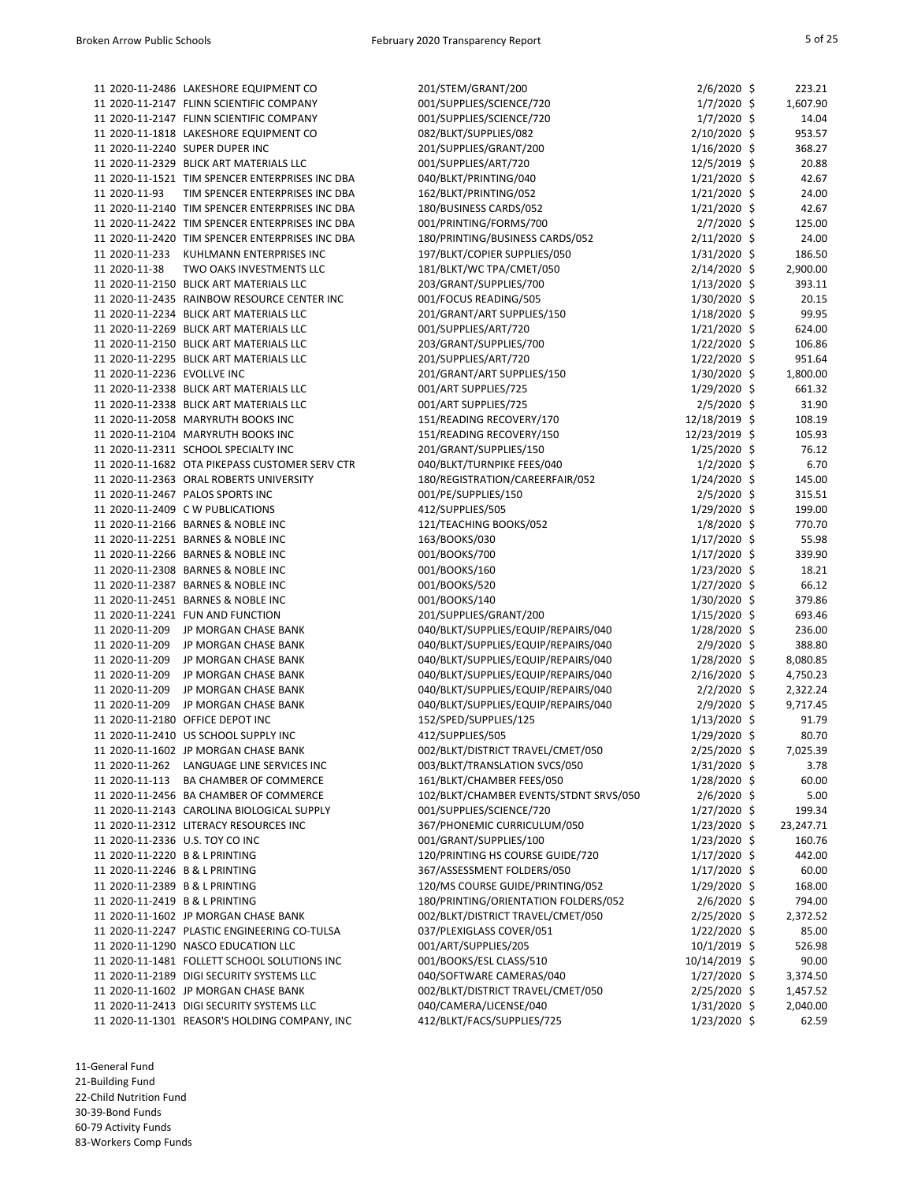|                                 | 11 2020-11-2486 LAKESHORE EQUIPMENT CO          | 201/STEM/GRANT/200                     | $2/6/2020$ \$  | 223.21    |
|---------------------------------|-------------------------------------------------|----------------------------------------|----------------|-----------|
|                                 | 11 2020-11-2147 FLINN SCIENTIFIC COMPANY        | 001/SUPPLIES/SCIENCE/720               | $1/7/2020$ \$  | 1,607.90  |
|                                 | 11 2020-11-2147 FLINN SCIENTIFIC COMPANY        | 001/SUPPLIES/SCIENCE/720               | $1/7/2020$ \$  | 14.04     |
|                                 | 11 2020-11-1818 LAKESHORE EQUIPMENT CO          | 082/BLKT/SUPPLIES/082                  | 2/10/2020 \$   | 953.57    |
|                                 | 11 2020-11-2240 SUPER DUPER INC                 | 201/SUPPLIES/GRANT/200                 | $1/16/2020$ \$ | 368.27    |
|                                 | 11 2020-11-2329 BLICK ART MATERIALS LLC         | 001/SUPPLIES/ART/720                   | 12/5/2019 \$   | 20.88     |
|                                 | 11 2020-11-1521 TIM SPENCER ENTERPRISES INC DBA | 040/BLKT/PRINTING/040                  | $1/21/2020$ \$ | 42.67     |
| 11 2020-11-93                   | TIM SPENCER ENTERPRISES INC DBA                 | 162/BLKT/PRINTING/052                  | $1/21/2020$ \$ | 24.00     |
|                                 | 11 2020-11-2140 TIM SPENCER ENTERPRISES INC DBA | 180/BUSINESS CARDS/052                 | $1/21/2020$ \$ | 42.67     |
|                                 | 11 2020-11-2422 TIM SPENCER ENTERPRISES INC DBA | 001/PRINTING/FORMS/700                 | $2/7/2020$ \$  | 125.00    |
|                                 | 11 2020-11-2420 TIM SPENCER ENTERPRISES INC DBA | 180/PRINTING/BUSINESS CARDS/052        | $2/11/2020$ \$ | 24.00     |
| 11 2020-11-233                  | KUHLMANN ENTERPRISES INC                        | 197/BLKT/COPIER SUPPLIES/050           | $1/31/2020$ \$ | 186.50    |
| 11 2020-11-38                   | TWO OAKS INVESTMENTS LLC                        | 181/BLKT/WC TPA/CMET/050               | $2/14/2020$ \$ | 2,900.00  |
|                                 | 11 2020-11-2150 BLICK ART MATERIALS LLC         | 203/GRANT/SUPPLIES/700                 | $1/13/2020$ \$ | 393.11    |
|                                 | 11 2020-11-2435 RAINBOW RESOURCE CENTER INC     | 001/FOCUS READING/505                  | 1/30/2020 \$   | 20.15     |
|                                 | 11 2020-11-2234 BLICK ART MATERIALS LLC         | 201/GRANT/ART SUPPLIES/150             | $1/18/2020$ \$ | 99.95     |
|                                 | 11 2020-11-2269 BLICK ART MATERIALS LLC         | 001/SUPPLIES/ART/720                   | $1/21/2020$ \$ | 624.00    |
|                                 | 11 2020-11-2150 BLICK ART MATERIALS LLC         | 203/GRANT/SUPPLIES/700                 | $1/22/2020$ \$ | 106.86    |
|                                 | 11 2020-11-2295 BLICK ART MATERIALS LLC         | 201/SUPPLIES/ART/720                   | $1/22/2020$ \$ | 951.64    |
| 11 2020-11-2236 EVOLLVE INC     |                                                 | 201/GRANT/ART SUPPLIES/150             |                |           |
|                                 |                                                 |                                        | 1/30/2020 \$   | 1,800.00  |
|                                 | 11 2020-11-2338 BLICK ART MATERIALS LLC         | 001/ART SUPPLIES/725                   | 1/29/2020 \$   | 661.32    |
|                                 | 11 2020-11-2338 BLICK ART MATERIALS LLC         | 001/ART SUPPLIES/725                   | $2/5/2020$ \$  | 31.90     |
|                                 | 11 2020-11-2058 MARYRUTH BOOKS INC              | 151/READING RECOVERY/170               | 12/18/2019 \$  | 108.19    |
|                                 | 11 2020-11-2104 MARYRUTH BOOKS INC              | 151/READING RECOVERY/150               | 12/23/2019 \$  | 105.93    |
|                                 | 11 2020-11-2311 SCHOOL SPECIALTY INC            | 201/GRANT/SUPPLIES/150                 | $1/25/2020$ \$ | 76.12     |
|                                 | 11 2020-11-1682 OTA PIKEPASS CUSTOMER SERV CTR  | 040/BLKT/TURNPIKE FEES/040             | $1/2/2020$ \$  | 6.70      |
|                                 | 11 2020-11-2363 ORAL ROBERTS UNIVERSITY         | 180/REGISTRATION/CAREERFAIR/052        | 1/24/2020 \$   | 145.00    |
|                                 | 11 2020-11-2467 PALOS SPORTS INC                | 001/PE/SUPPLIES/150                    | $2/5/2020$ \$  | 315.51    |
|                                 | 11 2020-11-2409 C W PUBLICATIONS                | 412/SUPPLIES/505                       | 1/29/2020 \$   | 199.00    |
|                                 | 11 2020-11-2166 BARNES & NOBLE INC              | 121/TEACHING BOOKS/052                 | $1/8/2020$ \$  | 770.70    |
|                                 | 11 2020-11-2251 BARNES & NOBLE INC              | 163/BOOKS/030                          | $1/17/2020$ \$ | 55.98     |
|                                 | 11 2020-11-2266 BARNES & NOBLE INC              | 001/BOOKS/700                          | 1/17/2020 \$   | 339.90    |
|                                 | 11 2020-11-2308 BARNES & NOBLE INC              | 001/BOOKS/160                          | $1/23/2020$ \$ | 18.21     |
|                                 | 11 2020-11-2387 BARNES & NOBLE INC              | 001/BOOKS/520                          | $1/27/2020$ \$ | 66.12     |
|                                 | 11 2020-11-2451 BARNES & NOBLE INC              | 001/BOOKS/140                          | 1/30/2020 \$   | 379.86    |
|                                 | 11 2020-11-2241 FUN AND FUNCTION                | 201/SUPPLIES/GRANT/200                 | $1/15/2020$ \$ | 693.46    |
| 11 2020-11-209                  | JP MORGAN CHASE BANK                            | 040/BLKT/SUPPLIES/EQUIP/REPAIRS/040    | 1/28/2020 \$   | 236.00    |
| 11 2020-11-209                  | JP MORGAN CHASE BANK                            | 040/BLKT/SUPPLIES/EQUIP/REPAIRS/040    | $2/9/2020$ \$  | 388.80    |
| 11 2020-11-209                  | JP MORGAN CHASE BANK                            | 040/BLKT/SUPPLIES/EQUIP/REPAIRS/040    | $1/28/2020$ \$ | 8,080.85  |
| 11 2020-11-209                  | JP MORGAN CHASE BANK                            | 040/BLKT/SUPPLIES/EQUIP/REPAIRS/040    | $2/16/2020$ \$ | 4,750.23  |
| 11 2020-11-209                  | JP MORGAN CHASE BANK                            | 040/BLKT/SUPPLIES/EQUIP/REPAIRS/040    | $2/2/2020$ \$  | 2,322.24  |
| 11 2020-11-209                  | JP MORGAN CHASE BANK                            | 040/BLKT/SUPPLIES/EQUIP/REPAIRS/040    | $2/9/2020$ \$  | 9,717.45  |
|                                 | 11 2020-11-2180 OFFICE DEPOT INC                | 152/SPED/SUPPLIES/125                  | $1/13/2020$ \$ | 91.79     |
|                                 | 11 2020-11-2410 US SCHOOL SUPPLY INC            | 412/SUPPLIES/505                       | $1/29/2020$ \$ | 80.70     |
|                                 | 11 2020-11-1602 JP MORGAN CHASE BANK            | 002/BLKT/DISTRICT TRAVEL/CMET/050      | $2/25/2020$ \$ | 7,025.39  |
| 11 2020-11-262                  | LANGUAGE LINE SERVICES INC                      | 003/BLKT/TRANSLATION SVCS/050          | 1/31/2020 \$   | 3.78      |
| 11 2020-11-113                  | BA CHAMBER OF COMMERCE                          | 161/BLKT/CHAMBER FEES/050              | $1/28/2020$ \$ | 60.00     |
|                                 | 11 2020-11-2456 BA CHAMBER OF COMMERCE          | 102/BLKT/CHAMBER EVENTS/STDNT SRVS/050 | 2/6/2020 \$    | 5.00      |
|                                 | 11 2020-11-2143 CAROLINA BIOLOGICAL SUPPLY      | 001/SUPPLIES/SCIENCE/720               | $1/27/2020$ \$ | 199.34    |
|                                 | 11 2020-11-2312 LITERACY RESOURCES INC          | 367/PHONEMIC CURRICULUM/050            | $1/23/2020$ \$ | 23,247.71 |
| 11 2020-11-2336 U.S. TOY CO INC |                                                 | 001/GRANT/SUPPLIES/100                 | $1/23/2020$ \$ | 160.76    |
| 11 2020-11-2220 B & L PRINTING  |                                                 | 120/PRINTING HS COURSE GUIDE/720       | $1/17/2020$ \$ | 442.00    |
| 11 2020-11-2246 B & L PRINTING  |                                                 | 367/ASSESSMENT FOLDERS/050             | $1/17/2020$ \$ | 60.00     |
| 11 2020-11-2389 B & L PRINTING  |                                                 | 120/MS COURSE GUIDE/PRINTING/052       | $1/29/2020$ \$ | 168.00    |
| 11 2020-11-2419 B & L PRINTING  |                                                 | 180/PRINTING/ORIENTATION FOLDERS/052   | $2/6/2020$ \$  | 794.00    |
|                                 | 11 2020-11-1602 JP MORGAN CHASE BANK            | 002/BLKT/DISTRICT TRAVEL/CMET/050      | 2/25/2020 \$   | 2,372.52  |
|                                 | 11 2020-11-2247 PLASTIC ENGINEERING CO-TULSA    | 037/PLEXIGLASS COVER/051               | $1/22/2020$ \$ | 85.00     |
|                                 | 11 2020-11-1290 NASCO EDUCATION LLC             | 001/ART/SUPPLIES/205                   | $10/1/2019$ \$ | 526.98    |
|                                 | 11 2020-11-1481 FOLLETT SCHOOL SOLUTIONS INC    | 001/BOOKS/ESL CLASS/510                | 10/14/2019 \$  | 90.00     |
|                                 | 11 2020-11-2189 DIGI SECURITY SYSTEMS LLC       | 040/SOFTWARE CAMERAS/040               | $1/27/2020$ \$ | 3,374.50  |
|                                 | 11 2020-11-1602 JP MORGAN CHASE BANK            | 002/BLKT/DISTRICT TRAVEL/CMET/050      | $2/25/2020$ \$ | 1,457.52  |
|                                 | 11 2020-11-2413 DIGI SECURITY SYSTEMS LLC       | 040/CAMERA/LICENSE/040                 | $1/31/2020$ \$ | 2,040.00  |
|                                 | 11 2020-11-1301 REASOR'S HOLDING COMPANY, INC   | 412/BLKT/FACS/SUPPLIES/725             | 1/23/2020 \$   | 62.59     |
|                                 |                                                 |                                        |                |           |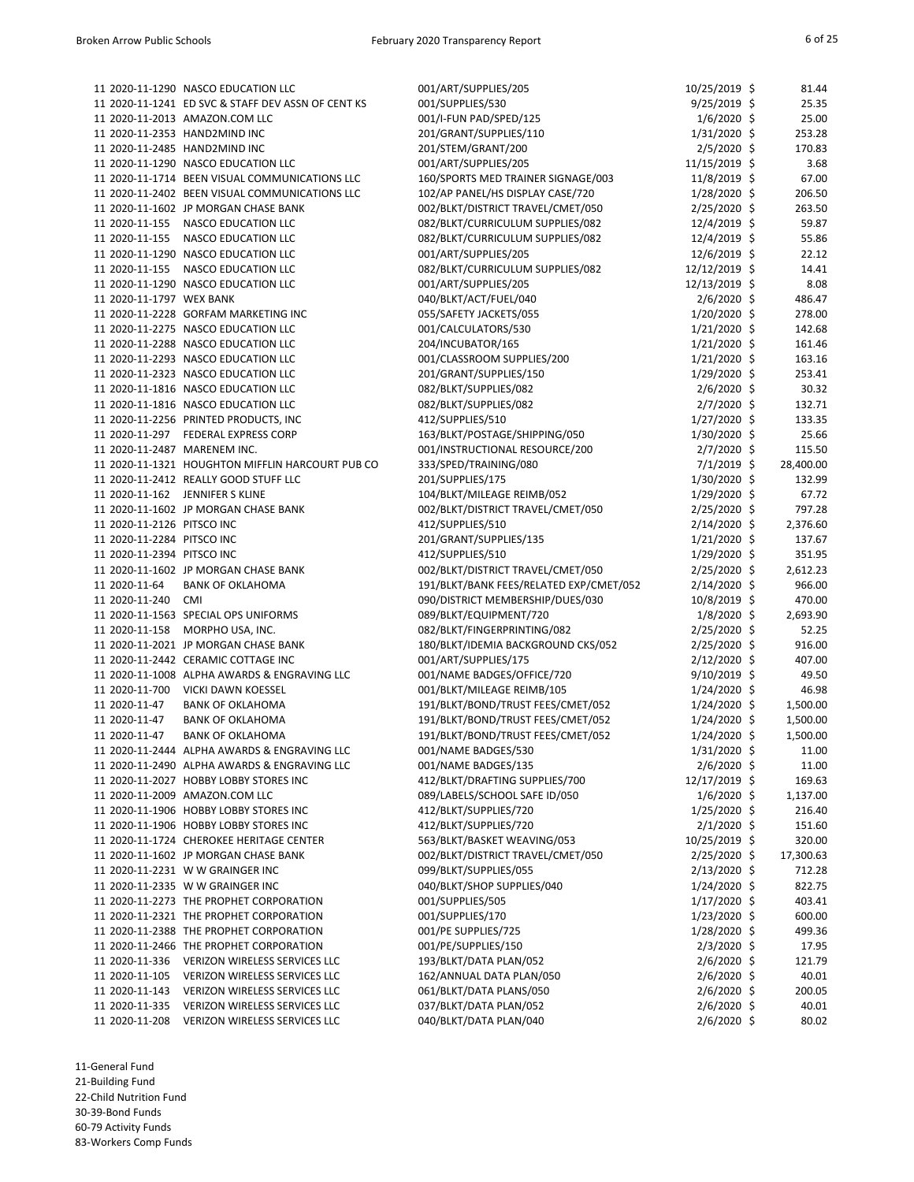|                              | 11 2020-11-1290 NASCO EDUCATION LLC                | 001/ART/SUPPLIES/205                    | 10/25/2019 \$  | 81.44     |
|------------------------------|----------------------------------------------------|-----------------------------------------|----------------|-----------|
|                              | 11 2020-11-1241 ED SVC & STAFF DEV ASSN OF CENT KS | 001/SUPPLIES/530                        | $9/25/2019$ \$ | 25.35     |
|                              | 11 2020-11-2013 AMAZON.COM LLC                     | 001/I-FUN PAD/SPED/125                  | $1/6/2020$ \$  | 25.00     |
|                              | 11 2020-11-2353 HAND2MIND INC                      | 201/GRANT/SUPPLIES/110                  | 1/31/2020 \$   | 253.28    |
|                              | 11 2020-11-2485 HAND2MIND INC                      | 201/STEM/GRANT/200                      | $2/5/2020$ \$  | 170.83    |
|                              | 11 2020-11-1290 NASCO EDUCATION LLC                | 001/ART/SUPPLIES/205                    | 11/15/2019 \$  | 3.68      |
|                              | 11 2020-11-1714 BEEN VISUAL COMMUNICATIONS LLC     | 160/SPORTS MED TRAINER SIGNAGE/003      | 11/8/2019 \$   | 67.00     |
|                              | 11 2020-11-2402 BEEN VISUAL COMMUNICATIONS LLC     | 102/AP PANEL/HS DISPLAY CASE/720        | $1/28/2020$ \$ | 206.50    |
|                              | 11 2020-11-1602 JP MORGAN CHASE BANK               | 002/BLKT/DISTRICT TRAVEL/CMET/050       | 2/25/2020 \$   | 263.50    |
| 11 2020-11-155               | <b>NASCO EDUCATION LLC</b>                         | 082/BLKT/CURRICULUM SUPPLIES/082        | 12/4/2019 \$   | 59.87     |
| 11 2020-11-155               | <b>NASCO EDUCATION LLC</b>                         | 082/BLKT/CURRICULUM SUPPLIES/082        | 12/4/2019 \$   | 55.86     |
|                              | 11 2020-11-1290 NASCO EDUCATION LLC                | 001/ART/SUPPLIES/205                    | 12/6/2019 \$   | 22.12     |
| 11 2020-11-155               | <b>NASCO EDUCATION LLC</b>                         | 082/BLKT/CURRICULUM SUPPLIES/082        | 12/12/2019 \$  | 14.41     |
|                              | 11 2020-11-1290 NASCO EDUCATION LLC                | 001/ART/SUPPLIES/205                    | 12/13/2019 \$  | 8.08      |
| 11 2020-11-1797 WEX BANK     |                                                    | 040/BLKT/ACT/FUEL/040                   | $2/6/2020$ \$  | 486.47    |
|                              | 11 2020-11-2228 GORFAM MARKETING INC               | 055/SAFETY JACKETS/055                  | 1/20/2020 \$   | 278.00    |
|                              | 11 2020-11-2275 NASCO EDUCATION LLC                | 001/CALCULATORS/530                     | 1/21/2020 \$   | 142.68    |
|                              | 11 2020-11-2288 NASCO EDUCATION LLC                | 204/INCUBATOR/165                       | $1/21/2020$ \$ | 161.46    |
|                              | 11 2020-11-2293 NASCO EDUCATION LLC                | 001/CLASSROOM SUPPLIES/200              | $1/21/2020$ \$ | 163.16    |
|                              | 11 2020-11-2323 NASCO EDUCATION LLC                | 201/GRANT/SUPPLIES/150                  | 1/29/2020 \$   | 253.41    |
|                              | 11 2020-11-1816 NASCO EDUCATION LLC                | 082/BLKT/SUPPLIES/082                   | 2/6/2020 \$    | 30.32     |
|                              |                                                    |                                         |                |           |
|                              | 11 2020-11-1816 NASCO EDUCATION LLC                | 082/BLKT/SUPPLIES/082                   | $2/7/2020$ \$  | 132.71    |
|                              | 11 2020-11-2256 PRINTED PRODUCTS, INC              | 412/SUPPLIES/510                        | $1/27/2020$ \$ | 133.35    |
| 11 2020-11-297               | <b>FEDERAL EXPRESS CORP</b>                        | 163/BLKT/POSTAGE/SHIPPING/050           | 1/30/2020 \$   | 25.66     |
| 11 2020-11-2487 MARENEM INC. |                                                    | 001/INSTRUCTIONAL RESOURCE/200          | $2/7/2020$ \$  | 115.50    |
|                              | 11 2020-11-1321 HOUGHTON MIFFLIN HARCOURT PUB CO   | 333/SPED/TRAINING/080                   | $7/1/2019$ \$  | 28,400.00 |
|                              | 11 2020-11-2412 REALLY GOOD STUFF LLC              | 201/SUPPLIES/175                        | 1/30/2020 \$   | 132.99    |
| 11 2020-11-162               | JENNIFER S KLINE                                   | 104/BLKT/MILEAGE REIMB/052              | $1/29/2020$ \$ | 67.72     |
|                              | 11 2020-11-1602 JP MORGAN CHASE BANK               | 002/BLKT/DISTRICT TRAVEL/CMET/050       | 2/25/2020 \$   | 797.28    |
| 11 2020-11-2126 PITSCO INC   |                                                    | 412/SUPPLIES/510                        | $2/14/2020$ \$ | 2,376.60  |
| 11 2020-11-2284 PITSCO INC   |                                                    | 201/GRANT/SUPPLIES/135                  | $1/21/2020$ \$ | 137.67    |
| 11 2020-11-2394 PITSCO INC   |                                                    | 412/SUPPLIES/510                        | 1/29/2020 \$   | 351.95    |
|                              | 11 2020-11-1602 JP MORGAN CHASE BANK               | 002/BLKT/DISTRICT TRAVEL/CMET/050       | $2/25/2020$ \$ | 2,612.23  |
| 11 2020-11-64                | <b>BANK OF OKLAHOMA</b>                            | 191/BLKT/BANK FEES/RELATED EXP/CMET/052 | $2/14/2020$ \$ | 966.00    |
| 11 2020-11-240               | CMI                                                | 090/DISTRICT MEMBERSHIP/DUES/030        | 10/8/2019 \$   | 470.00    |
|                              | 11 2020-11-1563 SPECIAL OPS UNIFORMS               | 089/BLKT/EQUIPMENT/720                  | $1/8/2020$ \$  | 2,693.90  |
| 11 2020-11-158               | MORPHO USA, INC.                                   | 082/BLKT/FINGERPRINTING/082             | 2/25/2020 \$   | 52.25     |
|                              | 11 2020-11-2021 JP MORGAN CHASE BANK               | 180/BLKT/IDEMIA BACKGROUND CKS/052      | $2/25/2020$ \$ | 916.00    |
|                              | 11 2020-11-2442 CERAMIC COTTAGE INC                | 001/ART/SUPPLIES/175                    | $2/12/2020$ \$ | 407.00    |
|                              | 11 2020-11-1008 ALPHA AWARDS & ENGRAVING LLC       | 001/NAME BADGES/OFFICE/720              | $9/10/2019$ \$ | 49.50     |
| 11 2020-11-700               | <b>VICKI DAWN KOESSEL</b>                          | 001/BLKT/MILEAGE REIMB/105              | $1/24/2020$ \$ | 46.98     |
| 11 2020-11-47                | <b>BANK OF OKLAHOMA</b>                            | 191/BLKT/BOND/TRUST FEES/CMET/052       | $1/24/2020$ \$ | 1,500.00  |
| 11 2020-11-47                | <b>BANK OF OKLAHOMA</b>                            | 191/BLKT/BOND/TRUST FEES/CMET/052       | $1/24/2020$ \$ | 1,500.00  |
| 11 2020-11-47                | <b>BANK OF OKLAHOMA</b>                            | 191/BLKT/BOND/TRUST FEES/CMET/052       | $1/24/2020$ \$ | 1,500.00  |
|                              | 11 2020-11-2444 ALPHA AWARDS & ENGRAVING LLC       | 001/NAME BADGES/530                     | $1/31/2020$ \$ | 11.00     |
|                              | 11 2020-11-2490 ALPHA AWARDS & ENGRAVING LLC       | 001/NAME BADGES/135                     | $2/6/2020$ \$  | 11.00     |
|                              | 11 2020-11-2027 HOBBY LOBBY STORES INC             |                                         |                |           |
|                              |                                                    | 412/BLKT/DRAFTING SUPPLIES/700          | 12/17/2019 \$  | 169.63    |
|                              | 11 2020-11-2009 AMAZON.COM LLC                     | 089/LABELS/SCHOOL SAFE ID/050           | $1/6/2020$ \$  | 1,137.00  |
|                              | 11 2020-11-1906 HOBBY LOBBY STORES INC             | 412/BLKT/SUPPLIES/720                   | $1/25/2020$ \$ | 216.40    |
|                              | 11 2020-11-1906 HOBBY LOBBY STORES INC             | 412/BLKT/SUPPLIES/720                   | $2/1/2020$ \$  | 151.60    |
|                              | 11 2020-11-1724 CHEROKEE HERITAGE CENTER           | 563/BLKT/BASKET WEAVING/053             | 10/25/2019 \$  | 320.00    |
|                              | 11 2020-11-1602 JP MORGAN CHASE BANK               | 002/BLKT/DISTRICT TRAVEL/CMET/050       | $2/25/2020$ \$ | 17,300.63 |
|                              | 11 2020-11-2231 W W GRAINGER INC                   | 099/BLKT/SUPPLIES/055                   | $2/13/2020$ \$ | 712.28    |
|                              | 11 2020-11-2335 W W GRAINGER INC                   | 040/BLKT/SHOP SUPPLIES/040              | $1/24/2020$ \$ | 822.75    |
|                              | 11 2020-11-2273 THE PROPHET CORPORATION            | 001/SUPPLIES/505                        | $1/17/2020$ \$ | 403.41    |
|                              | 11 2020-11-2321 THE PROPHET CORPORATION            | 001/SUPPLIES/170                        | $1/23/2020$ \$ | 600.00    |
|                              | 11 2020-11-2388 THE PROPHET CORPORATION            | 001/PE SUPPLIES/725                     | 1/28/2020 \$   | 499.36    |
|                              | 11 2020-11-2466 THE PROPHET CORPORATION            | 001/PE/SUPPLIES/150                     | $2/3/2020$ \$  | 17.95     |
| 11 2020-11-336               | <b>VERIZON WIRELESS SERVICES LLC</b>               | 193/BLKT/DATA PLAN/052                  | $2/6/2020$ \$  | 121.79    |
| 11 2020-11-105               | VERIZON WIRELESS SERVICES LLC                      | 162/ANNUAL DATA PLAN/050                | $2/6/2020$ \$  | 40.01     |
| 11 2020-11-143               | VERIZON WIRELESS SERVICES LLC                      | 061/BLKT/DATA PLANS/050                 | $2/6/2020$ \$  | 200.05    |
| 11 2020-11-335               | VERIZON WIRELESS SERVICES LLC                      | 037/BLKT/DATA PLAN/052                  | 2/6/2020 \$    | 40.01     |
| 11 2020-11-208               | VERIZON WIRELESS SERVICES LLC                      | 040/BLKT/DATA PLAN/040                  | 2/6/2020 \$    | 80.02     |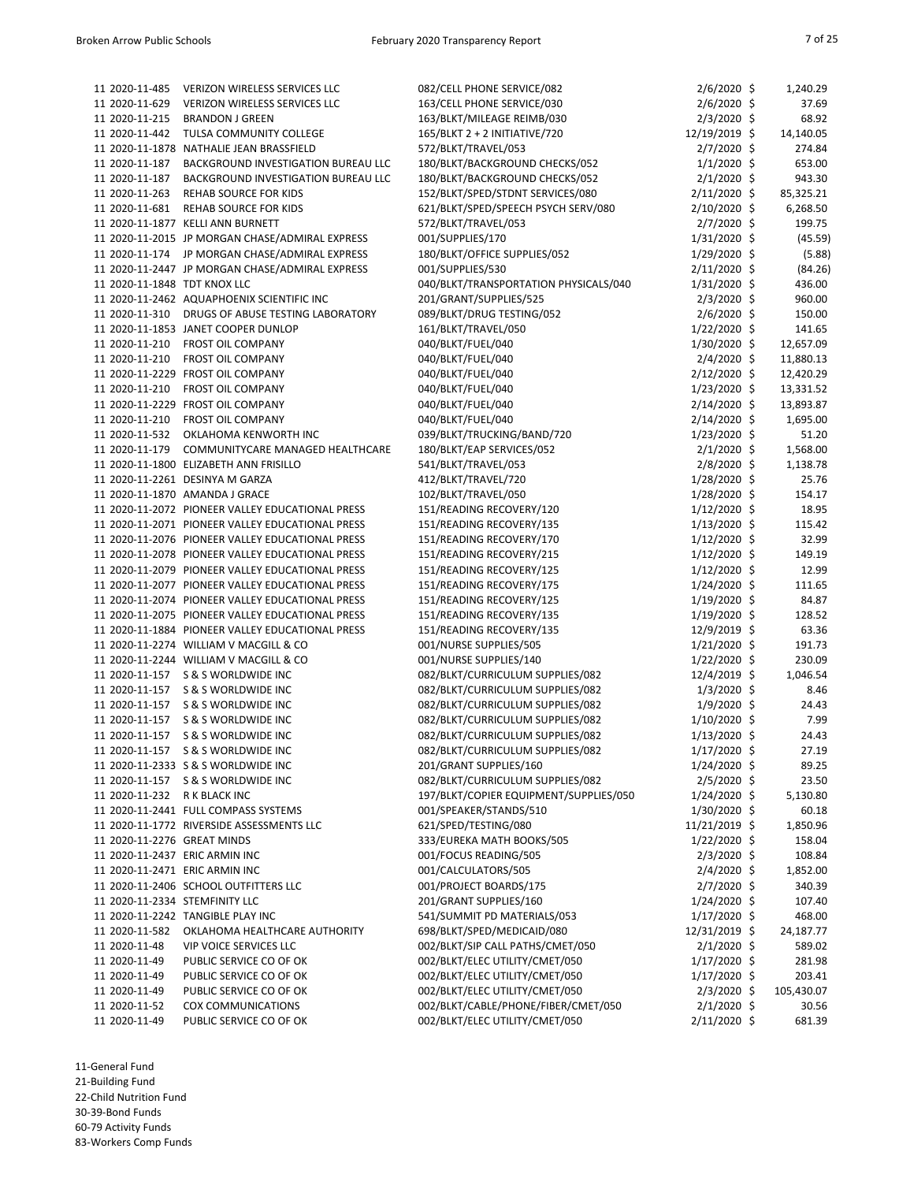| 11 2020-11-485                 | <b>VERIZON WIRELESS SERVICES LLC</b>                                                                 | 082/CELL PHONE SERVICE/082                                       | $2/6/2020$ \$                  | 1,240.29         |
|--------------------------------|------------------------------------------------------------------------------------------------------|------------------------------------------------------------------|--------------------------------|------------------|
| 11 2020-11-629                 | <b>VERIZON WIRELESS SERVICES LLC</b>                                                                 | 163/CELL PHONE SERVICE/030                                       | $2/6/2020$ \$                  | 37.69            |
| 11 2020-11-215                 | <b>BRANDON J GREEN</b>                                                                               | 163/BLKT/MILEAGE REIMB/030                                       | $2/3/2020$ \$                  | 68.92            |
| 11 2020-11-442                 | TULSA COMMUNITY COLLEGE                                                                              | 165/BLKT 2 + 2 INITIATIVE/720                                    | 12/19/2019 \$                  | 14,140.05        |
| 11 2020-11-187                 | 11 2020-11-1878 NATHALIE JEAN BRASSFIELD                                                             | 572/BLKT/TRAVEL/053                                              | $2/7/2020$ \$                  | 274.84           |
| 11 2020-11-187                 | BACKGROUND INVESTIGATION BUREAU LLC<br>BACKGROUND INVESTIGATION BUREAU LLC                           | 180/BLKT/BACKGROUND CHECKS/052<br>180/BLKT/BACKGROUND CHECKS/052 | $1/1/2020$ \$<br>$2/1/2020$ \$ | 653.00<br>943.30 |
| 11 2020-11-263                 | <b>REHAB SOURCE FOR KIDS</b>                                                                         | 152/BLKT/SPED/STDNT SERVICES/080                                 | $2/11/2020$ \$                 | 85,325.21        |
| 11 2020-11-681                 | <b>REHAB SOURCE FOR KIDS</b>                                                                         | 621/BLKT/SPED/SPEECH PSYCH SERV/080                              | 2/10/2020 \$                   | 6,268.50         |
|                                | 11 2020-11-1877 KELLI ANN BURNETT                                                                    | 572/BLKT/TRAVEL/053                                              | $2/7/2020$ \$                  | 199.75           |
|                                | 11 2020-11-2015 JP MORGAN CHASE/ADMIRAL EXPRESS                                                      | 001/SUPPLIES/170                                                 | $1/31/2020$ \$                 | (45.59)          |
| 11 2020-11-174                 | JP MORGAN CHASE/ADMIRAL EXPRESS                                                                      | 180/BLKT/OFFICE SUPPLIES/052                                     | $1/29/2020$ \$                 | (5.88)           |
|                                | 11 2020-11-2447 JP MORGAN CHASE/ADMIRAL EXPRESS                                                      | 001/SUPPLIES/530                                                 | $2/11/2020$ \$                 | (84.26)          |
| 11 2020-11-1848 TDT KNOX LLC   |                                                                                                      | 040/BLKT/TRANSPORTATION PHYSICALS/040                            | $1/31/2020$ \$                 | 436.00           |
|                                | 11 2020-11-2462 AQUAPHOENIX SCIENTIFIC INC                                                           | 201/GRANT/SUPPLIES/525                                           | $2/3/2020$ \$                  | 960.00           |
| 11 2020-11-310                 | DRUGS OF ABUSE TESTING LABORATORY                                                                    | 089/BLKT/DRUG TESTING/052                                        | $2/6/2020$ \$                  | 150.00           |
|                                | 11 2020-11-1853 JANET COOPER DUNLOP                                                                  | 161/BLKT/TRAVEL/050                                              | $1/22/2020$ \$                 | 141.65           |
| 11 2020-11-210                 | <b>FROST OIL COMPANY</b>                                                                             | 040/BLKT/FUEL/040                                                | $1/30/2020$ \$                 | 12,657.09        |
| 11 2020-11-210                 | <b>FROST OIL COMPANY</b>                                                                             | 040/BLKT/FUEL/040                                                | $2/4/2020$ \$                  | 11,880.13        |
|                                | 11 2020-11-2229 FROST OIL COMPANY                                                                    | 040/BLKT/FUEL/040                                                | $2/12/2020$ \$                 | 12,420.29        |
| 11 2020-11-210                 | <b>FROST OIL COMPANY</b>                                                                             | 040/BLKT/FUEL/040                                                | $1/23/2020$ \$                 | 13,331.52        |
|                                | 11 2020-11-2229 FROST OIL COMPANY                                                                    | 040/BLKT/FUEL/040                                                | 2/14/2020 \$                   | 13,893.87        |
| 11 2020-11-210                 | <b>FROST OIL COMPANY</b>                                                                             | 040/BLKT/FUEL/040                                                | $2/14/2020$ \$                 | 1,695.00         |
| 11 2020-11-532                 | OKLAHOMA KENWORTH INC                                                                                | 039/BLKT/TRUCKING/BAND/720                                       | $1/23/2020$ \$                 | 51.20            |
| 11 2020-11-179                 | COMMUNITYCARE MANAGED HEALTHCARE                                                                     | 180/BLKT/EAP SERVICES/052                                        | $2/1/2020$ \$                  | 1,568.00         |
|                                | 11 2020-11-1800 ELIZABETH ANN FRISILLO                                                               | 541/BLKT/TRAVEL/053                                              | $2/8/2020$ \$                  | 1,138.78         |
|                                | 11 2020-11-2261 DESINYA M GARZA                                                                      | 412/BLKT/TRAVEL/720                                              | 1/28/2020 \$                   | 25.76            |
|                                | 11 2020-11-1870 AMANDA J GRACE                                                                       | 102/BLKT/TRAVEL/050                                              | $1/28/2020$ \$                 | 154.17           |
|                                | 11 2020-11-2072 PIONEER VALLEY EDUCATIONAL PRESS                                                     | 151/READING RECOVERY/120                                         | $1/12/2020$ \$                 | 18.95            |
|                                | 11 2020-11-2071 PIONEER VALLEY EDUCATIONAL PRESS                                                     | 151/READING RECOVERY/135                                         | $1/13/2020$ \$                 | 115.42           |
|                                | 11 2020-11-2076 PIONEER VALLEY EDUCATIONAL PRESS                                                     | 151/READING RECOVERY/170                                         | $1/12/2020$ \$                 | 32.99            |
|                                | 11 2020-11-2078 PIONEER VALLEY EDUCATIONAL PRESS                                                     | 151/READING RECOVERY/215                                         | $1/12/2020$ \$                 | 149.19           |
|                                | 11 2020-11-2079 PIONEER VALLEY EDUCATIONAL PRESS                                                     | 151/READING RECOVERY/125                                         | $1/12/2020$ \$                 | 12.99            |
|                                | 11 2020-11-2077 PIONEER VALLEY EDUCATIONAL PRESS<br>11 2020-11-2074 PIONEER VALLEY EDUCATIONAL PRESS | 151/READING RECOVERY/175                                         | $1/24/2020$ \$                 | 111.65<br>84.87  |
|                                | 11 2020-11-2075 PIONEER VALLEY EDUCATIONAL PRESS                                                     | 151/READING RECOVERY/125<br>151/READING RECOVERY/135             | 1/19/2020 \$<br>$1/19/2020$ \$ | 128.52           |
|                                | 11 2020-11-1884 PIONEER VALLEY EDUCATIONAL PRESS                                                     | 151/READING RECOVERY/135                                         | 12/9/2019 \$                   | 63.36            |
|                                | 11 2020-11-2274 WILLIAM V MACGILL & CO                                                               | 001/NURSE SUPPLIES/505                                           | $1/21/2020$ \$                 | 191.73           |
|                                | 11 2020-11-2244 WILLIAM V MACGILL & CO                                                               | 001/NURSE SUPPLIES/140                                           | $1/22/2020$ \$                 | 230.09           |
|                                | 11 2020-11-157 S & S WORLDWIDE INC                                                                   | 082/BLKT/CURRICULUM SUPPLIES/082                                 | $12/4/2019$ \$                 | 1,046.54         |
| 11 2020-11-157                 | S & S WORLDWIDE INC                                                                                  | 082/BLKT/CURRICULUM SUPPLIES/082                                 | $1/3/2020$ \$                  | 8.46             |
|                                | 11 2020-11-157 S & S WORLDWIDE INC                                                                   | 082/BLKT/CURRICULUM SUPPLIES/082                                 | 1/9/2020 \$                    | 24.43            |
| 11 2020-11-157                 | S & S WORLDWIDE INC                                                                                  | 082/BLKT/CURRICULUM SUPPLIES/082                                 | $1/10/2020$ \$                 | 7.99             |
| 11 2020-11-157                 | S & S WORLDWIDE INC                                                                                  | 082/BLKT/CURRICULUM SUPPLIES/082                                 | $1/13/2020$ \$                 | 24.43            |
|                                | 11 2020-11-157 S & S WORLDWIDE INC                                                                   | 082/BLKT/CURRICULUM SUPPLIES/082                                 | $1/17/2020$ \$                 | 27.19            |
|                                | 11 2020-11-2333 S & S WORLDWIDE INC                                                                  | 201/GRANT SUPPLIES/160                                           | $1/24/2020$ \$                 | 89.25            |
|                                | 11 2020-11-157 S & S WORLDWIDE INC                                                                   | 082/BLKT/CURRICULUM SUPPLIES/082                                 | $2/5/2020$ \$                  | 23.50            |
| 11 2020-11-232 R K BLACK INC   |                                                                                                      | 197/BLKT/COPIER EQUIPMENT/SUPPLIES/050                           | $1/24/2020$ \$                 | 5,130.80         |
|                                | 11 2020-11-2441 FULL COMPASS SYSTEMS                                                                 | 001/SPEAKER/STANDS/510                                           | 1/30/2020 \$                   | 60.18            |
|                                | 11 2020-11-1772 RIVERSIDE ASSESSMENTS LLC                                                            | 621/SPED/TESTING/080                                             | 11/21/2019 \$                  | 1,850.96         |
| 11 2020-11-2276 GREAT MINDS    |                                                                                                      | 333/EUREKA MATH BOOKS/505                                        | $1/22/2020$ \$                 | 158.04           |
| 11 2020-11-2437 ERIC ARMIN INC |                                                                                                      | 001/FOCUS READING/505                                            | $2/3/2020$ \$                  | 108.84           |
| 11 2020-11-2471 ERIC ARMIN INC |                                                                                                      | 001/CALCULATORS/505                                              | $2/4/2020$ \$                  | 1,852.00         |
|                                | 11 2020-11-2406 SCHOOL OUTFITTERS LLC                                                                | 001/PROJECT BOARDS/175                                           | $2/7/2020$ \$                  | 340.39           |
| 11 2020-11-2334 STEMFINITY LLC |                                                                                                      | 201/GRANT SUPPLIES/160                                           | $1/24/2020$ \$                 | 107.40           |
|                                | 11 2020-11-2242 TANGIBLE PLAY INC                                                                    | 541/SUMMIT PD MATERIALS/053                                      | $1/17/2020$ \$                 | 468.00           |
| 11 2020-11-582                 | OKLAHOMA HEALTHCARE AUTHORITY                                                                        | 698/BLKT/SPED/MEDICAID/080                                       | 12/31/2019 \$                  | 24,187.77        |
| 11 2020-11-48                  | <b>VIP VOICE SERVICES LLC</b>                                                                        | 002/BLKT/SIP CALL PATHS/CMET/050                                 | $2/1/2020$ \$                  | 589.02           |
| 11 2020-11-49                  | PUBLIC SERVICE CO OF OK                                                                              | 002/BLKT/ELEC UTILITY/CMET/050                                   | $1/17/2020$ \$                 | 281.98           |
| 11 2020-11-49                  | PUBLIC SERVICE CO OF OK                                                                              | 002/BLKT/ELEC UTILITY/CMET/050                                   | $1/17/2020$ \$                 | 203.41           |
| 11 2020-11-49                  | PUBLIC SERVICE CO OF OK                                                                              | 002/BLKT/ELEC UTILITY/CMET/050                                   | $2/3/2020$ \$                  | 105,430.07       |
| 11 2020-11-52                  | <b>COX COMMUNICATIONS</b>                                                                            | 002/BLKT/CABLE/PHONE/FIBER/CMET/050                              | $2/1/2020$ \$                  | 30.56            |
| 11 2020-11-49                  | PUBLIC SERVICE CO OF OK                                                                              | 002/BLKT/ELEC UTILITY/CMET/050                                   | $2/11/2020$ \$                 | 681.39           |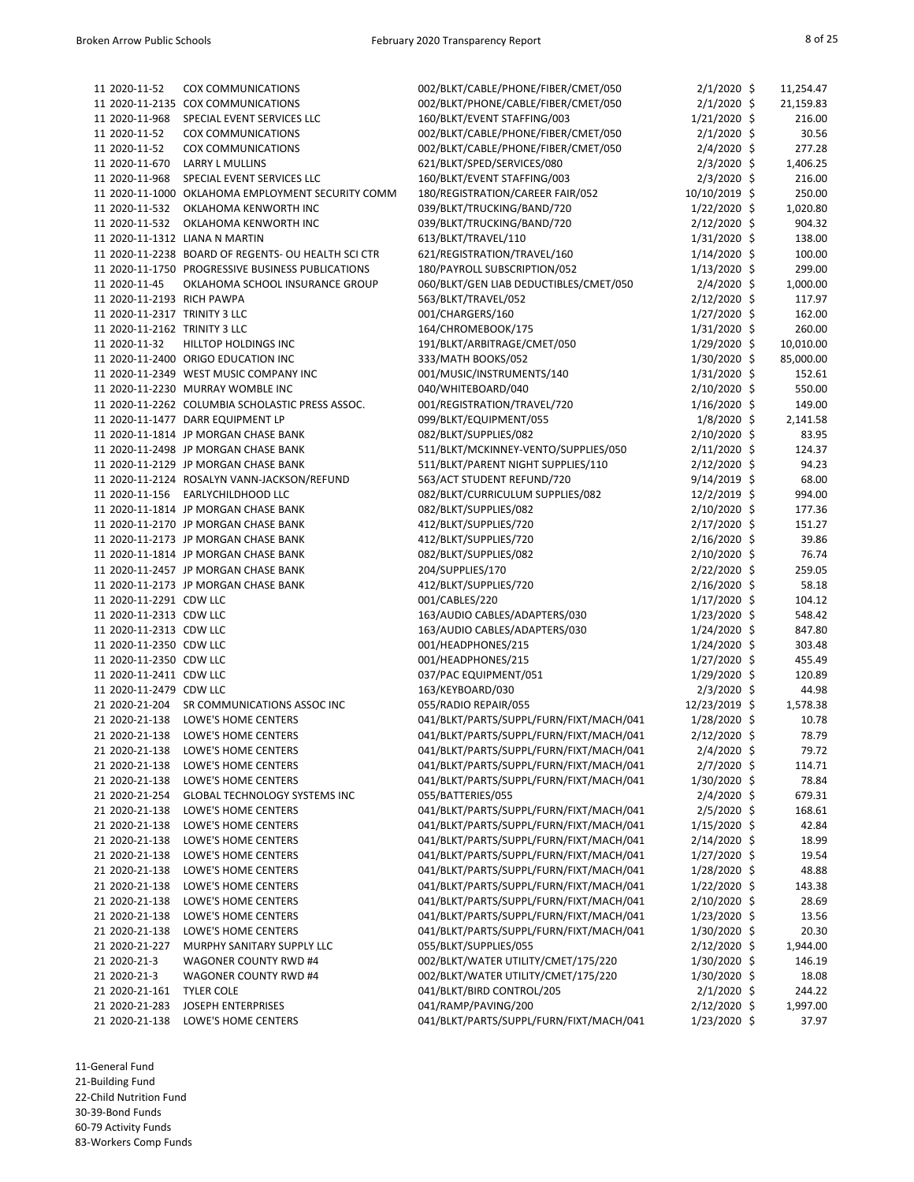| 11 2020-11-52                 | <b>COX COMMUNICATIONS</b>                           | 002/BLKT/CABLE/PHONE/FIBER/CMET/050     | $2/1/2020$ \$  | 11,254.47 |
|-------------------------------|-----------------------------------------------------|-----------------------------------------|----------------|-----------|
|                               | 11 2020-11-2135 COX COMMUNICATIONS                  | 002/BLKT/PHONE/CABLE/FIBER/CMET/050     | $2/1/2020$ \$  | 21,159.83 |
| 11 2020-11-968                | SPECIAL EVENT SERVICES LLC                          | 160/BLKT/EVENT STAFFING/003             | $1/21/2020$ \$ | 216.00    |
| 11 2020-11-52                 | <b>COX COMMUNICATIONS</b>                           | 002/BLKT/CABLE/PHONE/FIBER/CMET/050     | $2/1/2020$ \$  | 30.56     |
| 11 2020-11-52                 | <b>COX COMMUNICATIONS</b>                           | 002/BLKT/CABLE/PHONE/FIBER/CMET/050     | $2/4/2020$ \$  | 277.28    |
| 11 2020-11-670                | <b>LARRY L MULLINS</b>                              | 621/BLKT/SPED/SERVICES/080              | $2/3/2020$ \$  | 1,406.25  |
| 11 2020-11-968                | SPECIAL EVENT SERVICES LLC                          | 160/BLKT/EVENT STAFFING/003             | $2/3/2020$ \$  | 216.00    |
| 11 2020-11-1000               | OKLAHOMA EMPLOYMENT SECURITY COMM                   | 180/REGISTRATION/CAREER FAIR/052        | 10/10/2019 \$  | 250.00    |
| 11 2020-11-532                | OKLAHOMA KENWORTH INC                               | 039/BLKT/TRUCKING/BAND/720              | $1/22/2020$ \$ | 1,020.80  |
| 11 2020-11-532                | OKLAHOMA KENWORTH INC                               | 039/BLKT/TRUCKING/BAND/720              | $2/12/2020$ \$ | 904.32    |
|                               | 11 2020-11-1312 LIANA N MARTIN                      | 613/BLKT/TRAVEL/110                     | $1/31/2020$ \$ | 138.00    |
|                               | 11 2020-11-2238 BOARD OF REGENTS- OU HEALTH SCI CTR | 621/REGISTRATION/TRAVEL/160             | $1/14/2020$ \$ | 100.00    |
|                               | 11 2020-11-1750 PROGRESSIVE BUSINESS PUBLICATIONS   | 180/PAYROLL SUBSCRIPTION/052            | $1/13/2020$ \$ | 299.00    |
| 11 2020-11-45                 | OKLAHOMA SCHOOL INSURANCE GROUP                     |                                         |                |           |
|                               |                                                     | 060/BLKT/GEN LIAB DEDUCTIBLES/CMET/050  | $2/4/2020$ \$  | 1,000.00  |
| 11 2020-11-2193 RICH PAWPA    |                                                     | 563/BLKT/TRAVEL/052                     | $2/12/2020$ \$ | 117.97    |
| 11 2020-11-2317 TRINITY 3 LLC |                                                     | 001/CHARGERS/160                        | $1/27/2020$ \$ | 162.00    |
| 11 2020-11-2162 TRINITY 3 LLC |                                                     | 164/CHROMEBOOK/175                      | 1/31/2020 \$   | 260.00    |
| 11 2020-11-32                 | HILLTOP HOLDINGS INC                                | 191/BLKT/ARBITRAGE/CMET/050             | $1/29/2020$ \$ | 10,010.00 |
|                               | 11 2020-11-2400 ORIGO EDUCATION INC                 | 333/MATH BOOKS/052                      | 1/30/2020 \$   | 85,000.00 |
|                               | 11 2020-11-2349 WEST MUSIC COMPANY INC              | 001/MUSIC/INSTRUMENTS/140               | $1/31/2020$ \$ | 152.61    |
|                               | 11 2020-11-2230 MURRAY WOMBLE INC                   | 040/WHITEBOARD/040                      | $2/10/2020$ \$ | 550.00    |
|                               | 11 2020-11-2262 COLUMBIA SCHOLASTIC PRESS ASSOC.    | 001/REGISTRATION/TRAVEL/720             | $1/16/2020$ \$ | 149.00    |
|                               | 11 2020-11-1477 DARR EQUIPMENT LP                   | 099/BLKT/EQUIPMENT/055                  | $1/8/2020$ \$  | 2,141.58  |
|                               | 11 2020-11-1814 JP MORGAN CHASE BANK                | 082/BLKT/SUPPLIES/082                   | 2/10/2020 \$   | 83.95     |
|                               | 11 2020-11-2498 JP MORGAN CHASE BANK                | 511/BLKT/MCKINNEY-VENTO/SUPPLIES/050    | 2/11/2020 \$   | 124.37    |
|                               | 11 2020-11-2129 JP MORGAN CHASE BANK                | 511/BLKT/PARENT NIGHT SUPPLIES/110      | $2/12/2020$ \$ | 94.23     |
|                               | 11 2020-11-2124 ROSALYN VANN-JACKSON/REFUND         | 563/ACT STUDENT REFUND/720              | $9/14/2019$ \$ | 68.00     |
| 11 2020-11-156                | EARLYCHILDHOOD LLC                                  | 082/BLKT/CURRICULUM SUPPLIES/082        | $12/2/2019$ \$ | 994.00    |
|                               | 11 2020-11-1814 JP MORGAN CHASE BANK                | 082/BLKT/SUPPLIES/082                   | $2/10/2020$ \$ | 177.36    |
|                               | 11 2020-11-2170 JP MORGAN CHASE BANK                | 412/BLKT/SUPPLIES/720                   | $2/17/2020$ \$ | 151.27    |
|                               | 11 2020-11-2173 JP MORGAN CHASE BANK                | 412/BLKT/SUPPLIES/720                   | 2/16/2020 \$   | 39.86     |
|                               | 11 2020-11-1814 JP MORGAN CHASE BANK                | 082/BLKT/SUPPLIES/082                   | 2/10/2020 \$   | 76.74     |
|                               | 11 2020-11-2457 JP MORGAN CHASE BANK                | 204/SUPPLIES/170                        | $2/22/2020$ \$ | 259.05    |
|                               | 11 2020-11-2173 JP MORGAN CHASE BANK                | 412/BLKT/SUPPLIES/720                   | 2/16/2020 \$   | 58.18     |
|                               |                                                     | 001/CABLES/220                          |                |           |
| 11 2020-11-2291 CDW LLC       |                                                     |                                         | 1/17/2020 \$   | 104.12    |
| 11 2020-11-2313 CDW LLC       |                                                     | 163/AUDIO CABLES/ADAPTERS/030           | 1/23/2020 \$   | 548.42    |
| 11 2020-11-2313 CDW LLC       |                                                     | 163/AUDIO CABLES/ADAPTERS/030           | $1/24/2020$ \$ | 847.80    |
| 11 2020-11-2350 CDW LLC       |                                                     | 001/HEADPHONES/215                      | $1/24/2020$ \$ | 303.48    |
| 11 2020-11-2350 CDW LLC       |                                                     | 001/HEADPHONES/215                      | $1/27/2020$ \$ | 455.49    |
| 11 2020-11-2411 CDW LLC       |                                                     | 037/PAC EQUIPMENT/051                   | $1/29/2020$ \$ | 120.89    |
| 11 2020-11-2479 CDW LLC       |                                                     | 163/KEYBOARD/030                        | $2/3/2020$ \$  | 44.98     |
| 21 2020-21-204                | SR COMMUNICATIONS ASSOC INC                         | 055/RADIO REPAIR/055                    | 12/23/2019 \$  | 1,578.38  |
| 21 2020-21-138                | LOWE'S HOME CENTERS                                 | 041/BLKT/PARTS/SUPPL/FURN/FIXT/MACH/041 | 1/28/2020 \$   | 10.78     |
| 21 2020-21-138                | LOWE'S HOME CENTERS                                 | 041/BLKT/PARTS/SUPPL/FURN/FIXT/MACH/041 | 2/12/2020 \$   | 78.79     |
| 21 2020-21-138                | LOWE'S HOME CENTERS                                 | 041/BLKT/PARTS/SUPPL/FURN/FIXT/MACH/041 | $2/4/2020$ \$  | 79.72     |
| 21 2020-21-138                | LOWE'S HOME CENTERS                                 | 041/BLKT/PARTS/SUPPL/FURN/FIXT/MACH/041 | $2/7/2020$ \$  | 114.71    |
| 21 2020-21-138                | LOWE'S HOME CENTERS                                 | 041/BLKT/PARTS/SUPPL/FURN/FIXT/MACH/041 | 1/30/2020 \$   | 78.84     |
| 21 2020-21-254                | <b>GLOBAL TECHNOLOGY SYSTEMS INC</b>                | 055/BATTERIES/055                       | $2/4/2020$ \$  | 679.31    |
| 21 2020-21-138                | LOWE'S HOME CENTERS                                 | 041/BLKT/PARTS/SUPPL/FURN/FIXT/MACH/041 | $2/5/2020$ \$  | 168.61    |
| 21 2020-21-138                | LOWE'S HOME CENTERS                                 | 041/BLKT/PARTS/SUPPL/FURN/FIXT/MACH/041 | $1/15/2020$ \$ | 42.84     |
| 21 2020-21-138                | LOWE'S HOME CENTERS                                 | 041/BLKT/PARTS/SUPPL/FURN/FIXT/MACH/041 | $2/14/2020$ \$ | 18.99     |
| 21 2020-21-138                | LOWE'S HOME CENTERS                                 | 041/BLKT/PARTS/SUPPL/FURN/FIXT/MACH/041 | $1/27/2020$ \$ | 19.54     |
| 21 2020-21-138                | LOWE'S HOME CENTERS                                 | 041/BLKT/PARTS/SUPPL/FURN/FIXT/MACH/041 | 1/28/2020 \$   | 48.88     |
| 21 2020-21-138                | LOWE'S HOME CENTERS                                 | 041/BLKT/PARTS/SUPPL/FURN/FIXT/MACH/041 | $1/22/2020$ \$ | 143.38    |
| 21 2020-21-138                | LOWE'S HOME CENTERS                                 | 041/BLKT/PARTS/SUPPL/FURN/FIXT/MACH/041 | 2/10/2020 \$   | 28.69     |
| 21 2020-21-138                | LOWE'S HOME CENTERS                                 | 041/BLKT/PARTS/SUPPL/FURN/FIXT/MACH/041 | $1/23/2020$ \$ | 13.56     |
| 21 2020-21-138                | LOWE'S HOME CENTERS                                 | 041/BLKT/PARTS/SUPPL/FURN/FIXT/MACH/041 | 1/30/2020 \$   | 20.30     |
| 21 2020-21-227                | MURPHY SANITARY SUPPLY LLC                          | 055/BLKT/SUPPLIES/055                   | $2/12/2020$ \$ | 1,944.00  |
| 21 2020-21-3                  | <b>WAGONER COUNTY RWD #4</b>                        | 002/BLKT/WATER UTILITY/CMET/175/220     |                |           |
|                               |                                                     |                                         | 1/30/2020 \$   | 146.19    |
| 21 2020-21-3                  | <b>WAGONER COUNTY RWD #4</b>                        | 002/BLKT/WATER UTILITY/CMET/175/220     | 1/30/2020 \$   | 18.08     |
| 21 2020-21-161                | <b>TYLER COLE</b>                                   | 041/BLKT/BIRD CONTROL/205               | $2/1/2020$ \$  | 244.22    |
| 21 2020-21-283                | <b>JOSEPH ENTERPRISES</b>                           | 041/RAMP/PAVING/200                     | $2/12/2020$ \$ | 1,997.00  |
| 21 2020-21-138                | LOWE'S HOME CENTERS                                 | 041/BLKT/PARTS/SUPPL/FURN/FIXT/MACH/041 | $1/23/2020$ \$ | 37.97     |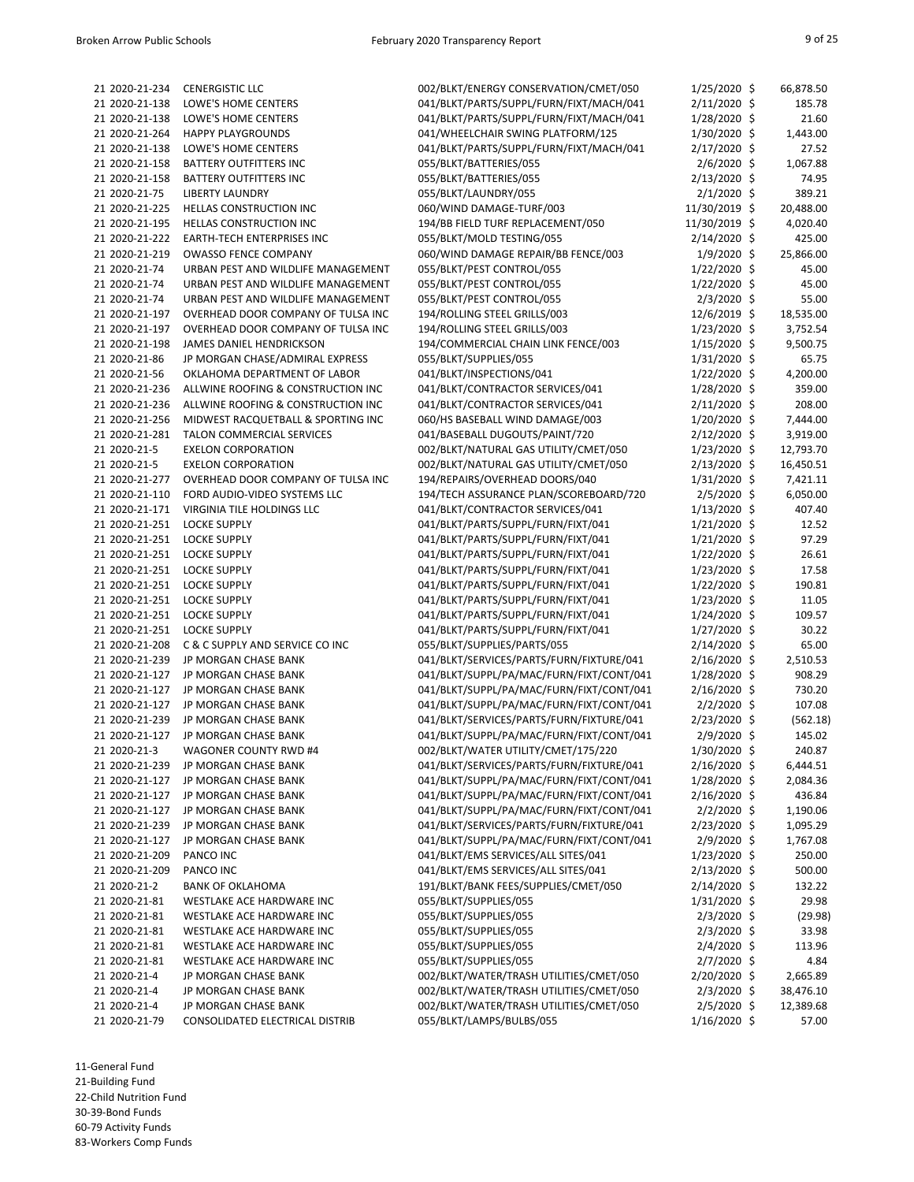| 21 2020-21-234 | <b>CENERGISTIC LLC</b>             | 002/BLKT/ENERGY CONSERVATION/CMET/050    | $1/25/2020$ \$ | 66,878.50 |
|----------------|------------------------------------|------------------------------------------|----------------|-----------|
| 21 2020-21-138 | LOWE'S HOME CENTERS                | 041/BLKT/PARTS/SUPPL/FURN/FIXT/MACH/041  | 2/11/2020 \$   | 185.78    |
| 21 2020-21-138 | LOWE'S HOME CENTERS                | 041/BLKT/PARTS/SUPPL/FURN/FIXT/MACH/041  | $1/28/2020$ \$ | 21.60     |
| 21 2020-21-264 | <b>HAPPY PLAYGROUNDS</b>           | 041/WHEELCHAIR SWING PLATFORM/125        | 1/30/2020 \$   | 1,443.00  |
| 21 2020-21-138 | LOWE'S HOME CENTERS                | 041/BLKT/PARTS/SUPPL/FURN/FIXT/MACH/041  | 2/17/2020 \$   | 27.52     |
| 21 2020-21-158 | <b>BATTERY OUTFITTERS INC</b>      |                                          |                |           |
|                |                                    | 055/BLKT/BATTERIES/055                   | $2/6/2020$ \$  | 1,067.88  |
| 21 2020-21-158 | <b>BATTERY OUTFITTERS INC</b>      | 055/BLKT/BATTERIES/055                   | 2/13/2020 \$   | 74.95     |
| 21 2020-21-75  | <b>LIBERTY LAUNDRY</b>             | 055/BLKT/LAUNDRY/055                     | $2/1/2020$ \$  | 389.21    |
| 21 2020-21-225 | <b>HELLAS CONSTRUCTION INC</b>     | 060/WIND DAMAGE-TURF/003                 | 11/30/2019 \$  | 20,488.00 |
| 21 2020-21-195 | <b>HELLAS CONSTRUCTION INC</b>     | 194/BB FIELD TURF REPLACEMENT/050        | 11/30/2019 \$  | 4,020.40  |
| 21 2020-21-222 | <b>EARTH-TECH ENTERPRISES INC</b>  | 055/BLKT/MOLD TESTING/055                | 2/14/2020 \$   | 425.00    |
| 21 2020-21-219 | <b>OWASSO FENCE COMPANY</b>        | 060/WIND DAMAGE REPAIR/BB FENCE/003      | $1/9/2020$ \$  | 25,866.00 |
| 21 2020-21-74  | URBAN PEST AND WILDLIFE MANAGEMENT | 055/BLKT/PEST CONTROL/055                | $1/22/2020$ \$ | 45.00     |
| 21 2020-21-74  | URBAN PEST AND WILDLIFE MANAGEMENT | 055/BLKT/PEST CONTROL/055                | 1/22/2020 \$   | 45.00     |
| 21 2020-21-74  | URBAN PEST AND WILDLIFE MANAGEMENT | 055/BLKT/PEST CONTROL/055                | $2/3/2020$ \$  | 55.00     |
| 21 2020-21-197 | OVERHEAD DOOR COMPANY OF TULSA INC | 194/ROLLING STEEL GRILLS/003             | 12/6/2019 \$   | 18,535.00 |
| 21 2020-21-197 | OVERHEAD DOOR COMPANY OF TULSA INC | 194/ROLLING STEEL GRILLS/003             | 1/23/2020 \$   | 3,752.54  |
| 21 2020-21-198 | <b>JAMES DANIEL HENDRICKSON</b>    | 194/COMMERCIAL CHAIN LINK FENCE/003      | $1/15/2020$ \$ | 9,500.75  |
| 21 2020-21-86  | JP MORGAN CHASE/ADMIRAL EXPRESS    | 055/BLKT/SUPPLIES/055                    | $1/31/2020$ \$ | 65.75     |
| 21 2020-21-56  | OKLAHOMA DEPARTMENT OF LABOR       | 041/BLKT/INSPECTIONS/041                 | $1/22/2020$ \$ | 4,200.00  |
| 21 2020-21-236 | ALLWINE ROOFING & CONSTRUCTION INC | 041/BLKT/CONTRACTOR SERVICES/041         | $1/28/2020$ \$ | 359.00    |
| 21 2020-21-236 | ALLWINE ROOFING & CONSTRUCTION INC |                                          |                | 208.00    |
|                |                                    | 041/BLKT/CONTRACTOR SERVICES/041         | 2/11/2020 \$   |           |
| 21 2020-21-256 | MIDWEST RACQUETBALL & SPORTING INC | 060/HS BASEBALL WIND DAMAGE/003          | $1/20/2020$ \$ | 7,444.00  |
| 21 2020-21-281 | TALON COMMERCIAL SERVICES          | 041/BASEBALL DUGOUTS/PAINT/720           | 2/12/2020 \$   | 3,919.00  |
| 21 2020-21-5   | <b>EXELON CORPORATION</b>          | 002/BLKT/NATURAL GAS UTILITY/CMET/050    | $1/23/2020$ \$ | 12,793.70 |
| 21 2020-21-5   | <b>EXELON CORPORATION</b>          | 002/BLKT/NATURAL GAS UTILITY/CMET/050    | $2/13/2020$ \$ | 16,450.51 |
| 21 2020-21-277 | OVERHEAD DOOR COMPANY OF TULSA INC | 194/REPAIRS/OVERHEAD DOORS/040           | $1/31/2020$ \$ | 7,421.11  |
| 21 2020-21-110 | FORD AUDIO-VIDEO SYSTEMS LLC       | 194/TECH ASSURANCE PLAN/SCOREBOARD/720   | $2/5/2020$ \$  | 6,050.00  |
| 21 2020-21-171 | VIRGINIA TILE HOLDINGS LLC         | 041/BLKT/CONTRACTOR SERVICES/041         | $1/13/2020$ \$ | 407.40    |
| 21 2020-21-251 | <b>LOCKE SUPPLY</b>                | 041/BLKT/PARTS/SUPPL/FURN/FIXT/041       | $1/21/2020$ \$ | 12.52     |
| 21 2020-21-251 | <b>LOCKE SUPPLY</b>                | 041/BLKT/PARTS/SUPPL/FURN/FIXT/041       | $1/21/2020$ \$ | 97.29     |
| 21 2020-21-251 | <b>LOCKE SUPPLY</b>                | 041/BLKT/PARTS/SUPPL/FURN/FIXT/041       | 1/22/2020 \$   | 26.61     |
| 21 2020-21-251 | <b>LOCKE SUPPLY</b>                | 041/BLKT/PARTS/SUPPL/FURN/FIXT/041       | $1/23/2020$ \$ | 17.58     |
| 21 2020-21-251 | <b>LOCKE SUPPLY</b>                | 041/BLKT/PARTS/SUPPL/FURN/FIXT/041       | $1/22/2020$ \$ | 190.81    |
| 21 2020-21-251 | <b>LOCKE SUPPLY</b>                | 041/BLKT/PARTS/SUPPL/FURN/FIXT/041       | $1/23/2020$ \$ | 11.05     |
| 21 2020-21-251 | <b>LOCKE SUPPLY</b>                | 041/BLKT/PARTS/SUPPL/FURN/FIXT/041       | $1/24/2020$ \$ | 109.57    |
| 21 2020-21-251 | <b>LOCKE SUPPLY</b>                | 041/BLKT/PARTS/SUPPL/FURN/FIXT/041       | $1/27/2020$ \$ | 30.22     |
| 21 2020-21-208 | C & C SUPPLY AND SERVICE CO INC    |                                          |                |           |
|                |                                    | 055/BLKT/SUPPLIES/PARTS/055              | 2/14/2020 \$   | 65.00     |
| 21 2020-21-239 | JP MORGAN CHASE BANK               | 041/BLKT/SERVICES/PARTS/FURN/FIXTURE/041 | 2/16/2020 \$   | 2,510.53  |
| 21 2020-21-127 | JP MORGAN CHASE BANK               | 041/BLKT/SUPPL/PA/MAC/FURN/FIXT/CONT/041 | $1/28/2020$ \$ | 908.29    |
| 21 2020-21-127 | JP MORGAN CHASE BANK               | 041/BLKT/SUPPL/PA/MAC/FURN/FIXT/CONT/041 | 2/16/2020 \$   | 730.20    |
| 21 2020-21-127 | JP MORGAN CHASE BANK               | 041/BLKT/SUPPL/PA/MAC/FURN/FIXT/CONT/041 | $2/2/2020$ \$  | 107.08    |
| 21 2020-21-239 | JP MORGAN CHASE BANK               | 041/BLKT/SERVICES/PARTS/FURN/FIXTURE/041 | 2/23/2020 \$   | (562.18)  |
| 21 2020-21-127 | JP MORGAN CHASE BANK               | 041/BLKT/SUPPL/PA/MAC/FURN/FIXT/CONT/041 | $2/9/2020$ \$  | 145.02    |
| 21 2020-21-3   | <b>WAGONER COUNTY RWD #4</b>       | 002/BLKT/WATER UTILITY/CMET/175/220      | 1/30/2020 \$   | 240.87    |
| 21 2020-21-239 | JP MORGAN CHASE BANK               | 041/BLKT/SERVICES/PARTS/FURN/FIXTURE/041 | 2/16/2020 \$   | 6,444.51  |
| 21 2020-21-127 | JP MORGAN CHASE BANK               | 041/BLKT/SUPPL/PA/MAC/FURN/FIXT/CONT/041 | 1/28/2020 \$   | 2,084.36  |
| 21 2020-21-127 | JP MORGAN CHASE BANK               | 041/BLKT/SUPPL/PA/MAC/FURN/FIXT/CONT/041 | 2/16/2020 \$   | 436.84    |
| 21 2020-21-127 | JP MORGAN CHASE BANK               | 041/BLKT/SUPPL/PA/MAC/FURN/FIXT/CONT/041 | $2/2/2020$ \$  | 1,190.06  |
| 21 2020-21-239 | JP MORGAN CHASE BANK               | 041/BLKT/SERVICES/PARTS/FURN/FIXTURE/041 | 2/23/2020 \$   | 1,095.29  |
| 21 2020-21-127 | JP MORGAN CHASE BANK               | 041/BLKT/SUPPL/PA/MAC/FURN/FIXT/CONT/041 | $2/9/2020$ \$  | 1,767.08  |
| 21 2020-21-209 | PANCO INC                          | 041/BLKT/EMS SERVICES/ALL SITES/041      | $1/23/2020$ \$ | 250.00    |
| 21 2020-21-209 | PANCO INC                          | 041/BLKT/EMS SERVICES/ALL SITES/041      | 2/13/2020 \$   | 500.00    |
|                |                                    |                                          |                |           |
| 21 2020-21-2   | <b>BANK OF OKLAHOMA</b>            | 191/BLKT/BANK FEES/SUPPLIES/CMET/050     | 2/14/2020 \$   | 132.22    |
| 21 2020-21-81  | WESTLAKE ACE HARDWARE INC          | 055/BLKT/SUPPLIES/055                    | $1/31/2020$ \$ | 29.98     |
| 21 2020-21-81  | WESTLAKE ACE HARDWARE INC          | 055/BLKT/SUPPLIES/055                    | $2/3/2020$ \$  | (29.98)   |
| 21 2020-21-81  | WESTLAKE ACE HARDWARE INC          | 055/BLKT/SUPPLIES/055                    | $2/3/2020$ \$  | 33.98     |
| 21 2020-21-81  | WESTLAKE ACE HARDWARE INC          | 055/BLKT/SUPPLIES/055                    | $2/4/2020$ \$  | 113.96    |
| 21 2020-21-81  | WESTLAKE ACE HARDWARE INC          | 055/BLKT/SUPPLIES/055                    | $2/7/2020$ \$  | 4.84      |
| 21 2020-21-4   | JP MORGAN CHASE BANK               | 002/BLKT/WATER/TRASH UTILITIES/CMET/050  | $2/20/2020$ \$ | 2,665.89  |
| 21 2020-21-4   | JP MORGAN CHASE BANK               | 002/BLKT/WATER/TRASH UTILITIES/CMET/050  | $2/3/2020$ \$  | 38,476.10 |
| 21 2020-21-4   | JP MORGAN CHASE BANK               | 002/BLKT/WATER/TRASH UTILITIES/CMET/050  | $2/5/2020$ \$  | 12,389.68 |
| 21 2020-21-79  | CONSOLIDATED ELECTRICAL DISTRIB    | 055/BLKT/LAMPS/BULBS/055                 | $1/16/2020$ \$ | 57.00     |

11-General Fund 21-Building Fund 22-Child Nutrition Fund

30-39-Bond Funds

60-79 Activity Funds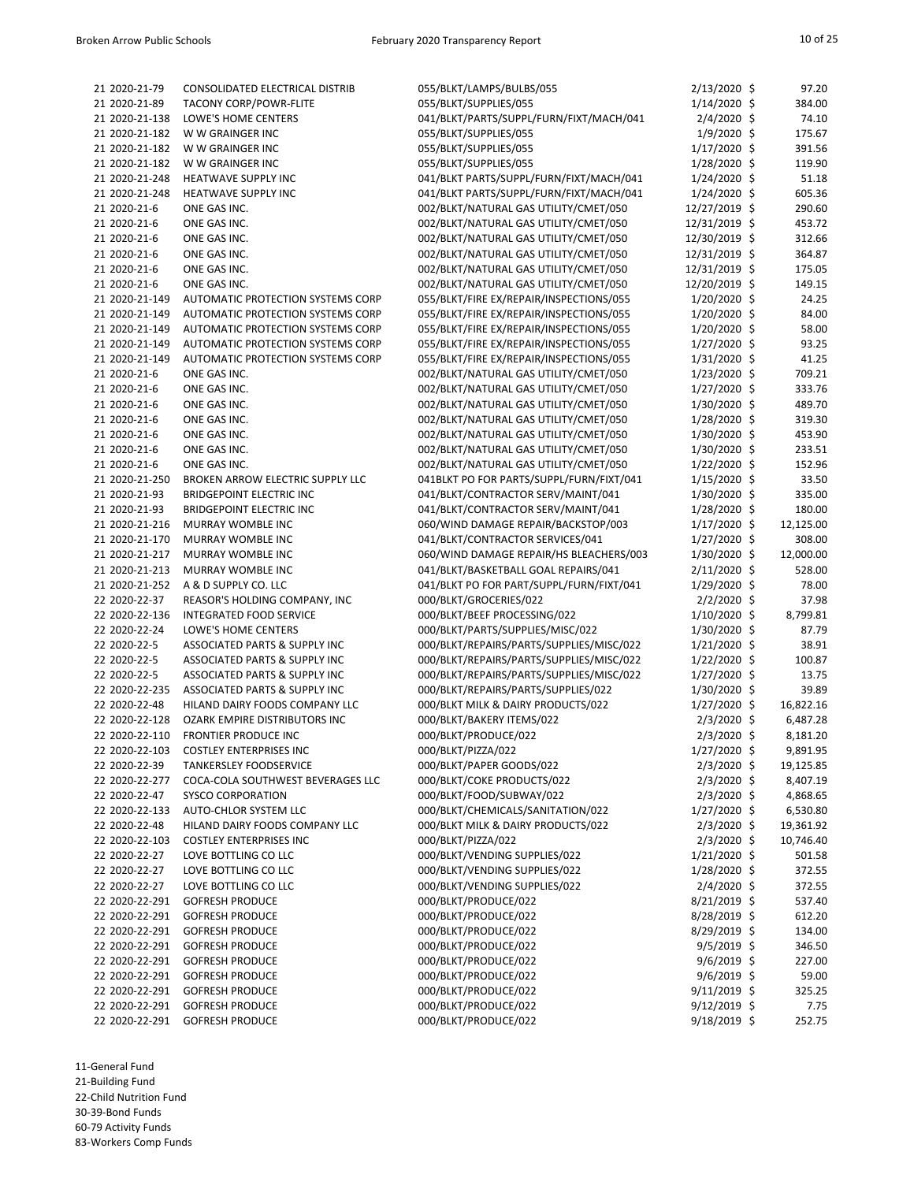| 21 2020-21-79  | CONSOLIDATED ELECTRICAL DISTRIB          | 055/BLKT/LAMPS/BULBS/055                 | $2/13/2020$ \$ | 97.20     |
|----------------|------------------------------------------|------------------------------------------|----------------|-----------|
| 21 2020-21-89  | <b>TACONY CORP/POWR-FLITE</b>            | 055/BLKT/SUPPLIES/055                    | $1/14/2020$ \$ | 384.00    |
| 21 2020-21-138 | LOWE'S HOME CENTERS                      | 041/BLKT/PARTS/SUPPL/FURN/FIXT/MACH/041  | $2/4/2020$ \$  | 74.10     |
| 21 2020-21-182 | W W GRAINGER INC                         | 055/BLKT/SUPPLIES/055                    | $1/9/2020$ \$  | 175.67    |
| 21 2020-21-182 | W W GRAINGER INC                         | 055/BLKT/SUPPLIES/055                    | 1/17/2020 \$   | 391.56    |
| 21 2020-21-182 | W W GRAINGER INC                         | 055/BLKT/SUPPLIES/055                    | 1/28/2020 \$   | 119.90    |
| 21 2020-21-248 | HEATWAVE SUPPLY INC                      | 041/BLKT PARTS/SUPPL/FURN/FIXT/MACH/041  | 1/24/2020 \$   | 51.18     |
| 21 2020-21-248 | HEATWAVE SUPPLY INC                      | 041/BLKT PARTS/SUPPL/FURN/FIXT/MACH/041  | $1/24/2020$ \$ | 605.36    |
| 21 2020-21-6   | ONE GAS INC.                             | 002/BLKT/NATURAL GAS UTILITY/CMET/050    |                | 290.60    |
|                |                                          |                                          | 12/27/2019 \$  |           |
| 21 2020-21-6   | ONE GAS INC.                             | 002/BLKT/NATURAL GAS UTILITY/CMET/050    | 12/31/2019 \$  | 453.72    |
| 21 2020-21-6   | ONE GAS INC.                             | 002/BLKT/NATURAL GAS UTILITY/CMET/050    | 12/30/2019 \$  | 312.66    |
| 21 2020-21-6   | ONE GAS INC.                             | 002/BLKT/NATURAL GAS UTILITY/CMET/050    | 12/31/2019 \$  | 364.87    |
| 21 2020-21-6   | ONE GAS INC.                             | 002/BLKT/NATURAL GAS UTILITY/CMET/050    | 12/31/2019 \$  | 175.05    |
| 21 2020-21-6   | ONE GAS INC.                             | 002/BLKT/NATURAL GAS UTILITY/CMET/050    | 12/20/2019 \$  | 149.15    |
| 21 2020-21-149 | AUTOMATIC PROTECTION SYSTEMS CORP        | 055/BLKT/FIRE EX/REPAIR/INSPECTIONS/055  | 1/20/2020 \$   | 24.25     |
| 21 2020-21-149 | AUTOMATIC PROTECTION SYSTEMS CORP        | 055/BLKT/FIRE EX/REPAIR/INSPECTIONS/055  | $1/20/2020$ \$ | 84.00     |
| 21 2020-21-149 | AUTOMATIC PROTECTION SYSTEMS CORP        | 055/BLKT/FIRE EX/REPAIR/INSPECTIONS/055  | 1/20/2020 \$   | 58.00     |
| 21 2020-21-149 | AUTOMATIC PROTECTION SYSTEMS CORP        | 055/BLKT/FIRE EX/REPAIR/INSPECTIONS/055  | $1/27/2020$ \$ | 93.25     |
| 21 2020-21-149 | AUTOMATIC PROTECTION SYSTEMS CORP        | 055/BLKT/FIRE EX/REPAIR/INSPECTIONS/055  | $1/31/2020$ \$ | 41.25     |
| 21 2020-21-6   | ONE GAS INC.                             | 002/BLKT/NATURAL GAS UTILITY/CMET/050    | 1/23/2020 \$   | 709.21    |
| 21 2020-21-6   | ONE GAS INC.                             | 002/BLKT/NATURAL GAS UTILITY/CMET/050    | $1/27/2020$ \$ | 333.76    |
| 21 2020-21-6   | ONE GAS INC.                             | 002/BLKT/NATURAL GAS UTILITY/CMET/050    | 1/30/2020 \$   | 489.70    |
| 21 2020-21-6   | ONE GAS INC.                             | 002/BLKT/NATURAL GAS UTILITY/CMET/050    | $1/28/2020$ \$ | 319.30    |
| 21 2020-21-6   | ONE GAS INC.                             | 002/BLKT/NATURAL GAS UTILITY/CMET/050    | 1/30/2020 \$   | 453.90    |
| 21 2020-21-6   | ONE GAS INC.                             | 002/BLKT/NATURAL GAS UTILITY/CMET/050    | 1/30/2020 \$   | 233.51    |
| 21 2020-21-6   | ONE GAS INC.                             | 002/BLKT/NATURAL GAS UTILITY/CMET/050    | $1/22/2020$ \$ | 152.96    |
| 21 2020-21-250 | BROKEN ARROW ELECTRIC SUPPLY LLC         | 041BLKT PO FOR PARTS/SUPPL/FURN/FIXT/041 | $1/15/2020$ \$ | 33.50     |
| 21 2020-21-93  | <b>BRIDGEPOINT ELECTRIC INC</b>          | 041/BLKT/CONTRACTOR SERV/MAINT/041       | 1/30/2020 \$   | 335.00    |
| 21 2020-21-93  | <b>BRIDGEPOINT ELECTRIC INC</b>          | 041/BLKT/CONTRACTOR SERV/MAINT/041       | 1/28/2020 \$   | 180.00    |
| 21 2020-21-216 | MURRAY WOMBLE INC                        | 060/WIND DAMAGE REPAIR/BACKSTOP/003      | $1/17/2020$ \$ | 12,125.00 |
| 21 2020-21-170 | MURRAY WOMBLE INC                        | 041/BLKT/CONTRACTOR SERVICES/041         | $1/27/2020$ \$ | 308.00    |
| 21 2020-21-217 | MURRAY WOMBLE INC                        | 060/WIND DAMAGE REPAIR/HS BLEACHERS/003  | $1/30/2020$ \$ | 12,000.00 |
|                | MURRAY WOMBLE INC                        |                                          |                |           |
| 21 2020-21-213 |                                          | 041/BLKT/BASKETBALL GOAL REPAIRS/041     | $2/11/2020$ \$ | 528.00    |
| 21 2020-21-252 | A & D SUPPLY CO. LLC                     | 041/BLKT PO FOR PART/SUPPL/FURN/FIXT/041 | $1/29/2020$ \$ | 78.00     |
| 22 2020-22-37  | REASOR'S HOLDING COMPANY, INC            | 000/BLKT/GROCERIES/022                   | $2/2/2020$ \$  | 37.98     |
| 22 2020-22-136 | <b>INTEGRATED FOOD SERVICE</b>           | 000/BLKT/BEEF PROCESSING/022             | $1/10/2020$ \$ | 8,799.81  |
| 22 2020-22-24  | LOWE'S HOME CENTERS                      | 000/BLKT/PARTS/SUPPLIES/MISC/022         | 1/30/2020 \$   | 87.79     |
| 22 2020-22-5   | <b>ASSOCIATED PARTS &amp; SUPPLY INC</b> | 000/BLKT/REPAIRS/PARTS/SUPPLIES/MISC/022 | $1/21/2020$ \$ | 38.91     |
| 22 2020-22-5   | <b>ASSOCIATED PARTS &amp; SUPPLY INC</b> | 000/BLKT/REPAIRS/PARTS/SUPPLIES/MISC/022 | $1/22/2020$ \$ | 100.87    |
| 22 2020-22-5   | <b>ASSOCIATED PARTS &amp; SUPPLY INC</b> | 000/BLKT/REPAIRS/PARTS/SUPPLIES/MISC/022 | $1/27/2020$ \$ | 13.75     |
| 22 2020-22-235 | ASSOCIATED PARTS & SUPPLY INC            | 000/BLKT/REPAIRS/PARTS/SUPPLIES/022      | 1/30/2020 \$   | 39.89     |
| 22 2020-22-48  | HILAND DAIRY FOODS COMPANY LLC           | 000/BLKT MILK & DAIRY PRODUCTS/022       | $1/27/2020$ \$ | 16,822.16 |
| 22 2020-22-128 | OZARK EMPIRE DISTRIBUTORS INC            | 000/BLKT/BAKERY ITEMS/022                | $2/3/2020$ \$  | 6,487.28  |
| 22 2020-22-110 | <b>FRONTIER PRODUCE INC</b>              | 000/BLKT/PRODUCE/022                     | $2/3/2020$ \$  | 8,181.20  |
| 22 2020-22-103 | <b>COSTLEY ENTERPRISES INC</b>           | 000/BLKT/PIZZA/022                       | $1/27/2020$ \$ | 9,891.95  |
| 22 2020-22-39  | TANKERSLEY FOODSERVICE                   | 000/BLKT/PAPER GOODS/022                 | $2/3/2020$ \$  | 19,125.85 |
| 22 2020-22-277 | COCA-COLA SOUTHWEST BEVERAGES LLC        | 000/BLKT/COKE PRODUCTS/022               | $2/3/2020$ \$  | 8,407.19  |
| 22 2020-22-47  | <b>SYSCO CORPORATION</b>                 | 000/BLKT/FOOD/SUBWAY/022                 | $2/3/2020$ \$  | 4,868.65  |
| 22 2020-22-133 | AUTO-CHLOR SYSTEM LLC                    | 000/BLKT/CHEMICALS/SANITATION/022        | $1/27/2020$ \$ | 6,530.80  |
| 22 2020-22-48  | HILAND DAIRY FOODS COMPANY LLC           | 000/BLKT MILK & DAIRY PRODUCTS/022       | $2/3/2020$ \$  | 19,361.92 |
| 22 2020-22-103 | <b>COSTLEY ENTERPRISES INC</b>           | 000/BLKT/PIZZA/022                       | $2/3/2020$ \$  | 10,746.40 |
| 22 2020-22-27  | LOVE BOTTLING CO LLC                     | 000/BLKT/VENDING SUPPLIES/022            | $1/21/2020$ \$ | 501.58    |
| 22 2020-22-27  | LOVE BOTTLING CO LLC                     | 000/BLKT/VENDING SUPPLIES/022            | $1/28/2020$ \$ | 372.55    |
| 22 2020-22-27  | LOVE BOTTLING CO LLC                     | 000/BLKT/VENDING SUPPLIES/022            | $2/4/2020$ \$  | 372.55    |
| 22 2020-22-291 | <b>GOFRESH PRODUCE</b>                   | 000/BLKT/PRODUCE/022                     | 8/21/2019 \$   | 537.40    |
| 22 2020-22-291 | <b>GOFRESH PRODUCE</b>                   | 000/BLKT/PRODUCE/022                     | 8/28/2019 \$   | 612.20    |
| 22 2020-22-291 | <b>GOFRESH PRODUCE</b>                   | 000/BLKT/PRODUCE/022                     | 8/29/2019 \$   | 134.00    |
| 22 2020-22-291 | <b>GOFRESH PRODUCE</b>                   | 000/BLKT/PRODUCE/022                     | $9/5/2019$ \$  | 346.50    |
| 22 2020-22-291 | <b>GOFRESH PRODUCE</b>                   | 000/BLKT/PRODUCE/022                     | $9/6/2019$ \$  | 227.00    |
| 22 2020-22-291 | <b>GOFRESH PRODUCE</b>                   | 000/BLKT/PRODUCE/022                     | $9/6/2019$ \$  | 59.00     |
|                |                                          |                                          |                |           |
| 22 2020-22-291 | <b>GOFRESH PRODUCE</b>                   | 000/BLKT/PRODUCE/022                     | $9/11/2019$ \$ | 325.25    |
| 22 2020-22-291 | <b>GOFRESH PRODUCE</b>                   | 000/BLKT/PRODUCE/022                     | $9/12/2019$ \$ | 7.75      |
| 22 2020-22-291 | <b>GOFRESH PRODUCE</b>                   | 000/BLKT/PRODUCE/022                     | 9/18/2019 \$   | 252.75    |

| 2/13/2020  | Ş  | 97.20     |
|------------|----|-----------|
| 1/14/2020  | \$ | 384.00    |
| 2/4/2020   | \$ | 74.10     |
|            |    |           |
| 1/9/2020   | \$ | 175.67    |
| 1/17/2020  | \$ | 391.56    |
| 1/28/2020  | \$ | 119.90    |
| 1/24/2020  | \$ | 51.18     |
| 1/24/2020  | \$ | 605.36    |
| 12/27/2019 | \$ | 290.60    |
|            |    |           |
| 12/31/2019 | \$ | 453.72    |
| 12/30/2019 | \$ | 312.66    |
| 12/31/2019 | \$ | 364.87    |
| 12/31/2019 | \$ | 175.05    |
| 12/20/2019 | \$ | 149.15    |
| 1/20/2020  | \$ | 24.25     |
| 1/20/2020  | \$ | 84.00     |
|            |    |           |
| 1/20/2020  | \$ | 58.00     |
| 1/27/2020  | \$ | 93.25     |
| 1/31/2020  | \$ | 41.25     |
| 1/23/2020  | \$ | 709.21    |
| 1/27/2020  | \$ | 333.76    |
| 1/30/2020  | \$ | 489.70    |
|            |    | 319.30    |
| 1/28/2020  | \$ |           |
| 1/30/2020  | \$ | 453.90    |
| 1/30/2020  | \$ | 233.51    |
| 1/22/2020  | \$ | 152.96    |
| 1/15/2020  | \$ | 33.50     |
| 1/30/2020  | \$ | 335.00    |
| 1/28/2020  | \$ | 180.00    |
| 1/17/2020  | \$ | 12,125.00 |
|            |    |           |
| 1/27/2020  | \$ | 308.00    |
| 1/30/2020  | \$ | 12,000.00 |
| 2/11/2020  | \$ | 528.00    |
| 1/29/2020  | \$ | 78.00     |
| 2/2/2020   | \$ | 37.98     |
| 1/10/2020  | \$ | 8,799.81  |
| 1/30/2020  | \$ | 87.79     |
| 1/21/2020  | \$ | 38.91     |
|            |    |           |
| 1/22/2020  | \$ | 100.87    |
| 1/27/2020  | \$ | 13.75     |
| 1/30/2020  | \$ | 39.89     |
| 1/27/2020  | \$ | 16,822.16 |
| 2/3/2020   | \$ | 6,487.28  |
| 2/3/2020   | \$ | 8,181.20  |
| 1/27/2020  | \$ | 9,891.95  |
|            | \$ | 19,125.85 |
| 2/3/2020   |    |           |
| 2/3/2020   | \$ | 8,407.19  |
| 2/3/2020   | \$ | 4,868.65  |
| 1/27/2020  | \$ | 6,530.80  |
| 2/3/2020   | \$ | 19,361.92 |
| 2/3/2020   | \$ | 10,746.40 |
| 1/21/2020  | \$ | 501.58    |
|            |    |           |
| 1/28/2020  | \$ | 372.55    |
| 2/4/2020   | \$ | 372.55    |
| 8/21/2019  | \$ | 537.40    |
| 8/28/2019  | \$ | 612.20    |
| 8/29/2019  | \$ | 134.00    |
| 9/5/2019   | \$ | 346.50    |
| 9/6/2019   | \$ | 227.00    |
| 9/6/2019   | \$ | 59.00     |
|            |    |           |
| 9/11/2019  | \$ | 325.25    |
| 9/12/2019  | \$ | 7.75      |
| 9/18/2019  | \$ | 252.75    |
|            |    |           |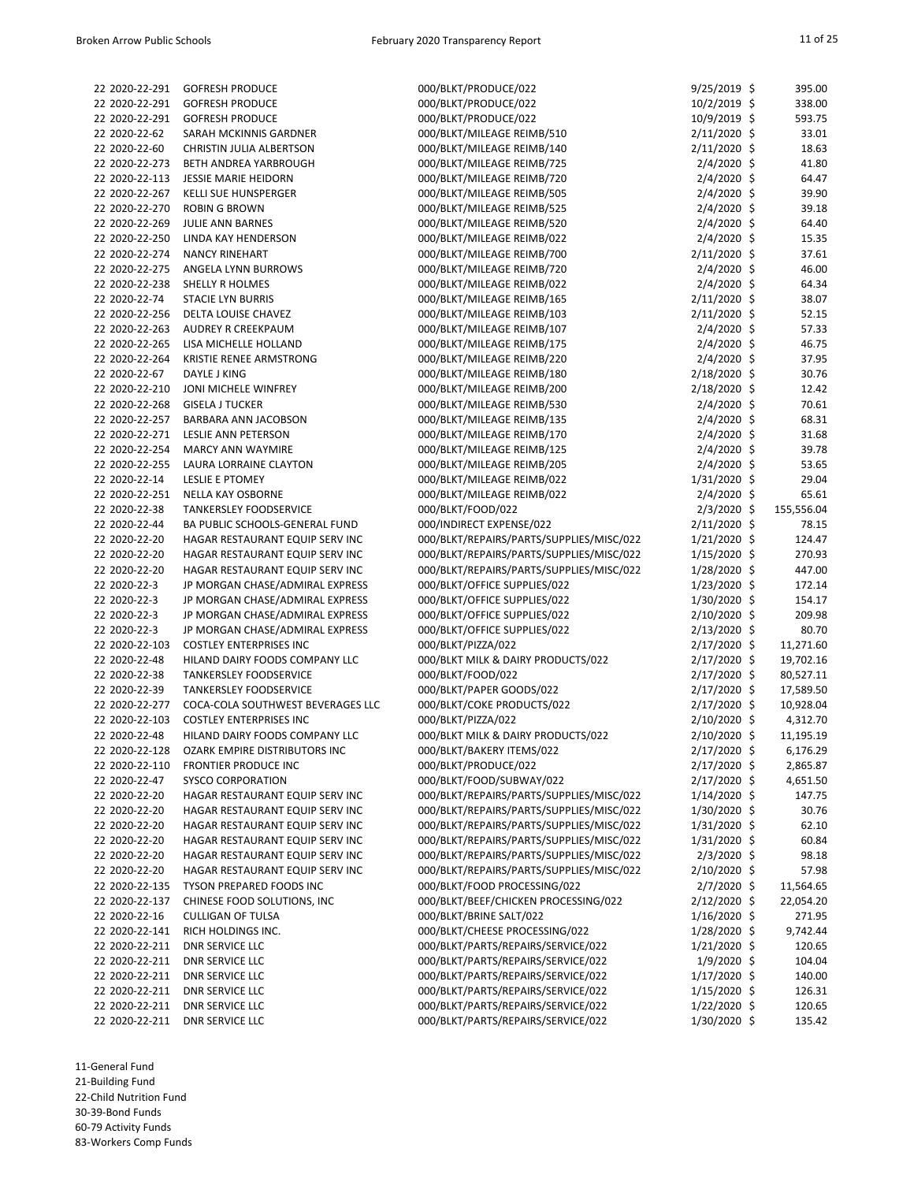| 22 2020-22-291 | <b>GOFRESH PRODUCE</b>            | 000/BLKT/PRODUCE/022                     | $9/25/2019$ \$ | 395.00     |
|----------------|-----------------------------------|------------------------------------------|----------------|------------|
| 22 2020-22-291 | <b>GOFRESH PRODUCE</b>            | 000/BLKT/PRODUCE/022                     | 10/2/2019 \$   | 338.00     |
| 22 2020-22-291 | <b>GOFRESH PRODUCE</b>            | 000/BLKT/PRODUCE/022                     | 10/9/2019 \$   | 593.75     |
| 22 2020-22-62  | SARAH MCKINNIS GARDNER            | 000/BLKT/MILEAGE REIMB/510               | 2/11/2020 \$   | 33.01      |
| 22 2020-22-60  | <b>CHRISTIN JULIA ALBERTSON</b>   | 000/BLKT/MILEAGE REIMB/140               | $2/11/2020$ \$ | 18.63      |
| 22 2020-22-273 | BETH ANDREA YARBROUGH             | 000/BLKT/MILEAGE REIMB/725               | $2/4/2020$ \$  | 41.80      |
| 22 2020-22-113 | <b>JESSIE MARIE HEIDORN</b>       | 000/BLKT/MILEAGE REIMB/720               | $2/4/2020$ \$  | 64.47      |
|                |                                   |                                          |                |            |
| 22 2020-22-267 | <b>KELLI SUE HUNSPERGER</b>       | 000/BLKT/MILEAGE REIMB/505               | $2/4/2020$ \$  | 39.90      |
| 22 2020-22-270 | <b>ROBIN G BROWN</b>              | 000/BLKT/MILEAGE REIMB/525               | $2/4/2020$ \$  | 39.18      |
| 22 2020-22-269 | JULIE ANN BARNES                  | 000/BLKT/MILEAGE REIMB/520               | $2/4/2020$ \$  | 64.40      |
| 22 2020-22-250 | LINDA KAY HENDERSON               | 000/BLKT/MILEAGE REIMB/022               | $2/4/2020$ \$  | 15.35      |
| 22 2020-22-274 | <b>NANCY RINEHART</b>             | 000/BLKT/MILEAGE REIMB/700               | 2/11/2020 \$   | 37.61      |
| 22 2020-22-275 | ANGELA LYNN BURROWS               | 000/BLKT/MILEAGE REIMB/720               | $2/4/2020$ \$  | 46.00      |
| 22 2020-22-238 | <b>SHELLY R HOLMES</b>            | 000/BLKT/MILEAGE REIMB/022               | $2/4/2020$ \$  | 64.34      |
| 22 2020-22-74  | <b>STACIE LYN BURRIS</b>          | 000/BLKT/MILEAGE REIMB/165               | $2/11/2020$ \$ | 38.07      |
|                |                                   |                                          |                |            |
| 22 2020-22-256 | DELTA LOUISE CHAVEZ               | 000/BLKT/MILEAGE REIMB/103               | 2/11/2020 \$   | 52.15      |
| 22 2020-22-263 | AUDREY R CREEKPAUM                | 000/BLKT/MILEAGE REIMB/107               | $2/4/2020$ \$  | 57.33      |
| 22 2020-22-265 | LISA MICHELLE HOLLAND             | 000/BLKT/MILEAGE REIMB/175               | 2/4/2020 \$    | 46.75      |
| 22 2020-22-264 | KRISTIE RENEE ARMSTRONG           | 000/BLKT/MILEAGE REIMB/220               | $2/4/2020$ \$  | 37.95      |
| 22 2020-22-67  | DAYLE J KING                      | 000/BLKT/MILEAGE REIMB/180               | 2/18/2020 \$   | 30.76      |
| 22 2020-22-210 | JONI MICHELE WINFREY              | 000/BLKT/MILEAGE REIMB/200               | 2/18/2020 \$   | 12.42      |
| 22 2020-22-268 | <b>GISELA J TUCKER</b>            | 000/BLKT/MILEAGE REIMB/530               | $2/4/2020$ \$  | 70.61      |
| 22 2020-22-257 | BARBARA ANN JACOBSON              | 000/BLKT/MILEAGE REIMB/135               | $2/4/2020$ \$  | 68.31      |
| 22 2020-22-271 | LESLIE ANN PETERSON               | 000/BLKT/MILEAGE REIMB/170               | $2/4/2020$ \$  | 31.68      |
|                |                                   |                                          |                |            |
| 22 2020-22-254 | <b>MARCY ANN WAYMIRE</b>          | 000/BLKT/MILEAGE REIMB/125               | $2/4/2020$ \$  | 39.78      |
| 22 2020-22-255 | LAURA LORRAINE CLAYTON            | 000/BLKT/MILEAGE REIMB/205               | $2/4/2020$ \$  | 53.65      |
| 22 2020-22-14  | <b>LESLIE E PTOMEY</b>            | 000/BLKT/MILEAGE REIMB/022               | $1/31/2020$ \$ | 29.04      |
| 22 2020-22-251 | NELLA KAY OSBORNE                 | 000/BLKT/MILEAGE REIMB/022               | $2/4/2020$ \$  | 65.61      |
| 22 2020-22-38  | <b>TANKERSLEY FOODSERVICE</b>     | 000/BLKT/FOOD/022                        | $2/3/2020$ \$  | 155,556.04 |
| 22 2020-22-44  | BA PUBLIC SCHOOLS-GENERAL FUND    | 000/INDIRECT EXPENSE/022                 | $2/11/2020$ \$ | 78.15      |
| 22 2020-22-20  | HAGAR RESTAURANT EQUIP SERV INC   | 000/BLKT/REPAIRS/PARTS/SUPPLIES/MISC/022 | $1/21/2020$ \$ | 124.47     |
| 22 2020-22-20  | HAGAR RESTAURANT EQUIP SERV INC   | 000/BLKT/REPAIRS/PARTS/SUPPLIES/MISC/022 | $1/15/2020$ \$ | 270.93     |
|                |                                   |                                          |                |            |
| 22 2020-22-20  | HAGAR RESTAURANT EQUIP SERV INC   | 000/BLKT/REPAIRS/PARTS/SUPPLIES/MISC/022 | $1/28/2020$ \$ | 447.00     |
| 22 2020-22-3   | JP MORGAN CHASE/ADMIRAL EXPRESS   | 000/BLKT/OFFICE SUPPLIES/022             | $1/23/2020$ \$ | 172.14     |
| 22 2020-22-3   | JP MORGAN CHASE/ADMIRAL EXPRESS   | 000/BLKT/OFFICE SUPPLIES/022             | 1/30/2020 \$   | 154.17     |
| 22 2020-22-3   | JP MORGAN CHASE/ADMIRAL EXPRESS   | 000/BLKT/OFFICE SUPPLIES/022             | 2/10/2020 \$   | 209.98     |
| 22 2020-22-3   | JP MORGAN CHASE/ADMIRAL EXPRESS   | 000/BLKT/OFFICE SUPPLIES/022             | $2/13/2020$ \$ | 80.70      |
| 22 2020-22-103 | <b>COSTLEY ENTERPRISES INC</b>    | 000/BLKT/PIZZA/022                       | 2/17/2020 \$   | 11,271.60  |
| 22 2020-22-48  | HILAND DAIRY FOODS COMPANY LLC    | 000/BLKT MILK & DAIRY PRODUCTS/022       | 2/17/2020 \$   | 19,702.16  |
| 22 2020-22-38  | <b>TANKERSLEY FOODSERVICE</b>     | 000/BLKT/FOOD/022                        | 2/17/2020 \$   | 80,527.11  |
| 22 2020-22-39  | <b>TANKERSLEY FOODSERVICE</b>     | 000/BLKT/PAPER GOODS/022                 | 2/17/2020 \$   |            |
|                |                                   |                                          |                | 17,589.50  |
| 22 2020-22-277 | COCA-COLA SOUTHWEST BEVERAGES LLC | 000/BLKT/COKE PRODUCTS/022               | $2/17/2020$ \$ | 10,928.04  |
| 22 2020-22-103 | <b>COSTLEY ENTERPRISES INC</b>    | 000/BLKT/PIZZA/022                       | 2/10/2020 \$   | 4,312.70   |
| 22 2020-22-48  | HILAND DAIRY FOODS COMPANY LLC    | 000/BLKT MILK & DAIRY PRODUCTS/022       | 2/10/2020 \$   | 11,195.19  |
| 22 2020-22-128 | OZARK EMPIRE DISTRIBUTORS INC     | 000/BLKT/BAKERY ITEMS/022                | 2/17/2020 \$   | 6,176.29   |
| 22 2020-22-110 | <b>FRONTIER PRODUCE INC</b>       | 000/BLKT/PRODUCE/022                     | 2/17/2020 \$   | 2,865.87   |
| 22 2020-22-47  | <b>SYSCO CORPORATION</b>          | 000/BLKT/FOOD/SUBWAY/022                 | 2/17/2020 \$   | 4,651.50   |
| 22 2020-22-20  | HAGAR RESTAURANT EQUIP SERV INC   | 000/BLKT/REPAIRS/PARTS/SUPPLIES/MISC/022 | $1/14/2020$ \$ | 147.75     |
| 22 2020-22-20  | HAGAR RESTAURANT EQUIP SERV INC   | 000/BLKT/REPAIRS/PARTS/SUPPLIES/MISC/022 | 1/30/2020 \$   | 30.76      |
|                |                                   |                                          |                |            |
| 22 2020-22-20  | HAGAR RESTAURANT EQUIP SERV INC   | 000/BLKT/REPAIRS/PARTS/SUPPLIES/MISC/022 | $1/31/2020$ \$ | 62.10      |
| 22 2020-22-20  | HAGAR RESTAURANT EQUIP SERV INC   | 000/BLKT/REPAIRS/PARTS/SUPPLIES/MISC/022 | $1/31/2020$ \$ | 60.84      |
| 22 2020-22-20  | HAGAR RESTAURANT EQUIP SERV INC   | 000/BLKT/REPAIRS/PARTS/SUPPLIES/MISC/022 | $2/3/2020$ \$  | 98.18      |
| 22 2020-22-20  | HAGAR RESTAURANT EQUIP SERV INC   | 000/BLKT/REPAIRS/PARTS/SUPPLIES/MISC/022 | 2/10/2020 \$   | 57.98      |
| 22 2020-22-135 | TYSON PREPARED FOODS INC          | 000/BLKT/FOOD PROCESSING/022             | $2/7/2020$ \$  | 11,564.65  |
| 22 2020-22-137 | CHINESE FOOD SOLUTIONS, INC       | 000/BLKT/BEEF/CHICKEN PROCESSING/022     | 2/12/2020 \$   | 22,054.20  |
| 22 2020-22-16  | <b>CULLIGAN OF TULSA</b>          | 000/BLKT/BRINE SALT/022                  | $1/16/2020$ \$ | 271.95     |
| 22 2020-22-141 | RICH HOLDINGS INC.                | 000/BLKT/CHEESE PROCESSING/022           | $1/28/2020$ \$ | 9,742.44   |
| 22 2020-22-211 | <b>DNR SERVICE LLC</b>            | 000/BLKT/PARTS/REPAIRS/SERVICE/022       | $1/21/2020$ \$ | 120.65     |
| 22 2020-22-211 | <b>DNR SERVICE LLC</b>            | 000/BLKT/PARTS/REPAIRS/SERVICE/022       | $1/9/2020$ \$  | 104.04     |
|                |                                   |                                          |                |            |
| 22 2020-22-211 | <b>DNR SERVICE LLC</b>            | 000/BLKT/PARTS/REPAIRS/SERVICE/022       | $1/17/2020$ \$ | 140.00     |
| 22 2020-22-211 | <b>DNR SERVICE LLC</b>            | 000/BLKT/PARTS/REPAIRS/SERVICE/022       | $1/15/2020$ \$ | 126.31     |
| 22 2020-22-211 | <b>DNR SERVICE LLC</b>            | 000/BLKT/PARTS/REPAIRS/SERVICE/022       | $1/22/2020$ \$ | 120.65     |
| 22 2020-22-211 | <b>DNR SERVICE LLC</b>            | 000/BLKT/PARTS/REPAIRS/SERVICE/022       | $1/30/2020$ \$ | 135.42     |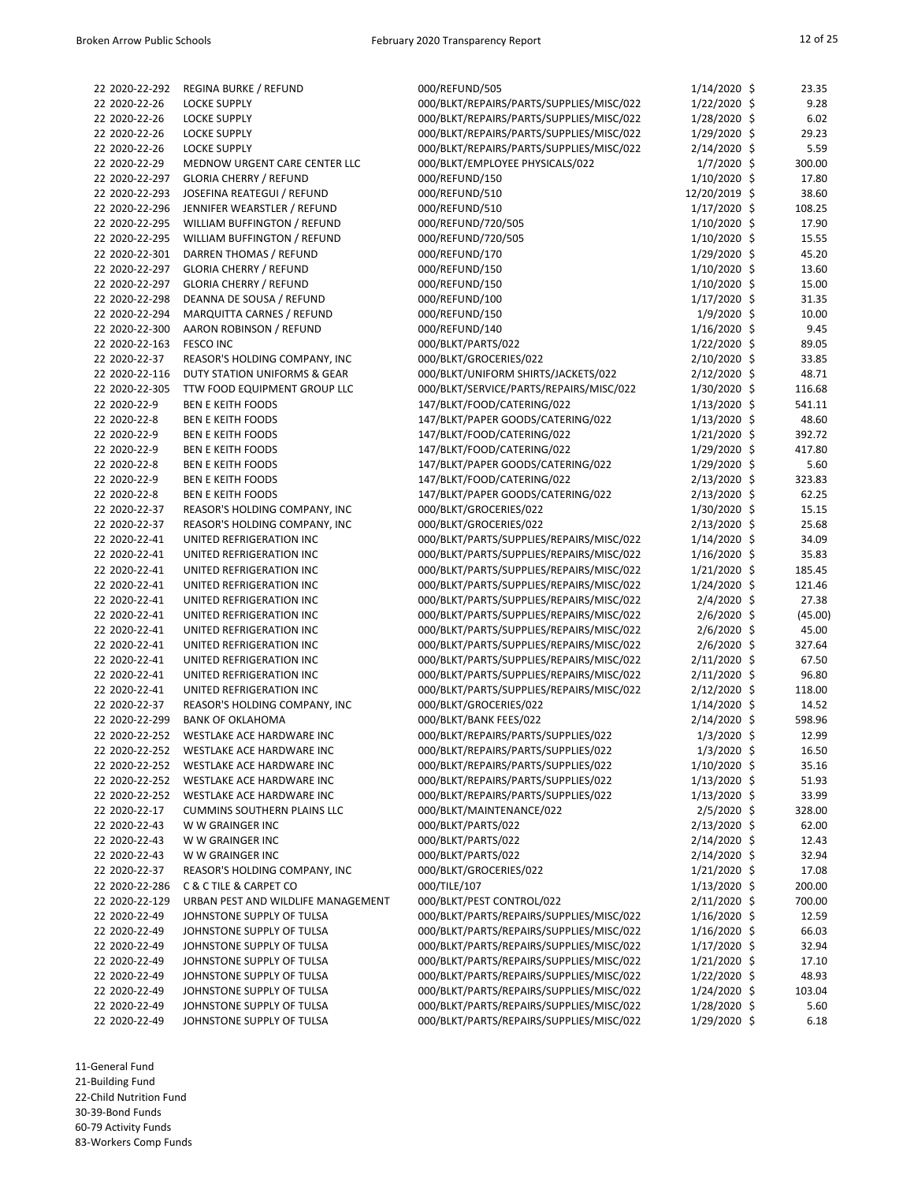| 22 2020-22-292                   | <b>REGINA BURKE / REFUND</b>            | 000/REFUND/505                           | $1/14/2020$ \$                 | 23.35   |
|----------------------------------|-----------------------------------------|------------------------------------------|--------------------------------|---------|
| 22 2020-22-26                    | <b>LOCKE SUPPLY</b>                     | 000/BLKT/REPAIRS/PARTS/SUPPLIES/MISC/022 | $1/22/2020$ \$                 | 9.28    |
| 22 2020-22-26                    | <b>LOCKE SUPPLY</b>                     | 000/BLKT/REPAIRS/PARTS/SUPPLIES/MISC/022 | 1/28/2020 \$                   | 6.02    |
| 22 2020-22-26                    | <b>LOCKE SUPPLY</b>                     | 000/BLKT/REPAIRS/PARTS/SUPPLIES/MISC/022 | 1/29/2020 \$                   | 29.23   |
| 22 2020-22-26                    | <b>LOCKE SUPPLY</b>                     | 000/BLKT/REPAIRS/PARTS/SUPPLIES/MISC/022 | 2/14/2020 \$                   | 5.59    |
| 22 2020-22-29                    | MEDNOW URGENT CARE CENTER LLC           | 000/BLKT/EMPLOYEE PHYSICALS/022          | $1/7/2020$ \$                  | 300.00  |
| 22 2020-22-297                   | <b>GLORIA CHERRY / REFUND</b>           | 000/REFUND/150                           | $1/10/2020$ \$                 | 17.80   |
| 22 2020-22-293                   | JOSEFINA REATEGUI / REFUND              | 000/REFUND/510                           | 12/20/2019 \$                  | 38.60   |
| 22 2020-22-296                   | JENNIFER WEARSTLER / REFUND             | 000/REFUND/510                           | $1/17/2020$ \$                 | 108.25  |
| 22 2020-22-295                   | WILLIAM BUFFINGTON / REFUND             | 000/REFUND/720/505                       | $1/10/2020$ \$                 | 17.90   |
| 22 2020-22-295                   | WILLIAM BUFFINGTON / REFUND             | 000/REFUND/720/505                       | $1/10/2020$ \$                 | 15.55   |
| 22 2020-22-301                   | DARREN THOMAS / REFUND                  | 000/REFUND/170                           | 1/29/2020 \$                   | 45.20   |
| 22 2020-22-297                   | <b>GLORIA CHERRY / REFUND</b>           | 000/REFUND/150                           | $1/10/2020$ \$                 | 13.60   |
| 22 2020-22-297                   | <b>GLORIA CHERRY / REFUND</b>           | 000/REFUND/150                           | $1/10/2020$ \$                 | 15.00   |
| 22 2020-22-298                   | DEANNA DE SOUSA / REFUND                | 000/REFUND/100                           | $1/17/2020$ \$                 | 31.35   |
| 22 2020-22-294                   | <b>MARQUITTA CARNES / REFUND</b>        | 000/REFUND/150                           | $1/9/2020$ \$                  | 10.00   |
| 22 2020-22-300                   | AARON ROBINSON / REFUND                 | 000/REFUND/140                           | 1/16/2020 \$                   | 9.45    |
| 22 2020-22-163                   | <b>FESCO INC</b>                        | 000/BLKT/PARTS/022                       | $1/22/2020$ \$                 | 89.05   |
| 22 2020-22-37                    | REASOR'S HOLDING COMPANY, INC           | 000/BLKT/GROCERIES/022                   | 2/10/2020 \$                   | 33.85   |
| 22 2020-22-116                   | <b>DUTY STATION UNIFORMS &amp; GEAR</b> | 000/BLKT/UNIFORM SHIRTS/JACKETS/022      | $2/12/2020$ \$                 | 48.71   |
| 22 2020-22-305                   | TTW FOOD EQUIPMENT GROUP LLC            | 000/BLKT/SERVICE/PARTS/REPAIRS/MISC/022  | 1/30/2020 \$                   | 116.68  |
| 22 2020-22-9                     | <b>BEN E KEITH FOODS</b>                | 147/BLKT/FOOD/CATERING/022               | 1/13/2020 \$                   | 541.11  |
| 22 2020-22-8                     | <b>BEN E KEITH FOODS</b>                | 147/BLKT/PAPER GOODS/CATERING/022        | $1/13/2020$ \$                 | 48.60   |
| 22 2020-22-9                     | <b>BEN E KEITH FOODS</b>                | 147/BLKT/FOOD/CATERING/022               | $1/21/2020$ \$                 | 392.72  |
| 22 2020-22-9                     | <b>BEN E KEITH FOODS</b>                | 147/BLKT/FOOD/CATERING/022               | 1/29/2020 \$                   | 417.80  |
| 22 2020-22-8                     | <b>BEN E KEITH FOODS</b>                | 147/BLKT/PAPER GOODS/CATERING/022        | $1/29/2020$ \$                 | 5.60    |
| 22 2020-22-9                     | <b>BEN E KEITH FOODS</b>                | 147/BLKT/FOOD/CATERING/022               | $2/13/2020$ \$                 | 323.83  |
| 22 2020-22-8                     | <b>BEN E KEITH FOODS</b>                | 147/BLKT/PAPER GOODS/CATERING/022        | 2/13/2020 \$                   | 62.25   |
| 22 2020-22-37                    | REASOR'S HOLDING COMPANY, INC           | 000/BLKT/GROCERIES/022                   | 1/30/2020 \$                   | 15.15   |
| 22 2020-22-37                    | REASOR'S HOLDING COMPANY, INC           | 000/BLKT/GROCERIES/022                   | 2/13/2020 \$                   | 25.68   |
| 22 2020-22-41                    | UNITED REFRIGERATION INC                | 000/BLKT/PARTS/SUPPLIES/REPAIRS/MISC/022 | $1/14/2020$ \$                 | 34.09   |
| 22 2020-22-41                    | UNITED REFRIGERATION INC                | 000/BLKT/PARTS/SUPPLIES/REPAIRS/MISC/022 | 1/16/2020 \$                   | 35.83   |
| 22 2020-22-41                    | UNITED REFRIGERATION INC                | 000/BLKT/PARTS/SUPPLIES/REPAIRS/MISC/022 | $1/21/2020$ \$                 | 185.45  |
| 22 2020-22-41                    | UNITED REFRIGERATION INC                | 000/BLKT/PARTS/SUPPLIES/REPAIRS/MISC/022 | $1/24/2020$ \$                 | 121.46  |
| 22 2020-22-41                    | UNITED REFRIGERATION INC                | 000/BLKT/PARTS/SUPPLIES/REPAIRS/MISC/022 | $2/4/2020$ \$                  | 27.38   |
| 22 2020-22-41                    | UNITED REFRIGERATION INC                | 000/BLKT/PARTS/SUPPLIES/REPAIRS/MISC/022 | 2/6/2020 \$                    | (45.00) |
| 22 2020-22-41                    | UNITED REFRIGERATION INC                | 000/BLKT/PARTS/SUPPLIES/REPAIRS/MISC/022 | $2/6/2020$ \$                  | 45.00   |
| 22 2020-22-41                    | UNITED REFRIGERATION INC                | 000/BLKT/PARTS/SUPPLIES/REPAIRS/MISC/022 | $2/6/2020$ \$                  | 327.64  |
| 22 2020-22-41                    | UNITED REFRIGERATION INC                | 000/BLKT/PARTS/SUPPLIES/REPAIRS/MISC/022 | 2/11/2020 \$                   | 67.50   |
| 22 2020-22-41                    | UNITED REFRIGERATION INC                | 000/BLKT/PARTS/SUPPLIES/REPAIRS/MISC/022 | 2/11/2020 \$                   | 96.80   |
| 22 2020-22-41                    | UNITED REFRIGERATION INC                | 000/BLKT/PARTS/SUPPLIES/REPAIRS/MISC/022 | 2/12/2020 \$                   | 118.00  |
| 22 2020-22-37                    | REASOR'S HOLDING COMPANY, INC           | 000/BLKT/GROCERIES/022                   | $1/14/2020$ \$                 | 14.52   |
| 22 2020-22-299                   | <b>BANK OF OKLAHOMA</b>                 | 000/BLKT/BANK FEES/022                   | 2/14/2020 \$                   | 598.96  |
| 22 2020-22-252                   | WESTLAKE ACE HARDWARE INC               | 000/BLKT/REPAIRS/PARTS/SUPPLIES/022      | $1/3/2020$ \$                  | 12.99   |
| 22 2020-22-252                   | WESTLAKE ACE HARDWARE INC               | 000/BLKT/REPAIRS/PARTS/SUPPLIES/022      | $1/3/2020$ \$                  | 16.50   |
| 22 2020-22-252                   | WESTLAKE ACE HARDWARE INC               | 000/BLKT/REPAIRS/PARTS/SUPPLIES/022      | $1/10/2020$ \$                 | 35.16   |
| 22 2020-22-252                   | WESTLAKE ACE HARDWARE INC               | 000/BLKT/REPAIRS/PARTS/SUPPLIES/022      | $1/13/2020$ \$                 | 51.93   |
| 22 2020-22-252                   | WESTLAKE ACE HARDWARE INC               | 000/BLKT/REPAIRS/PARTS/SUPPLIES/022      | $1/13/2020$ \$                 | 33.99   |
| 22 2020-22-17                    | <b>CUMMINS SOUTHERN PLAINS LLC</b>      | 000/BLKT/MAINTENANCE/022                 | $2/5/2020$ \$                  | 328.00  |
| 22 2020-22-43                    | W W GRAINGER INC                        | 000/BLKT/PARTS/022                       | 2/13/2020 \$                   | 62.00   |
| 22 2020-22-43                    | W W GRAINGER INC                        | 000/BLKT/PARTS/022                       | 2/14/2020 \$                   | 12.43   |
| 22 2020-22-43                    | W W GRAINGER INC                        | 000/BLKT/PARTS/022                       | 2/14/2020 \$                   | 32.94   |
| 22 2020-22-37                    | REASOR'S HOLDING COMPANY, INC           | 000/BLKT/GROCERIES/022                   | $1/21/2020$ \$                 | 17.08   |
|                                  | <b>C &amp; C TILE &amp; CARPET CO</b>   |                                          |                                |         |
| 22 2020-22-286<br>22 2020-22-129 | URBAN PEST AND WILDLIFE MANAGEMENT      | 000/TILE/107                             | $1/13/2020$ \$<br>2/11/2020 \$ | 200.00  |
| 22 2020-22-49                    | JOHNSTONE SUPPLY OF TULSA               | 000/BLKT/PEST CONTROL/022                |                                | 700.00  |
|                                  |                                         | 000/BLKT/PARTS/REPAIRS/SUPPLIES/MISC/022 | $1/16/2020$ \$                 | 12.59   |
| 22 2020-22-49                    | JOHNSTONE SUPPLY OF TULSA               | 000/BLKT/PARTS/REPAIRS/SUPPLIES/MISC/022 | $1/16/2020$ \$                 | 66.03   |
| 22 2020-22-49                    | JOHNSTONE SUPPLY OF TULSA               | 000/BLKT/PARTS/REPAIRS/SUPPLIES/MISC/022 | $1/17/2020$ \$                 | 32.94   |
| 22 2020-22-49                    | JOHNSTONE SUPPLY OF TULSA               | 000/BLKT/PARTS/REPAIRS/SUPPLIES/MISC/022 | $1/21/2020$ \$                 | 17.10   |
| 22 2020-22-49                    | JOHNSTONE SUPPLY OF TULSA               | 000/BLKT/PARTS/REPAIRS/SUPPLIES/MISC/022 | $1/22/2020$ \$                 | 48.93   |
| 22 2020-22-49                    | JOHNSTONE SUPPLY OF TULSA               | 000/BLKT/PARTS/REPAIRS/SUPPLIES/MISC/022 | 1/24/2020 \$                   | 103.04  |
| 22 2020-22-49                    | JOHNSTONE SUPPLY OF TULSA               | 000/BLKT/PARTS/REPAIRS/SUPPLIES/MISC/022 | 1/28/2020 \$                   | 5.60    |
| 22 2020-22-49                    | JOHNSTONE SUPPLY OF TULSA               | 000/BLKT/PARTS/REPAIRS/SUPPLIES/MISC/022 | 1/29/2020 \$                   | 6.18    |

11-General Fund

21-Building Fund

22-Child Nutrition Fund

30-39-Bond Funds

60-79 Activity Funds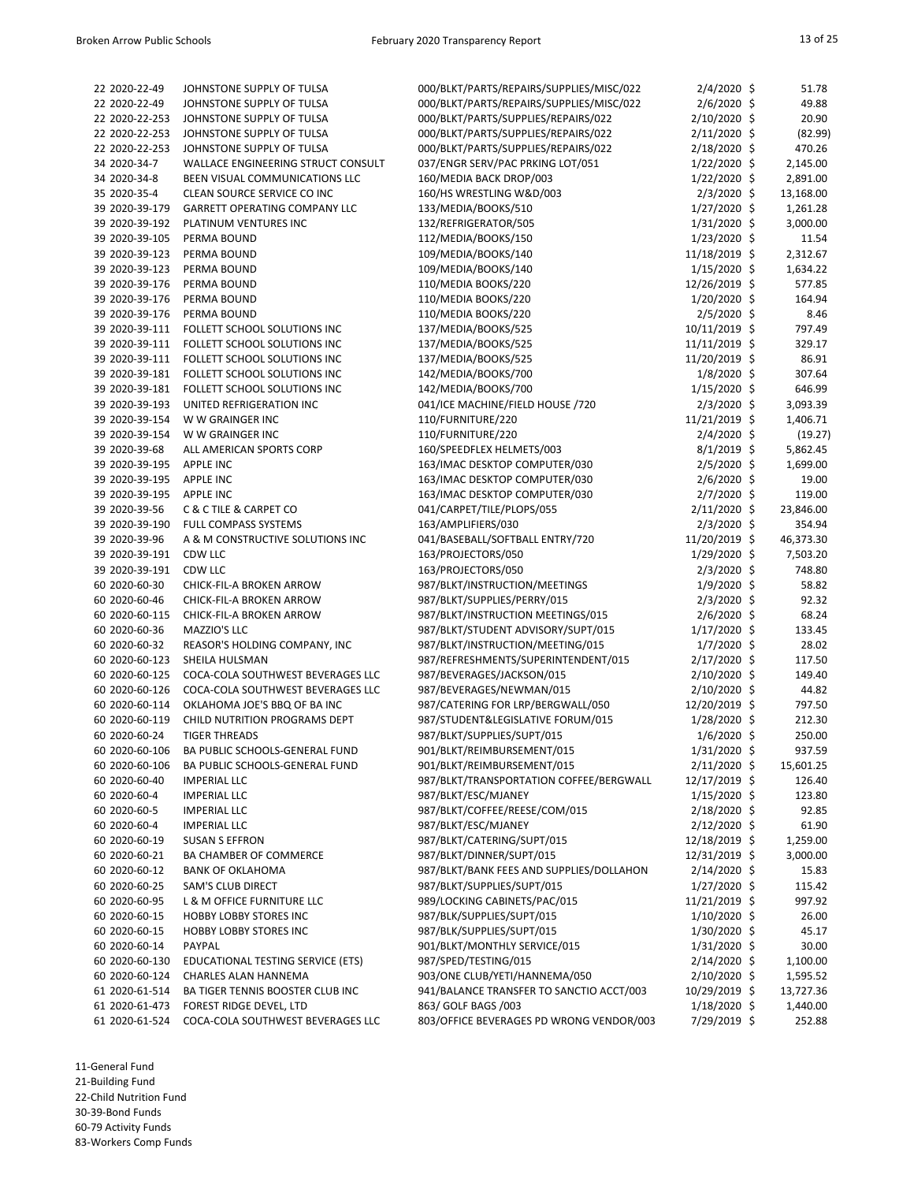| 22 2020-22-49  | JOHNSTONE SUPPLY OF TULSA             | 000/BLKT/PARTS/REPAIRS/SUPPLIES/MISC/022 | $2/4/2020$ \$   | 51.78     |
|----------------|---------------------------------------|------------------------------------------|-----------------|-----------|
| 22 2020-22-49  | JOHNSTONE SUPPLY OF TULSA             | 000/BLKT/PARTS/REPAIRS/SUPPLIES/MISC/022 | $2/6/2020$ \$   | 49.88     |
| 22 2020-22-253 | JOHNSTONE SUPPLY OF TULSA             | 000/BLKT/PARTS/SUPPLIES/REPAIRS/022      | 2/10/2020 \$    | 20.90     |
| 22 2020-22-253 | JOHNSTONE SUPPLY OF TULSA             | 000/BLKT/PARTS/SUPPLIES/REPAIRS/022      | 2/11/2020 \$    | (82.99)   |
| 22 2020-22-253 | JOHNSTONE SUPPLY OF TULSA             | 000/BLKT/PARTS/SUPPLIES/REPAIRS/022      | 2/18/2020 \$    | 470.26    |
| 34 2020-34-7   | WALLACE ENGINEERING STRUCT CONSULT    | 037/ENGR SERV/PAC PRKING LOT/051         | $1/22/2020$ \$  | 2,145.00  |
| 34 2020-34-8   | BEEN VISUAL COMMUNICATIONS LLC        | 160/MEDIA BACK DROP/003                  | $1/22/2020$ \$  | 2,891.00  |
| 35 2020-35-4   | CLEAN SOURCE SERVICE CO INC           | 160/HS WRESTLING W&D/003                 | $2/3/2020$ \$   | 13,168.00 |
| 39 2020-39-179 | <b>GARRETT OPERATING COMPANY LLC</b>  | 133/MEDIA/BOOKS/510                      | $1/27/2020$ \$  | 1,261.28  |
| 39 2020-39-192 | PLATINUM VENTURES INC                 | 132/REFRIGERATOR/505                     | $1/31/2020$ \$  | 3,000.00  |
|                |                                       |                                          |                 |           |
| 39 2020-39-105 | PERMA BOUND                           | 112/MEDIA/BOOKS/150                      | $1/23/2020$ \$  | 11.54     |
| 39 2020-39-123 | PERMA BOUND                           | 109/MEDIA/BOOKS/140                      | 11/18/2019 \$   | 2,312.67  |
| 39 2020-39-123 | PERMA BOUND                           | 109/MEDIA/BOOKS/140                      | $1/15/2020$ \$  | 1,634.22  |
| 39 2020-39-176 | PERMA BOUND                           | 110/MEDIA BOOKS/220                      | 12/26/2019 \$   | 577.85    |
| 39 2020-39-176 | PERMA BOUND                           | 110/MEDIA BOOKS/220                      | $1/20/2020$ \$  | 164.94    |
| 39 2020-39-176 | PERMA BOUND                           | 110/MEDIA BOOKS/220                      | $2/5/2020$ \$   | 8.46      |
| 39 2020-39-111 | FOLLETT SCHOOL SOLUTIONS INC          | 137/MEDIA/BOOKS/525                      | 10/11/2019 \$   | 797.49    |
| 39 2020-39-111 | FOLLETT SCHOOL SOLUTIONS INC          | 137/MEDIA/BOOKS/525                      | $11/11/2019$ \$ | 329.17    |
| 39 2020-39-111 | FOLLETT SCHOOL SOLUTIONS INC          | 137/MEDIA/BOOKS/525                      | 11/20/2019 \$   | 86.91     |
| 39 2020-39-181 | FOLLETT SCHOOL SOLUTIONS INC          | 142/MEDIA/BOOKS/700                      | $1/8/2020$ \$   | 307.64    |
| 39 2020-39-181 | FOLLETT SCHOOL SOLUTIONS INC          | 142/MEDIA/BOOKS/700                      | $1/15/2020$ \$  | 646.99    |
| 39 2020-39-193 | UNITED REFRIGERATION INC              | 041/ICE MACHINE/FIELD HOUSE /720         | $2/3/2020$ \$   | 3,093.39  |
| 39 2020-39-154 | W W GRAINGER INC                      | 110/FURNITURE/220                        | 11/21/2019 \$   | 1,406.71  |
| 39 2020-39-154 | W W GRAINGER INC                      | 110/FURNITURE/220                        | $2/4/2020$ \$   | (19.27)   |
| 39 2020-39-68  | ALL AMERICAN SPORTS CORP              | 160/SPEEDFLEX HELMETS/003                | $8/1/2019$ \$   | 5,862.45  |
| 39 2020-39-195 | <b>APPLE INC</b>                      | 163/IMAC DESKTOP COMPUTER/030            | $2/5/2020$ \$   | 1,699.00  |
| 39 2020-39-195 | <b>APPLE INC</b>                      | 163/IMAC DESKTOP COMPUTER/030            | $2/6/2020$ \$   | 19.00     |
| 39 2020-39-195 | <b>APPLE INC</b>                      | 163/IMAC DESKTOP COMPUTER/030            | $2/7/2020$ \$   | 119.00    |
| 39 2020-39-56  | <b>C &amp; C TILE &amp; CARPET CO</b> | 041/CARPET/TILE/PLOPS/055                | $2/11/2020$ \$  | 23,846.00 |
| 39 2020-39-190 | FULL COMPASS SYSTEMS                  | 163/AMPLIFIERS/030                       | $2/3/2020$ \$   | 354.94    |
| 39 2020-39-96  | A & M CONSTRUCTIVE SOLUTIONS INC      | 041/BASEBALL/SOFTBALL ENTRY/720          | 11/20/2019 \$   | 46,373.30 |
| 39 2020-39-191 | CDW LLC                               | 163/PROJECTORS/050                       | 1/29/2020 \$    | 7,503.20  |
| 39 2020-39-191 | CDW LLC                               | 163/PROJECTORS/050                       |                 | 748.80    |
|                |                                       |                                          | $2/3/2020$ \$   |           |
| 60 2020-60-30  | CHICK-FIL-A BROKEN ARROW              | 987/BLKT/INSTRUCTION/MEETINGS            | $1/9/2020$ \$   | 58.82     |
| 60 2020-60-46  | CHICK-FIL-A BROKEN ARROW              | 987/BLKT/SUPPLIES/PERRY/015              | $2/3/2020$ \$   | 92.32     |
| 60 2020-60-115 | CHICK-FIL-A BROKEN ARROW              | 987/BLKT/INSTRUCTION MEETINGS/015        | $2/6/2020$ \$   | 68.24     |
| 60 2020-60-36  | MAZZIO'S LLC                          | 987/BLKT/STUDENT ADVISORY/SUPT/015       | $1/17/2020$ \$  | 133.45    |
| 60 2020-60-32  | REASOR'S HOLDING COMPANY, INC         | 987/BLKT/INSTRUCTION/MEETING/015         | $1/7/2020$ \$   | 28.02     |
| 60 2020-60-123 | SHEILA HULSMAN                        | 987/REFRESHMENTS/SUPERINTENDENT/015      | 2/17/2020 \$    | 117.50    |
| 60 2020-60-125 | COCA-COLA SOUTHWEST BEVERAGES LLC     | 987/BEVERAGES/JACKSON/015                | $2/10/2020$ \$  | 149.40    |
| 60 2020-60-126 | COCA-COLA SOUTHWEST BEVERAGES LLC     | 987/BEVERAGES/NEWMAN/015                 | $2/10/2020$ \$  | 44.82     |
| 60 2020-60-114 | OKLAHOMA JOE'S BBQ OF BA INC          | 987/CATERING FOR LRP/BERGWALL/050        | 12/20/2019 \$   | 797.50    |
| 60 2020-60-119 | CHILD NUTRITION PROGRAMS DEPT         | 987/STUDENT&LEGISLATIVE FORUM/015        | $1/28/2020$ \$  | 212.30    |
| 60 2020-60-24  | <b>TIGER THREADS</b>                  | 987/BLKT/SUPPLIES/SUPT/015               | $1/6/2020$ \$   | 250.00    |
| 60 2020-60-106 | BA PUBLIC SCHOOLS-GENERAL FUND        | 901/BLKT/REIMBURSEMENT/015               | $1/31/2020$ \$  | 937.59    |
| 60 2020-60-106 | BA PUBLIC SCHOOLS-GENERAL FUND        | 901/BLKT/REIMBURSEMENT/015               | $2/11/2020$ \$  | 15,601.25 |
| 60 2020-60-40  | <b>IMPERIAL LLC</b>                   | 987/BLKT/TRANSPORTATION COFFEE/BERGWALL  | 12/17/2019 \$   | 126.40    |
| 60 2020-60-4   | <b>IMPERIAL LLC</b>                   | 987/BLKT/ESC/MJANEY                      | $1/15/2020$ \$  | 123.80    |
| 60 2020-60-5   | <b>IMPERIAL LLC</b>                   | 987/BLKT/COFFEE/REESE/COM/015            | 2/18/2020 \$    | 92.85     |
| 60 2020-60-4   | <b>IMPERIAL LLC</b>                   | 987/BLKT/ESC/MJANEY                      | $2/12/2020$ \$  | 61.90     |
| 60 2020-60-19  | <b>SUSAN S EFFRON</b>                 | 987/BLKT/CATERING/SUPT/015               | 12/18/2019 \$   | 1,259.00  |
| 60 2020-60-21  | BA CHAMBER OF COMMERCE                | 987/BLKT/DINNER/SUPT/015                 | 12/31/2019 \$   | 3,000.00  |
| 60 2020-60-12  | <b>BANK OF OKLAHOMA</b>               | 987/BLKT/BANK FEES AND SUPPLIES/DOLLAHON | 2/14/2020 \$    | 15.83     |
| 60 2020-60-25  | <b>SAM'S CLUB DIRECT</b>              | 987/BLKT/SUPPLIES/SUPT/015               | $1/27/2020$ \$  | 115.42    |
| 60 2020-60-95  | L & M OFFICE FURNITURE LLC            | 989/LOCKING CABINETS/PAC/015             | 11/21/2019 \$   | 997.92    |
| 60 2020-60-15  | <b>HOBBY LOBBY STORES INC</b>         | 987/BLK/SUPPLIES/SUPT/015                | $1/10/2020$ \$  | 26.00     |
| 60 2020-60-15  | <b>HOBBY LOBBY STORES INC</b>         | 987/BLK/SUPPLIES/SUPT/015                | $1/30/2020$ \$  | 45.17     |
| 60 2020-60-14  | PAYPAL                                | 901/BLKT/MONTHLY SERVICE/015             | $1/31/2020$ \$  | 30.00     |
| 60 2020-60-130 | EDUCATIONAL TESTING SERVICE (ETS)     | 987/SPED/TESTING/015                     | 2/14/2020 \$    | 1,100.00  |
| 60 2020-60-124 | <b>CHARLES ALAN HANNEMA</b>           |                                          |                 |           |
|                |                                       | 903/ONE CLUB/YETI/HANNEMA/050            | $2/10/2020$ \$  | 1,595.52  |
| 61 2020-61-514 | BA TIGER TENNIS BOOSTER CLUB INC      | 941/BALANCE TRANSFER TO SANCTIO ACCT/003 | 10/29/2019 \$   | 13,727.36 |
| 61 2020-61-473 | FOREST RIDGE DEVEL, LTD               | 863/ GOLF BAGS /003                      | $1/18/2020$ \$  | 1,440.00  |
| 61 2020-61-524 | COCA-COLA SOUTHWEST BEVERAGES LLC     | 803/OFFICE BEVERAGES PD WRONG VENDOR/003 | 7/29/2019 \$    | 252.88    |

11-General Fund 21-Building Fund 22-Child Nutrition Fund 30-39-Bond Funds 60-79 Activity Funds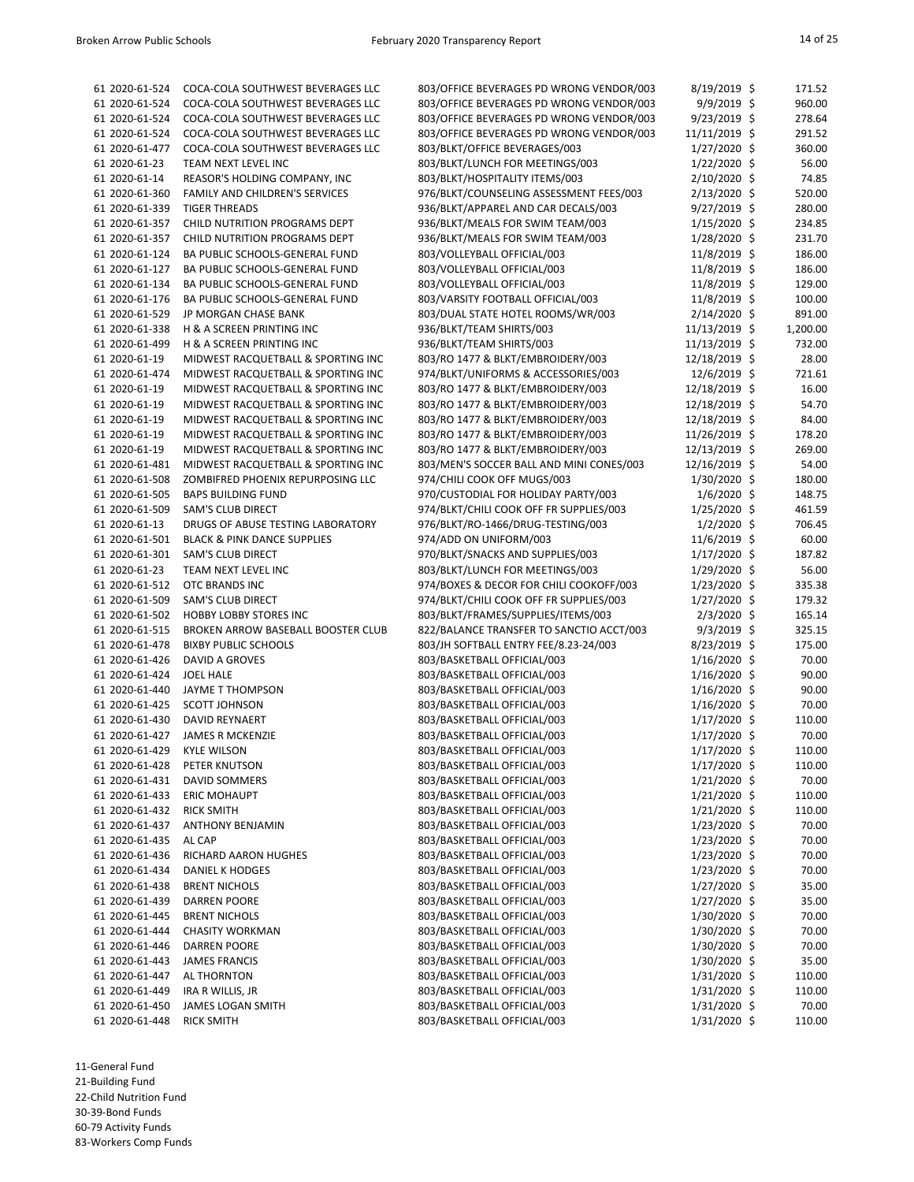| 61 2020-61-524                   | COCA-COLA SOUTHWEST BEVERAGES LLC      | 803/OFFICE BEVERAGES PD WRONG VENDOR/003 | $8/19/2019$ \$ | 171.52   |
|----------------------------------|----------------------------------------|------------------------------------------|----------------|----------|
| 61 2020-61-524                   | COCA-COLA SOUTHWEST BEVERAGES LLC      | 803/OFFICE BEVERAGES PD WRONG VENDOR/003 | $9/9/2019$ \$  | 960.00   |
| 61 2020-61-524                   | COCA-COLA SOUTHWEST BEVERAGES LLC      | 803/OFFICE BEVERAGES PD WRONG VENDOR/003 | $9/23/2019$ \$ | 278.64   |
| 61 2020-61-524                   | COCA-COLA SOUTHWEST BEVERAGES LLC      | 803/OFFICE BEVERAGES PD WRONG VENDOR/003 | 11/11/2019 \$  | 291.52   |
| 61 2020-61-477                   | COCA-COLA SOUTHWEST BEVERAGES LLC      | 803/BLKT/OFFICE BEVERAGES/003            | 1/27/2020 \$   | 360.00   |
| 61 2020-61-23                    | TEAM NEXT LEVEL INC                    | 803/BLKT/LUNCH FOR MEETINGS/003          | 1/22/2020 \$   | 56.00    |
| 61 2020-61-14                    | REASOR'S HOLDING COMPANY, INC          | 803/BLKT/HOSPITALITY ITEMS/003           | 2/10/2020 \$   | 74.85    |
| 61 2020-61-360                   | <b>FAMILY AND CHILDREN'S SERVICES</b>  | 976/BLKT/COUNSELING ASSESSMENT FEES/003  | 2/13/2020 \$   | 520.00   |
| 61 2020-61-339                   | <b>TIGER THREADS</b>                   | 936/BLKT/APPAREL AND CAR DECALS/003      | $9/27/2019$ \$ | 280.00   |
| 61 2020-61-357                   | <b>CHILD NUTRITION PROGRAMS DEPT</b>   | 936/BLKT/MEALS FOR SWIM TEAM/003         | $1/15/2020$ \$ | 234.85   |
| 61 2020-61-357                   | CHILD NUTRITION PROGRAMS DEPT          | 936/BLKT/MEALS FOR SWIM TEAM/003         | 1/28/2020 \$   | 231.70   |
| 61 2020-61-124                   | BA PUBLIC SCHOOLS-GENERAL FUND         | 803/VOLLEYBALL OFFICIAL/003              | 11/8/2019 \$   | 186.00   |
| 61 2020-61-127                   | BA PUBLIC SCHOOLS-GENERAL FUND         | 803/VOLLEYBALL OFFICIAL/003              | 11/8/2019 \$   | 186.00   |
| 61 2020-61-134                   | BA PUBLIC SCHOOLS-GENERAL FUND         | 803/VOLLEYBALL OFFICIAL/003              | 11/8/2019 \$   | 129.00   |
| 61 2020-61-176                   | BA PUBLIC SCHOOLS-GENERAL FUND         | 803/VARSITY FOOTBALL OFFICIAL/003        | 11/8/2019 \$   | 100.00   |
| 61 2020-61-529                   | JP MORGAN CHASE BANK                   | 803/DUAL STATE HOTEL ROOMS/WR/003        | 2/14/2020 \$   | 891.00   |
| 61 2020-61-338                   | H & A SCREEN PRINTING INC              | 936/BLKT/TEAM SHIRTS/003                 | 11/13/2019 \$  | 1,200.00 |
| 61 2020-61-499                   | H & A SCREEN PRINTING INC              | 936/BLKT/TEAM SHIRTS/003                 | 11/13/2019 \$  | 732.00   |
| 61 2020-61-19                    | MIDWEST RACQUETBALL & SPORTING INC     | 803/RO 1477 & BLKT/EMBROIDERY/003        | 12/18/2019 \$  | 28.00    |
| 61 2020-61-474                   | MIDWEST RACQUETBALL & SPORTING INC     | 974/BLKT/UNIFORMS & ACCESSORIES/003      | 12/6/2019 \$   | 721.61   |
| 61 2020-61-19                    | MIDWEST RACQUETBALL & SPORTING INC     | 803/RO 1477 & BLKT/EMBROIDERY/003        | 12/18/2019 \$  | 16.00    |
| 61 2020-61-19                    | MIDWEST RACQUETBALL & SPORTING INC     | 803/RO 1477 & BLKT/EMBROIDERY/003        | 12/18/2019 \$  | 54.70    |
| 61 2020-61-19                    | MIDWEST RACQUETBALL & SPORTING INC     | 803/RO 1477 & BLKT/EMBROIDERY/003        | 12/18/2019 \$  | 84.00    |
| 61 2020-61-19                    | MIDWEST RACQUETBALL & SPORTING INC     | 803/RO 1477 & BLKT/EMBROIDERY/003        | 11/26/2019 \$  | 178.20   |
| 61 2020-61-19                    | MIDWEST RACQUETBALL & SPORTING INC     | 803/RO 1477 & BLKT/EMBROIDERY/003        | 12/13/2019 \$  | 269.00   |
| 61 2020-61-481                   | MIDWEST RACQUETBALL & SPORTING INC     | 803/MEN'S SOCCER BALL AND MINI CONES/003 | 12/16/2019 \$  | 54.00    |
| 61 2020-61-508                   | ZOMBIFRED PHOENIX REPURPOSING LLC      | 974/CHILI COOK OFF MUGS/003              | 1/30/2020 \$   | 180.00   |
| 61 2020-61-505                   | <b>BAPS BUILDING FUND</b>              | 970/CUSTODIAL FOR HOLIDAY PARTY/003      | 1/6/2020 \$    | 148.75   |
| 61 2020-61-509                   | <b>SAM'S CLUB DIRECT</b>               | 974/BLKT/CHILI COOK OFF FR SUPPLIES/003  | 1/25/2020 \$   | 461.59   |
| 61 2020-61-13                    | DRUGS OF ABUSE TESTING LABORATORY      | 976/BLKT/RO-1466/DRUG-TESTING/003        | $1/2/2020$ \$  | 706.45   |
| 61 2020-61-501                   | <b>BLACK &amp; PINK DANCE SUPPLIES</b> | 974/ADD ON UNIFORM/003                   | 11/6/2019 \$   | 60.00    |
| 61 2020-61-301                   | <b>SAM'S CLUB DIRECT</b>               | 970/BLKT/SNACKS AND SUPPLIES/003         | 1/17/2020 \$   | 187.82   |
| 61 2020-61-23                    | TEAM NEXT LEVEL INC                    | 803/BLKT/LUNCH FOR MEETINGS/003          | $1/29/2020$ \$ | 56.00    |
| 61 2020-61-512                   | OTC BRANDS INC                         | 974/BOXES & DECOR FOR CHILI COOKOFF/003  | $1/23/2020$ \$ | 335.38   |
| 61 2020-61-509                   | <b>SAM'S CLUB DIRECT</b>               | 974/BLKT/CHILI COOK OFF FR SUPPLIES/003  | $1/27/2020$ \$ | 179.32   |
| 61 2020-61-502                   | <b>HOBBY LOBBY STORES INC</b>          | 803/BLKT/FRAMES/SUPPLIES/ITEMS/003       | $2/3/2020$ \$  | 165.14   |
| 61 2020-61-515                   | BROKEN ARROW BASEBALL BOOSTER CLUB     | 822/BALANCE TRANSFER TO SANCTIO ACCT/003 | $9/3/2019$ \$  | 325.15   |
| 61 2020-61-478                   | <b>BIXBY PUBLIC SCHOOLS</b>            | 803/JH SOFTBALL ENTRY FEE/8.23-24/003    | $8/23/2019$ \$ | 175.00   |
| 61 2020-61-426                   | DAVID A GROVES                         | 803/BASKETBALL OFFICIAL/003              | $1/16/2020$ \$ | 70.00    |
| 61 2020-61-424                   | <b>JOEL HALE</b>                       | 803/BASKETBALL OFFICIAL/003              | $1/16/2020$ \$ | 90.00    |
| 61 2020-61-440                   | JAYME T THOMPSON                       | 803/BASKETBALL OFFICIAL/003              | $1/16/2020$ \$ | 90.00    |
| 61 2020-61-425                   | <b>SCOTT JOHNSON</b>                   | 803/BASKETBALL OFFICIAL/003              | $1/16/2020$ \$ | 70.00    |
| 61 2020-61-430                   | <b>DAVID REYNAERT</b>                  | 803/BASKETBALL OFFICIAL/003              | $1/17/2020$ \$ | 110.00   |
| 61 2020-61-427                   | <b>JAMES R MCKENZIE</b>                | 803/BASKETBALL OFFICIAL/003              | $1/17/2020$ \$ | 70.00    |
| 61 2020-61-429                   | <b>KYLE WILSON</b>                     | 803/BASKETBALL OFFICIAL/003              | $1/17/2020$ \$ | 110.00   |
| 61 2020-61-428                   | PETER KNUTSON                          |                                          |                | 110.00   |
|                                  |                                        | 803/BASKETBALL OFFICIAL/003              | $1/17/2020$ \$ |          |
| 61 2020-61-431<br>61 2020-61-433 | DAVID SOMMERS                          | 803/BASKETBALL OFFICIAL/003              | $1/21/2020$ \$ | 70.00    |
|                                  | <b>ERIC MOHAUPT</b>                    | 803/BASKETBALL OFFICIAL/003              | $1/21/2020$ \$ | 110.00   |
| 61 2020-61-432                   | <b>RICK SMITH</b>                      | 803/BASKETBALL OFFICIAL/003              | $1/21/2020$ \$ | 110.00   |
| 61 2020-61-437                   | <b>ANTHONY BENJAMIN</b>                | 803/BASKETBALL OFFICIAL/003              | 1/23/2020 \$   | 70.00    |
| 61 2020-61-435                   | AL CAP                                 | 803/BASKETBALL OFFICIAL/003              | $1/23/2020$ \$ | 70.00    |
| 61 2020-61-436                   | RICHARD AARON HUGHES                   | 803/BASKETBALL OFFICIAL/003              | $1/23/2020$ \$ | 70.00    |
| 61 2020-61-434                   | DANIEL K HODGES                        | 803/BASKETBALL OFFICIAL/003              | 1/23/2020 \$   | 70.00    |
| 61 2020-61-438                   | <b>BRENT NICHOLS</b>                   | 803/BASKETBALL OFFICIAL/003              | $1/27/2020$ \$ | 35.00    |
| 61 2020-61-439                   | DARREN POORE                           | 803/BASKETBALL OFFICIAL/003              | $1/27/2020$ \$ | 35.00    |
| 61 2020-61-445                   | <b>BRENT NICHOLS</b>                   | 803/BASKETBALL OFFICIAL/003              | 1/30/2020 \$   | 70.00    |
| 61 2020-61-444                   | <b>CHASITY WORKMAN</b>                 | 803/BASKETBALL OFFICIAL/003              | 1/30/2020 \$   | 70.00    |
| 61 2020-61-446                   | DARREN POORE                           | 803/BASKETBALL OFFICIAL/003              | 1/30/2020 \$   | 70.00    |
| 61 2020-61-443                   | <b>JAMES FRANCIS</b>                   | 803/BASKETBALL OFFICIAL/003              | 1/30/2020 \$   | 35.00    |
| 61 2020-61-447                   | AL THORNTON                            | 803/BASKETBALL OFFICIAL/003              | $1/31/2020$ \$ | 110.00   |
| 61 2020-61-449                   | IRA R WILLIS, JR                       | 803/BASKETBALL OFFICIAL/003              | 1/31/2020 \$   | 110.00   |
| 61 2020-61-450                   | <b>JAMES LOGAN SMITH</b>               | 803/BASKETBALL OFFICIAL/003              | $1/31/2020$ \$ | 70.00    |
| 61 2020-61-448                   | <b>RICK SMITH</b>                      | 803/BASKETBALL OFFICIAL/003              | 1/31/2020 \$   | 110.00   |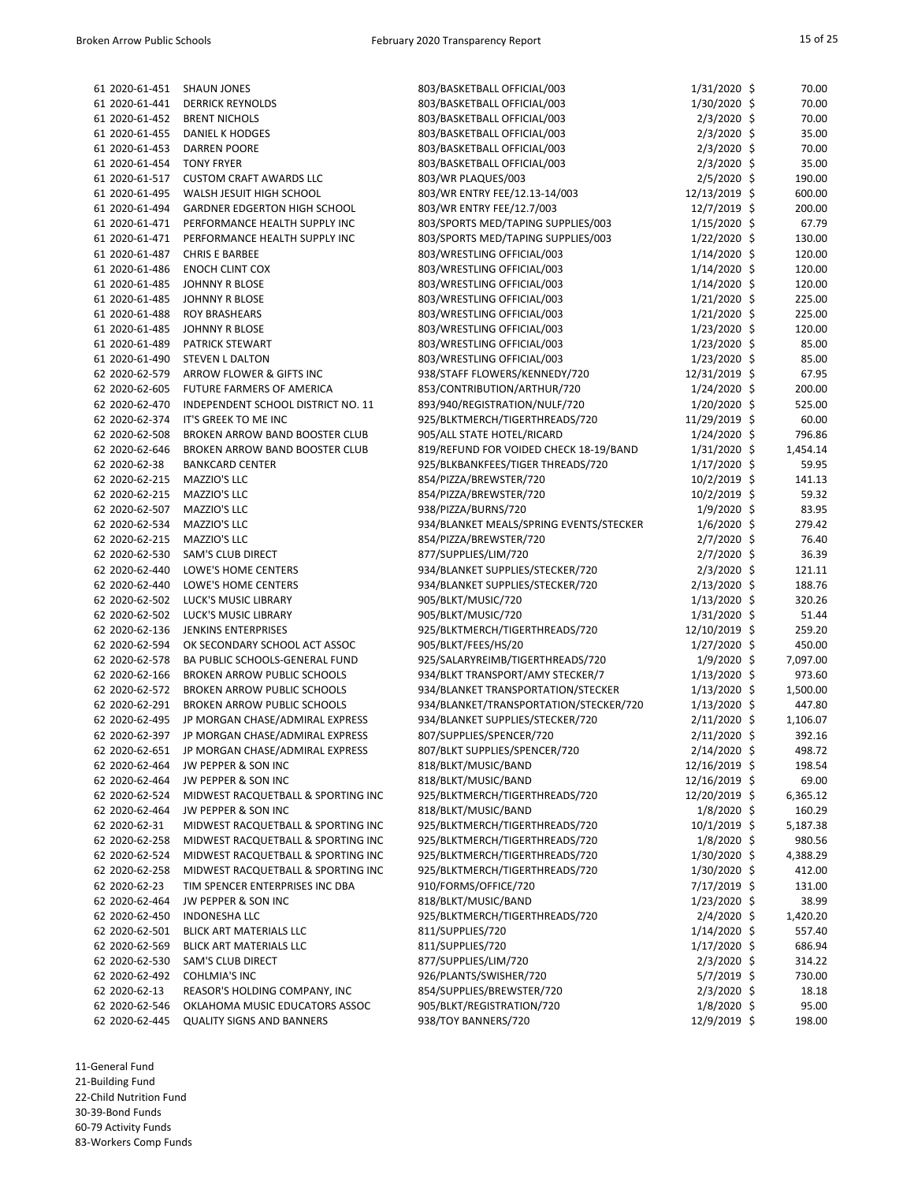| 61 2020-61-451 | <b>SHAUN JONES</b>                  | 803/BASKETBALL OFFICIAL/003             | $1/31/2020$ \$ | 70.00    |
|----------------|-------------------------------------|-----------------------------------------|----------------|----------|
| 61 2020-61-441 | <b>DERRICK REYNOLDS</b>             | 803/BASKETBALL OFFICIAL/003             | 1/30/2020 \$   | 70.00    |
| 61 2020-61-452 | <b>BRENT NICHOLS</b>                | 803/BASKETBALL OFFICIAL/003             | $2/3/2020$ \$  | 70.00    |
| 61 2020-61-455 | <b>DANIEL K HODGES</b>              | 803/BASKETBALL OFFICIAL/003             | $2/3/2020$ \$  | 35.00    |
| 61 2020-61-453 | <b>DARREN POORE</b>                 | 803/BASKETBALL OFFICIAL/003             | $2/3/2020$ \$  | 70.00    |
| 61 2020-61-454 | <b>TONY FRYER</b>                   | 803/BASKETBALL OFFICIAL/003             | $2/3/2020$ \$  | 35.00    |
| 61 2020-61-517 | <b>CUSTOM CRAFT AWARDS LLC</b>      | 803/WR PLAQUES/003                      | $2/5/2020$ \$  | 190.00   |
| 61 2020-61-495 | WALSH JESUIT HIGH SCHOOL            | 803/WR ENTRY FEE/12.13-14/003           | 12/13/2019 \$  | 600.00   |
| 61 2020-61-494 | <b>GARDNER EDGERTON HIGH SCHOOL</b> | 803/WR ENTRY FEE/12.7/003               | 12/7/2019 \$   | 200.00   |
| 61 2020-61-471 | PERFORMANCE HEALTH SUPPLY INC       | 803/SPORTS MED/TAPING SUPPLIES/003      | $1/15/2020$ \$ | 67.79    |
| 61 2020-61-471 | PERFORMANCE HEALTH SUPPLY INC       |                                         |                | 130.00   |
|                |                                     | 803/SPORTS MED/TAPING SUPPLIES/003      | $1/22/2020$ \$ |          |
| 61 2020-61-487 | <b>CHRIS E BARBEE</b>               | 803/WRESTLING OFFICIAL/003              | $1/14/2020$ \$ | 120.00   |
| 61 2020-61-486 | <b>ENOCH CLINT COX</b>              | 803/WRESTLING OFFICIAL/003              | $1/14/2020$ \$ | 120.00   |
| 61 2020-61-485 | <b>JOHNNY R BLOSE</b>               | 803/WRESTLING OFFICIAL/003              | $1/14/2020$ \$ | 120.00   |
| 61 2020-61-485 | <b>JOHNNY R BLOSE</b>               | 803/WRESTLING OFFICIAL/003              | $1/21/2020$ \$ | 225.00   |
| 61 2020-61-488 | <b>ROY BRASHEARS</b>                | 803/WRESTLING OFFICIAL/003              | $1/21/2020$ \$ | 225.00   |
| 61 2020-61-485 | <b>JOHNNY R BLOSE</b>               | 803/WRESTLING OFFICIAL/003              | 1/23/2020 \$   | 120.00   |
| 61 2020-61-489 | PATRICK STEWART                     | 803/WRESTLING OFFICIAL/003              | 1/23/2020 \$   | 85.00    |
| 61 2020-61-490 | <b>STEVEN L DALTON</b>              | 803/WRESTLING OFFICIAL/003              | $1/23/2020$ \$ | 85.00    |
| 62 2020-62-579 | ARROW FLOWER & GIFTS INC            | 938/STAFF FLOWERS/KENNEDY/720           | 12/31/2019 \$  | 67.95    |
| 62 2020-62-605 | FUTURE FARMERS OF AMERICA           | 853/CONTRIBUTION/ARTHUR/720             | $1/24/2020$ \$ | 200.00   |
| 62 2020-62-470 | INDEPENDENT SCHOOL DISTRICT NO. 11  | 893/940/REGISTRATION/NULF/720           | $1/20/2020$ \$ | 525.00   |
| 62 2020-62-374 | IT'S GREEK TO ME INC                | 925/BLKTMERCH/TIGERTHREADS/720          | 11/29/2019 \$  | 60.00    |
| 62 2020-62-508 | BROKEN ARROW BAND BOOSTER CLUB      | 905/ALL STATE HOTEL/RICARD              | $1/24/2020$ \$ | 796.86   |
| 62 2020-62-646 | BROKEN ARROW BAND BOOSTER CLUB      | 819/REFUND FOR VOIDED CHECK 18-19/BAND  | $1/31/2020$ \$ | 1,454.14 |
| 62 2020-62-38  | <b>BANKCARD CENTER</b>              | 925/BLKBANKFEES/TIGER THREADS/720       | $1/17/2020$ \$ | 59.95    |
| 62 2020-62-215 | MAZZIO'S LLC                        | 854/PIZZA/BREWSTER/720                  | $10/2/2019$ \$ | 141.13   |
| 62 2020-62-215 | MAZZIO'S LLC                        | 854/PIZZA/BREWSTER/720                  | $10/2/2019$ \$ | 59.32    |
| 62 2020-62-507 | MAZZIO'S LLC                        | 938/PIZZA/BURNS/720                     | $1/9/2020$ \$  | 83.95    |
| 62 2020-62-534 | MAZZIO'S LLC                        | 934/BLANKET MEALS/SPRING EVENTS/STECKER | $1/6/2020$ \$  | 279.42   |
| 62 2020-62-215 | MAZZIO'S LLC                        | 854/PIZZA/BREWSTER/720                  | $2/7/2020$ \$  | 76.40    |
|                |                                     |                                         |                |          |
| 62 2020-62-530 | <b>SAM'S CLUB DIRECT</b>            | 877/SUPPLIES/LIM/720                    | 2/7/2020 \$    | 36.39    |
| 62 2020-62-440 | LOWE'S HOME CENTERS                 | 934/BLANKET SUPPLIES/STECKER/720        | $2/3/2020$ \$  | 121.11   |
| 62 2020-62-440 | LOWE'S HOME CENTERS                 | 934/BLANKET SUPPLIES/STECKER/720        | 2/13/2020 \$   | 188.76   |
| 62 2020-62-502 | LUCK'S MUSIC LIBRARY                | 905/BLKT/MUSIC/720                      | $1/13/2020$ \$ | 320.26   |
| 62 2020-62-502 | LUCK'S MUSIC LIBRARY                | 905/BLKT/MUSIC/720                      | 1/31/2020 \$   | 51.44    |
| 62 2020-62-136 | <b>JENKINS ENTERPRISES</b>          | 925/BLKTMERCH/TIGERTHREADS/720          | 12/10/2019 \$  | 259.20   |
| 62 2020-62-594 | OK SECONDARY SCHOOL ACT ASSOC       | 905/BLKT/FEES/HS/20                     | $1/27/2020$ \$ | 450.00   |
| 62 2020-62-578 | BA PUBLIC SCHOOLS-GENERAL FUND      | 925/SALARYREIMB/TIGERTHREADS/720        | $1/9/2020$ \$  | 7,097.00 |
| 62 2020-62-166 | <b>BROKEN ARROW PUBLIC SCHOOLS</b>  | 934/BLKT TRANSPORT/AMY STECKER/7        | $1/13/2020$ \$ | 973.60   |
| 62 2020-62-572 | <b>BROKEN ARROW PUBLIC SCHOOLS</b>  | 934/BLANKET TRANSPORTATION/STECKER      | $1/13/2020$ \$ | 1,500.00 |
| 62 2020-62-291 | <b>BROKEN ARROW PUBLIC SCHOOLS</b>  | 934/BLANKET/TRANSPORTATION/STECKER/720  | $1/13/2020$ \$ | 447.80   |
| 62 2020-62-495 | JP MORGAN CHASE/ADMIRAL EXPRESS     | 934/BLANKET SUPPLIES/STECKER/720        | $2/11/2020$ \$ | 1,106.07 |
| 62 2020-62-397 | JP MORGAN CHASE/ADMIRAL EXPRESS     | 807/SUPPLIES/SPENCER/720                | 2/11/2020 \$   | 392.16   |
| 62 2020-62-651 | JP MORGAN CHASE/ADMIRAL EXPRESS     | 807/BLKT SUPPLIES/SPENCER/720           | $2/14/2020$ \$ | 498.72   |
| 62 2020-62-464 | JW PEPPER & SON INC                 | 818/BLKT/MUSIC/BAND                     | 12/16/2019 \$  | 198.54   |
| 62 2020-62-464 | JW PEPPER & SON INC                 | 818/BLKT/MUSIC/BAND                     | 12/16/2019 \$  | 69.00    |
| 62 2020-62-524 | MIDWEST RACQUETBALL & SPORTING INC  | 925/BLKTMERCH/TIGERTHREADS/720          | 12/20/2019 \$  | 6,365.12 |
| 62 2020-62-464 | JW PEPPER & SON INC                 | 818/BLKT/MUSIC/BAND                     | $1/8/2020$ \$  | 160.29   |
| 62 2020-62-31  | MIDWEST RACQUETBALL & SPORTING INC  | 925/BLKTMERCH/TIGERTHREADS/720          | $10/1/2019$ \$ | 5,187.38 |
| 62 2020-62-258 | MIDWEST RACQUETBALL & SPORTING INC  | 925/BLKTMERCH/TIGERTHREADS/720          | $1/8/2020$ \$  | 980.56   |
| 62 2020-62-524 | MIDWEST RACQUETBALL & SPORTING INC  | 925/BLKTMERCH/TIGERTHREADS/720          | 1/30/2020 \$   | 4,388.29 |
| 62 2020-62-258 | MIDWEST RACQUETBALL & SPORTING INC  | 925/BLKTMERCH/TIGERTHREADS/720          | 1/30/2020 \$   | 412.00   |
| 62 2020-62-23  | TIM SPENCER ENTERPRISES INC DBA     |                                         | 7/17/2019 \$   | 131.00   |
|                |                                     | 910/FORMS/OFFICE/720                    |                |          |
| 62 2020-62-464 | JW PEPPER & SON INC                 | 818/BLKT/MUSIC/BAND                     | $1/23/2020$ \$ | 38.99    |
| 62 2020-62-450 | <b>INDONESHA LLC</b>                | 925/BLKTMERCH/TIGERTHREADS/720          | $2/4/2020$ \$  | 1,420.20 |
| 62 2020-62-501 | <b>BLICK ART MATERIALS LLC</b>      | 811/SUPPLIES/720                        | $1/14/2020$ \$ | 557.40   |
| 62 2020-62-569 | <b>BLICK ART MATERIALS LLC</b>      | 811/SUPPLIES/720                        | $1/17/2020$ \$ | 686.94   |
| 62 2020-62-530 | <b>SAM'S CLUB DIRECT</b>            | 877/SUPPLIES/LIM/720                    | $2/3/2020$ \$  | 314.22   |
| 62 2020-62-492 | <b>COHLMIA'S INC</b>                | 926/PLANTS/SWISHER/720                  | $5/7/2019$ \$  | 730.00   |
| 62 2020-62-13  | REASOR'S HOLDING COMPANY, INC       | 854/SUPPLIES/BREWSTER/720               | $2/3/2020$ \$  | 18.18    |
| 62 2020-62-546 | OKLAHOMA MUSIC EDUCATORS ASSOC      | 905/BLKT/REGISTRATION/720               | $1/8/2020$ \$  | 95.00    |
| 62 2020-62-445 | <b>QUALITY SIGNS AND BANNERS</b>    | 938/TOY BANNERS/720                     | 12/9/2019 \$   | 198.00   |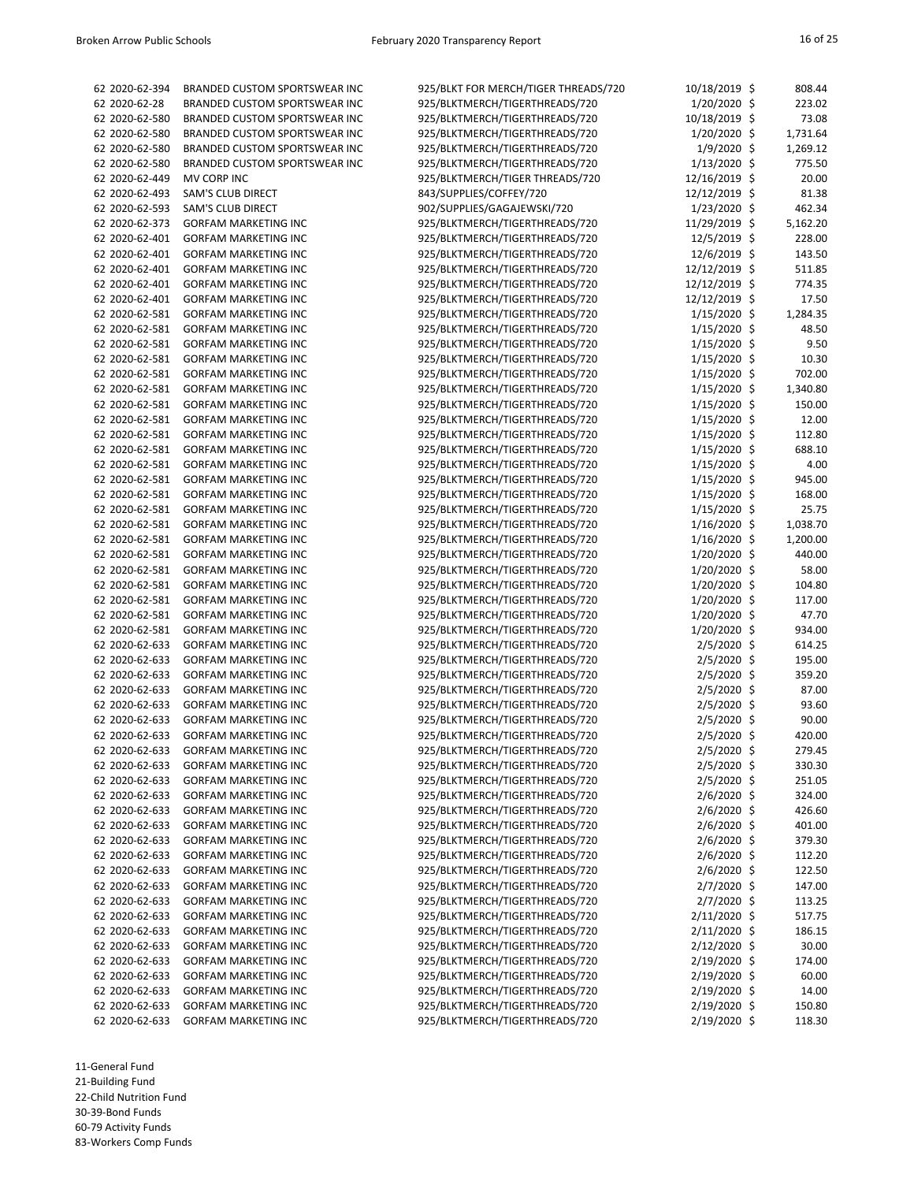| 62 2020-62-394 | BRANDED CUSTOM SPORTSWEAR INC        | 925/BLKT FOR MERCH/TIGER THREADS/720 | 10/18/2019 \$  | 808.44   |
|----------------|--------------------------------------|--------------------------------------|----------------|----------|
| 62 2020-62-28  | BRANDED CUSTOM SPORTSWEAR INC        | 925/BLKTMERCH/TIGERTHREADS/720       | $1/20/2020$ \$ | 223.02   |
| 62 2020-62-580 | <b>BRANDED CUSTOM SPORTSWEAR INC</b> | 925/BLKTMERCH/TIGERTHREADS/720       | 10/18/2019 \$  | 73.08    |
| 62 2020-62-580 | <b>BRANDED CUSTOM SPORTSWEAR INC</b> | 925/BLKTMERCH/TIGERTHREADS/720       | $1/20/2020$ \$ | 1,731.64 |
| 62 2020-62-580 | BRANDED CUSTOM SPORTSWEAR INC        | 925/BLKTMERCH/TIGERTHREADS/720       | $1/9/2020$ \$  | 1,269.12 |
| 62 2020-62-580 | BRANDED CUSTOM SPORTSWEAR INC        | 925/BLKTMERCH/TIGERTHREADS/720       | $1/13/2020$ \$ | 775.50   |
| 62 2020-62-449 | MV CORP INC                          | 925/BLKTMERCH/TIGER THREADS/720      | 12/16/2019 \$  | 20.00    |
| 62 2020-62-493 | <b>SAM'S CLUB DIRECT</b>             | 843/SUPPLIES/COFFEY/720              | 12/12/2019 \$  | 81.38    |
| 62 2020-62-593 | <b>SAM'S CLUB DIRECT</b>             | 902/SUPPLIES/GAGAJEWSKI/720          | $1/23/2020$ \$ | 462.34   |
| 62 2020-62-373 | <b>GORFAM MARKETING INC</b>          | 925/BLKTMERCH/TIGERTHREADS/720       | 11/29/2019 \$  | 5,162.20 |
| 62 2020-62-401 | <b>GORFAM MARKETING INC</b>          | 925/BLKTMERCH/TIGERTHREADS/720       | 12/5/2019 \$   | 228.00   |
|                |                                      |                                      |                |          |
| 62 2020-62-401 | <b>GORFAM MARKETING INC</b>          | 925/BLKTMERCH/TIGERTHREADS/720       | 12/6/2019 \$   | 143.50   |
| 62 2020-62-401 | <b>GORFAM MARKETING INC</b>          | 925/BLKTMERCH/TIGERTHREADS/720       | 12/12/2019 \$  | 511.85   |
| 62 2020-62-401 | <b>GORFAM MARKETING INC</b>          | 925/BLKTMERCH/TIGERTHREADS/720       | 12/12/2019 \$  | 774.35   |
| 62 2020-62-401 | <b>GORFAM MARKETING INC</b>          | 925/BLKTMERCH/TIGERTHREADS/720       | 12/12/2019 \$  | 17.50    |
| 62 2020-62-581 | <b>GORFAM MARKETING INC</b>          | 925/BLKTMERCH/TIGERTHREADS/720       | $1/15/2020$ \$ | 1,284.35 |
| 62 2020-62-581 | <b>GORFAM MARKETING INC</b>          | 925/BLKTMERCH/TIGERTHREADS/720       | $1/15/2020$ \$ | 48.50    |
| 62 2020-62-581 | <b>GORFAM MARKETING INC</b>          | 925/BLKTMERCH/TIGERTHREADS/720       | $1/15/2020$ \$ | 9.50     |
| 62 2020-62-581 | <b>GORFAM MARKETING INC</b>          | 925/BLKTMERCH/TIGERTHREADS/720       | $1/15/2020$ \$ | 10.30    |
| 62 2020-62-581 | <b>GORFAM MARKETING INC</b>          | 925/BLKTMERCH/TIGERTHREADS/720       | 1/15/2020 \$   | 702.00   |
| 62 2020-62-581 | <b>GORFAM MARKETING INC</b>          | 925/BLKTMERCH/TIGERTHREADS/720       | $1/15/2020$ \$ | 1,340.80 |
| 62 2020-62-581 | <b>GORFAM MARKETING INC</b>          | 925/BLKTMERCH/TIGERTHREADS/720       | $1/15/2020$ \$ | 150.00   |
| 62 2020-62-581 | <b>GORFAM MARKETING INC</b>          | 925/BLKTMERCH/TIGERTHREADS/720       | $1/15/2020$ \$ | 12.00    |
| 62 2020-62-581 | <b>GORFAM MARKETING INC</b>          | 925/BLKTMERCH/TIGERTHREADS/720       | $1/15/2020$ \$ | 112.80   |
| 62 2020-62-581 | <b>GORFAM MARKETING INC</b>          | 925/BLKTMERCH/TIGERTHREADS/720       | $1/15/2020$ \$ | 688.10   |
|                |                                      |                                      |                |          |
| 62 2020-62-581 | <b>GORFAM MARKETING INC</b>          | 925/BLKTMERCH/TIGERTHREADS/720       | 1/15/2020 \$   | 4.00     |
| 62 2020-62-581 | <b>GORFAM MARKETING INC</b>          | 925/BLKTMERCH/TIGERTHREADS/720       | 1/15/2020 \$   | 945.00   |
| 62 2020-62-581 | <b>GORFAM MARKETING INC</b>          | 925/BLKTMERCH/TIGERTHREADS/720       | $1/15/2020$ \$ | 168.00   |
| 62 2020-62-581 | <b>GORFAM MARKETING INC</b>          | 925/BLKTMERCH/TIGERTHREADS/720       | $1/15/2020$ \$ | 25.75    |
| 62 2020-62-581 | <b>GORFAM MARKETING INC</b>          | 925/BLKTMERCH/TIGERTHREADS/720       | $1/16/2020$ \$ | 1,038.70 |
| 62 2020-62-581 | <b>GORFAM MARKETING INC</b>          | 925/BLKTMERCH/TIGERTHREADS/720       | $1/16/2020$ \$ | 1,200.00 |
| 62 2020-62-581 | <b>GORFAM MARKETING INC</b>          | 925/BLKTMERCH/TIGERTHREADS/720       | $1/20/2020$ \$ | 440.00   |
| 62 2020-62-581 | <b>GORFAM MARKETING INC</b>          | 925/BLKTMERCH/TIGERTHREADS/720       | 1/20/2020 \$   | 58.00    |
| 62 2020-62-581 | <b>GORFAM MARKETING INC</b>          | 925/BLKTMERCH/TIGERTHREADS/720       | 1/20/2020 \$   | 104.80   |
| 62 2020-62-581 | <b>GORFAM MARKETING INC</b>          | 925/BLKTMERCH/TIGERTHREADS/720       | 1/20/2020 \$   | 117.00   |
| 62 2020-62-581 | <b>GORFAM MARKETING INC</b>          | 925/BLKTMERCH/TIGERTHREADS/720       | $1/20/2020$ \$ | 47.70    |
| 62 2020-62-581 | <b>GORFAM MARKETING INC</b>          | 925/BLKTMERCH/TIGERTHREADS/720       | 1/20/2020 \$   | 934.00   |
| 62 2020-62-633 | <b>GORFAM MARKETING INC</b>          | 925/BLKTMERCH/TIGERTHREADS/720       | $2/5/2020$ \$  | 614.25   |
| 62 2020-62-633 | <b>GORFAM MARKETING INC</b>          | 925/BLKTMERCH/TIGERTHREADS/720       | $2/5/2020$ \$  | 195.00   |
| 62 2020-62-633 | <b>GORFAM MARKETING INC</b>          | 925/BLKTMERCH/TIGERTHREADS/720       | $2/5/2020$ \$  | 359.20   |
| 62 2020-62-633 | <b>GORFAM MARKETING INC</b>          | 925/BLKTMERCH/TIGERTHREADS/720       | $2/5/2020$ \$  | 87.00    |
| 62 2020-62-633 | <b>GORFAM MARKETING INC</b>          | 925/BLKTMERCH/TIGERTHREADS/720       | $2/5/2020$ \$  | 93.60    |
| 62 2020-62-633 | <b>GORFAM MARKETING INC</b>          | 925/BLKTMERCH/TIGERTHREADS/720       | $2/5/2020$ \$  | 90.00    |
| 62 2020-62-633 | <b>GORFAM MARKETING INC</b>          | 925/BLKTMERCH/TIGERTHREADS/720       | $2/5/2020$ \$  | 420.00   |
| 62 2020-62-633 | <b>GORFAM MARKETING INC</b>          |                                      | $2/5/2020$ \$  | 279.45   |
|                |                                      | 925/BLKTMERCH/TIGERTHREADS/720       |                |          |
| 62 2020-62-633 | <b>GORFAM MARKETING INC</b>          | 925/BLKTMERCH/TIGERTHREADS/720       | $2/5/2020$ \$  | 330.30   |
| 62 2020-62-633 | <b>GORFAM MARKETING INC</b>          | 925/BLKTMERCH/TIGERTHREADS/720       | $2/5/2020$ \$  | 251.05   |
| 62 2020-62-633 | <b>GORFAM MARKETING INC</b>          | 925/BLKTMERCH/TIGERTHREADS/720       | $2/6/2020$ \$  | 324.00   |
| 62 2020-62-633 | <b>GORFAM MARKETING INC</b>          | 925/BLKTMERCH/TIGERTHREADS/720       | $2/6/2020$ \$  | 426.60   |
| 62 2020-62-633 | <b>GORFAM MARKETING INC</b>          | 925/BLKTMERCH/TIGERTHREADS/720       | $2/6/2020$ \$  | 401.00   |
| 62 2020-62-633 | <b>GORFAM MARKETING INC</b>          | 925/BLKTMERCH/TIGERTHREADS/720       | $2/6/2020$ \$  | 379.30   |
| 62 2020-62-633 | <b>GORFAM MARKETING INC</b>          | 925/BLKTMERCH/TIGERTHREADS/720       | $2/6/2020$ \$  | 112.20   |
| 62 2020-62-633 | <b>GORFAM MARKETING INC</b>          | 925/BLKTMERCH/TIGERTHREADS/720       | $2/6/2020$ \$  | 122.50   |
| 62 2020-62-633 | <b>GORFAM MARKETING INC</b>          | 925/BLKTMERCH/TIGERTHREADS/720       | $2/7/2020$ \$  | 147.00   |
| 62 2020-62-633 | <b>GORFAM MARKETING INC</b>          | 925/BLKTMERCH/TIGERTHREADS/720       | $2/7/2020$ \$  | 113.25   |
| 62 2020-62-633 | <b>GORFAM MARKETING INC</b>          | 925/BLKTMERCH/TIGERTHREADS/720       | $2/11/2020$ \$ | 517.75   |
| 62 2020-62-633 | <b>GORFAM MARKETING INC</b>          | 925/BLKTMERCH/TIGERTHREADS/720       | 2/11/2020 \$   | 186.15   |
| 62 2020-62-633 | <b>GORFAM MARKETING INC</b>          | 925/BLKTMERCH/TIGERTHREADS/720       | 2/12/2020 \$   | 30.00    |
| 62 2020-62-633 | <b>GORFAM MARKETING INC</b>          | 925/BLKTMERCH/TIGERTHREADS/720       | 2/19/2020 \$   | 174.00   |
| 62 2020-62-633 | <b>GORFAM MARKETING INC</b>          | 925/BLKTMERCH/TIGERTHREADS/720       | $2/19/2020$ \$ | 60.00    |
| 62 2020-62-633 | <b>GORFAM MARKETING INC</b>          | 925/BLKTMERCH/TIGERTHREADS/720       | 2/19/2020 \$   | 14.00    |
| 62 2020-62-633 | <b>GORFAM MARKETING INC</b>          | 925/BLKTMERCH/TIGERTHREADS/720       | 2/19/2020 \$   | 150.80   |
| 62 2020-62-633 | <b>GORFAM MARKETING INC</b>          | 925/BLKTMERCH/TIGERTHREADS/720       | 2/19/2020 \$   | 118.30   |
|                |                                      |                                      |                |          |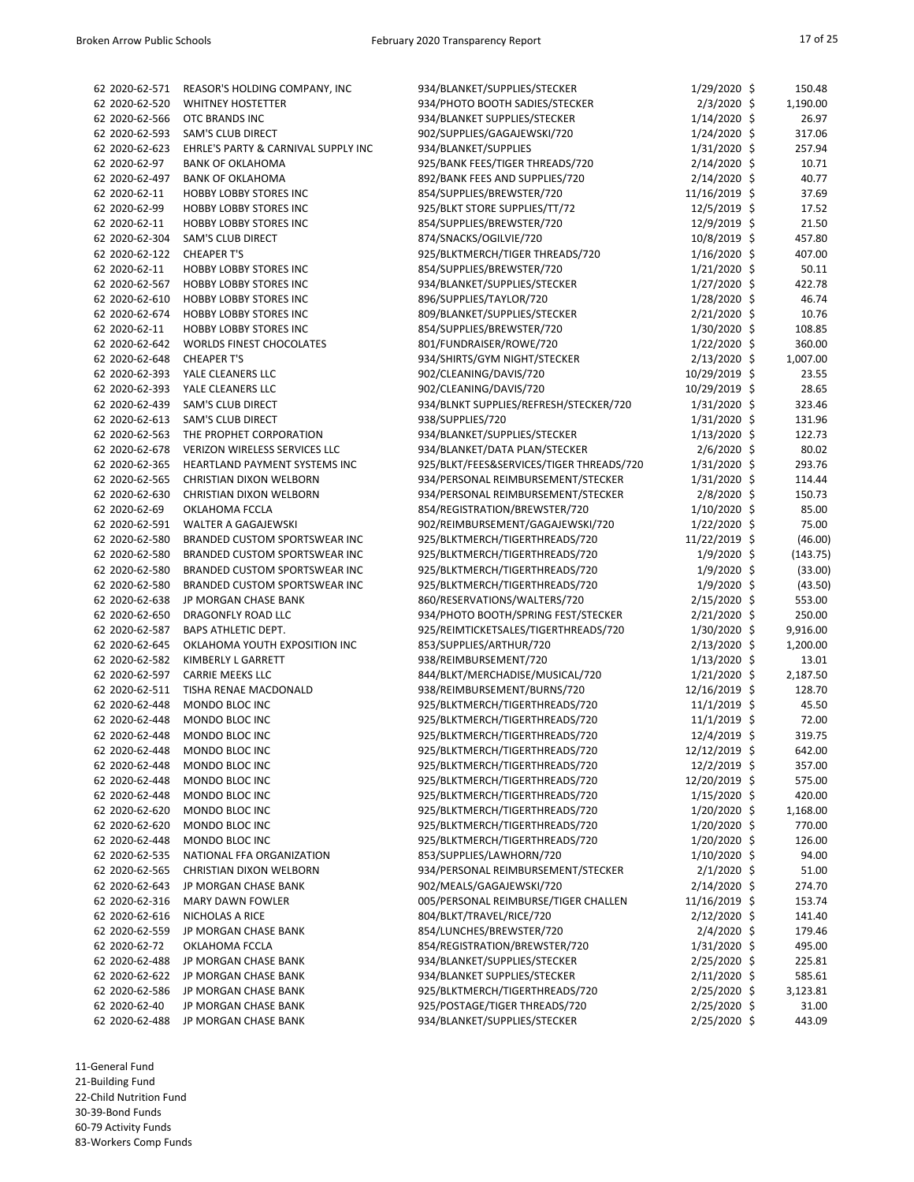| 62 2020-62-571 | REASOR'S HOLDING COMPANY, INC        | 934/BLANKET/SUPPLIES/STECKER             | $1/29/2020$ \$  | 150.48   |
|----------------|--------------------------------------|------------------------------------------|-----------------|----------|
| 62 2020-62-520 | <b>WHITNEY HOSTETTER</b>             | 934/PHOTO BOOTH SADIES/STECKER           | $2/3/2020$ \$   | 1,190.00 |
| 62 2020-62-566 | OTC BRANDS INC                       | 934/BLANKET SUPPLIES/STECKER             | $1/14/2020$ \$  | 26.97    |
| 62 2020-62-593 | <b>SAM'S CLUB DIRECT</b>             | 902/SUPPLIES/GAGAJEWSKI/720              | $1/24/2020$ \$  | 317.06   |
| 62 2020-62-623 | EHRLE'S PARTY & CARNIVAL SUPPLY INC  | 934/BLANKET/SUPPLIES                     | $1/31/2020$ \$  | 257.94   |
| 62 2020-62-97  | <b>BANK OF OKLAHOMA</b>              | 925/BANK FEES/TIGER THREADS/720          | 2/14/2020 \$    | 10.71    |
| 62 2020-62-497 | <b>BANK OF OKLAHOMA</b>              | 892/BANK FEES AND SUPPLIES/720           | 2/14/2020 \$    | 40.77    |
| 62 2020-62-11  | <b>HOBBY LOBBY STORES INC</b>        | 854/SUPPLIES/BREWSTER/720                | 11/16/2019 \$   | 37.69    |
| 62 2020-62-99  | <b>HOBBY LOBBY STORES INC</b>        | 925/BLKT STORE SUPPLIES/TT/72            | 12/5/2019 \$    | 17.52    |
| 62 2020-62-11  | <b>HOBBY LOBBY STORES INC</b>        | 854/SUPPLIES/BREWSTER/720                | 12/9/2019 \$    | 21.50    |
| 62 2020-62-304 | <b>SAM'S CLUB DIRECT</b>             | 874/SNACKS/OGILVIE/720                   | 10/8/2019 \$    | 457.80   |
| 62 2020-62-122 | <b>CHEAPER T'S</b>                   | 925/BLKTMERCH/TIGER THREADS/720          | $1/16/2020$ \$  | 407.00   |
| 62 2020-62-11  | <b>HOBBY LOBBY STORES INC</b>        | 854/SUPPLIES/BREWSTER/720                | $1/21/2020$ \$  |          |
|                |                                      |                                          |                 | 50.11    |
| 62 2020-62-567 | <b>HOBBY LOBBY STORES INC</b>        | 934/BLANKET/SUPPLIES/STECKER             | $1/27/2020$ \$  | 422.78   |
| 62 2020-62-610 | <b>HOBBY LOBBY STORES INC</b>        | 896/SUPPLIES/TAYLOR/720                  | $1/28/2020$ \$  | 46.74    |
| 62 2020-62-674 | <b>HOBBY LOBBY STORES INC</b>        | 809/BLANKET/SUPPLIES/STECKER             | $2/21/2020$ \$  | 10.76    |
| 62 2020-62-11  | <b>HOBBY LOBBY STORES INC</b>        | 854/SUPPLIES/BREWSTER/720                | 1/30/2020 \$    | 108.85   |
| 62 2020-62-642 | <b>WORLDS FINEST CHOCOLATES</b>      | 801/FUNDRAISER/ROWE/720                  | $1/22/2020$ \$  | 360.00   |
| 62 2020-62-648 | <b>CHEAPER T'S</b>                   | 934/SHIRTS/GYM NIGHT/STECKER             | 2/13/2020 \$    | 1,007.00 |
| 62 2020-62-393 | YALE CLEANERS LLC                    | 902/CLEANING/DAVIS/720                   | 10/29/2019 \$   | 23.55    |
| 62 2020-62-393 | YALE CLEANERS LLC                    | 902/CLEANING/DAVIS/720                   | 10/29/2019 \$   | 28.65    |
| 62 2020-62-439 | <b>SAM'S CLUB DIRECT</b>             | 934/BLNKT SUPPLIES/REFRESH/STECKER/720   | $1/31/2020$ \$  | 323.46   |
| 62 2020-62-613 | <b>SAM'S CLUB DIRECT</b>             | 938/SUPPLIES/720                         | $1/31/2020$ \$  | 131.96   |
| 62 2020-62-563 | THE PROPHET CORPORATION              | 934/BLANKET/SUPPLIES/STECKER             | $1/13/2020$ \$  | 122.73   |
| 62 2020-62-678 | <b>VERIZON WIRELESS SERVICES LLC</b> | 934/BLANKET/DATA PLAN/STECKER            | $2/6/2020$ \$   | 80.02    |
| 62 2020-62-365 | HEARTLAND PAYMENT SYSTEMS INC        | 925/BLKT/FEES&SERVICES/TIGER THREADS/720 | $1/31/2020$ \$  | 293.76   |
| 62 2020-62-565 | <b>CHRISTIAN DIXON WELBORN</b>       | 934/PERSONAL REIMBURSEMENT/STECKER       | $1/31/2020$ \$  | 114.44   |
| 62 2020-62-630 | <b>CHRISTIAN DIXON WELBORN</b>       | 934/PERSONAL REIMBURSEMENT/STECKER       | $2/8/2020$ \$   | 150.73   |
| 62 2020-62-69  | OKLAHOMA FCCLA                       | 854/REGISTRATION/BREWSTER/720            | $1/10/2020$ \$  | 85.00    |
| 62 2020-62-591 | <b>WALTER A GAGAJEWSKI</b>           | 902/REIMBURSEMENT/GAGAJEWSKI/720         | 1/22/2020 \$    | 75.00    |
| 62 2020-62-580 | <b>BRANDED CUSTOM SPORTSWEAR INC</b> | 925/BLKTMERCH/TIGERTHREADS/720           | 11/22/2019 \$   | (46.00)  |
| 62 2020-62-580 | BRANDED CUSTOM SPORTSWEAR INC        | 925/BLKTMERCH/TIGERTHREADS/720           |                 | (143.75) |
|                |                                      |                                          | 1/9/2020 \$     |          |
| 62 2020-62-580 | <b>BRANDED CUSTOM SPORTSWEAR INC</b> | 925/BLKTMERCH/TIGERTHREADS/720           | $1/9/2020$ \$   | (33.00)  |
| 62 2020-62-580 | <b>BRANDED CUSTOM SPORTSWEAR INC</b> | 925/BLKTMERCH/TIGERTHREADS/720           | $1/9/2020$ \$   | (43.50)  |
| 62 2020-62-638 | JP MORGAN CHASE BANK                 | 860/RESERVATIONS/WALTERS/720             | 2/15/2020 \$    | 553.00   |
| 62 2020-62-650 | DRAGONFLY ROAD LLC                   | 934/PHOTO BOOTH/SPRING FEST/STECKER      | 2/21/2020 \$    | 250.00   |
| 62 2020-62-587 | <b>BAPS ATHLETIC DEPT.</b>           | 925/REIMTICKETSALES/TIGERTHREADS/720     | 1/30/2020 \$    | 9,916.00 |
| 62 2020-62-645 | OKLAHOMA YOUTH EXPOSITION INC        | 853/SUPPLIES/ARTHUR/720                  | 2/13/2020 \$    | 1,200.00 |
| 62 2020-62-582 | KIMBERLY L GARRETT                   | 938/REIMBURSEMENT/720                    | $1/13/2020$ \$  | 13.01    |
| 62 2020-62-597 | <b>CARRIE MEEKS LLC</b>              | 844/BLKT/MERCHADISE/MUSICAL/720          | $1/21/2020$ \$  | 2,187.50 |
| 62 2020-62-511 | TISHA RENAE MACDONALD                | 938/REIMBURSEMENT/BURNS/720              | 12/16/2019 \$   | 128.70   |
| 62 2020-62-448 | MONDO BLOC INC                       | 925/BLKTMERCH/TIGERTHREADS/720           | $11/1/2019$ \$  | 45.50    |
| 62 2020-62-448 | MONDO BLOC INC                       | 925/BLKTMERCH/TIGERTHREADS/720           | $11/1/2019$ \$  | 72.00    |
| 62 2020-62-448 | MONDO BLOC INC                       | 925/BLKTMERCH/TIGERTHREADS/720           | 12/4/2019 \$    | 319.75   |
| 62 2020-62-448 | MONDO BLOC INC                       | 925/BLKTMERCH/TIGERTHREADS/720           | 12/12/2019 \$   | 642.00   |
| 62 2020-62-448 | MONDO BLOC INC                       | 925/BLKTMERCH/TIGERTHREADS/720           | 12/2/2019 \$    | 357.00   |
| 62 2020-62-448 | MONDO BLOC INC                       | 925/BLKTMERCH/TIGERTHREADS/720           | 12/20/2019 \$   | 575.00   |
| 62 2020-62-448 | MONDO BLOC INC                       | 925/BLKTMERCH/TIGERTHREADS/720           | $1/15/2020$ \$  | 420.00   |
| 62 2020-62-620 | MONDO BLOC INC                       | 925/BLKTMERCH/TIGERTHREADS/720           | 1/20/2020 \$    | 1,168.00 |
| 62 2020-62-620 | MONDO BLOC INC                       | 925/BLKTMERCH/TIGERTHREADS/720           | 1/20/2020 \$    | 770.00   |
| 62 2020-62-448 | MONDO BLOC INC                       | 925/BLKTMERCH/TIGERTHREADS/720           | $1/20/2020$ \$  | 126.00   |
| 62 2020-62-535 | NATIONAL FFA ORGANIZATION            | 853/SUPPLIES/LAWHORN/720                 | $1/10/2020$ \$  | 94.00    |
| 62 2020-62-565 | CHRISTIAN DIXON WELBORN              | 934/PERSONAL REIMBURSEMENT/STECKER       | $2/1/2020$ \$   | 51.00    |
| 62 2020-62-643 | JP MORGAN CHASE BANK                 | 902/MEALS/GAGAJEWSKI/720                 | 2/14/2020 \$    | 274.70   |
|                |                                      |                                          |                 |          |
| 62 2020-62-316 | <b>MARY DAWN FOWLER</b>              | 005/PERSONAL REIMBURSE/TIGER CHALLEN     | $11/16/2019$ \$ | 153.74   |
| 62 2020-62-616 | NICHOLAS A RICE                      | 804/BLKT/TRAVEL/RICE/720                 | $2/12/2020$ \$  | 141.40   |
| 62 2020-62-559 | JP MORGAN CHASE BANK                 | 854/LUNCHES/BREWSTER/720                 | $2/4/2020$ \$   | 179.46   |
| 62 2020-62-72  | OKLAHOMA FCCLA                       | 854/REGISTRATION/BREWSTER/720            | $1/31/2020$ \$  | 495.00   |
| 62 2020-62-488 | JP MORGAN CHASE BANK                 | 934/BLANKET/SUPPLIES/STECKER             | 2/25/2020 \$    | 225.81   |
| 62 2020-62-622 | JP MORGAN CHASE BANK                 | 934/BLANKET SUPPLIES/STECKER             | $2/11/2020$ \$  | 585.61   |
| 62 2020-62-586 | JP MORGAN CHASE BANK                 | 925/BLKTMERCH/TIGERTHREADS/720           | $2/25/2020$ \$  | 3,123.81 |
| 62 2020-62-40  | JP MORGAN CHASE BANK                 | 925/POSTAGE/TIGER THREADS/720            | 2/25/2020 \$    | 31.00    |
| 62 2020-62-488 | JP MORGAN CHASE BANK                 | 934/BLANKET/SUPPLIES/STECKER             | 2/25/2020 \$    | 443.09   |

11-General Fund 21-Building Fund 22-Child Nutrition Fund 30-39-Bond Funds 60-79 Activity Funds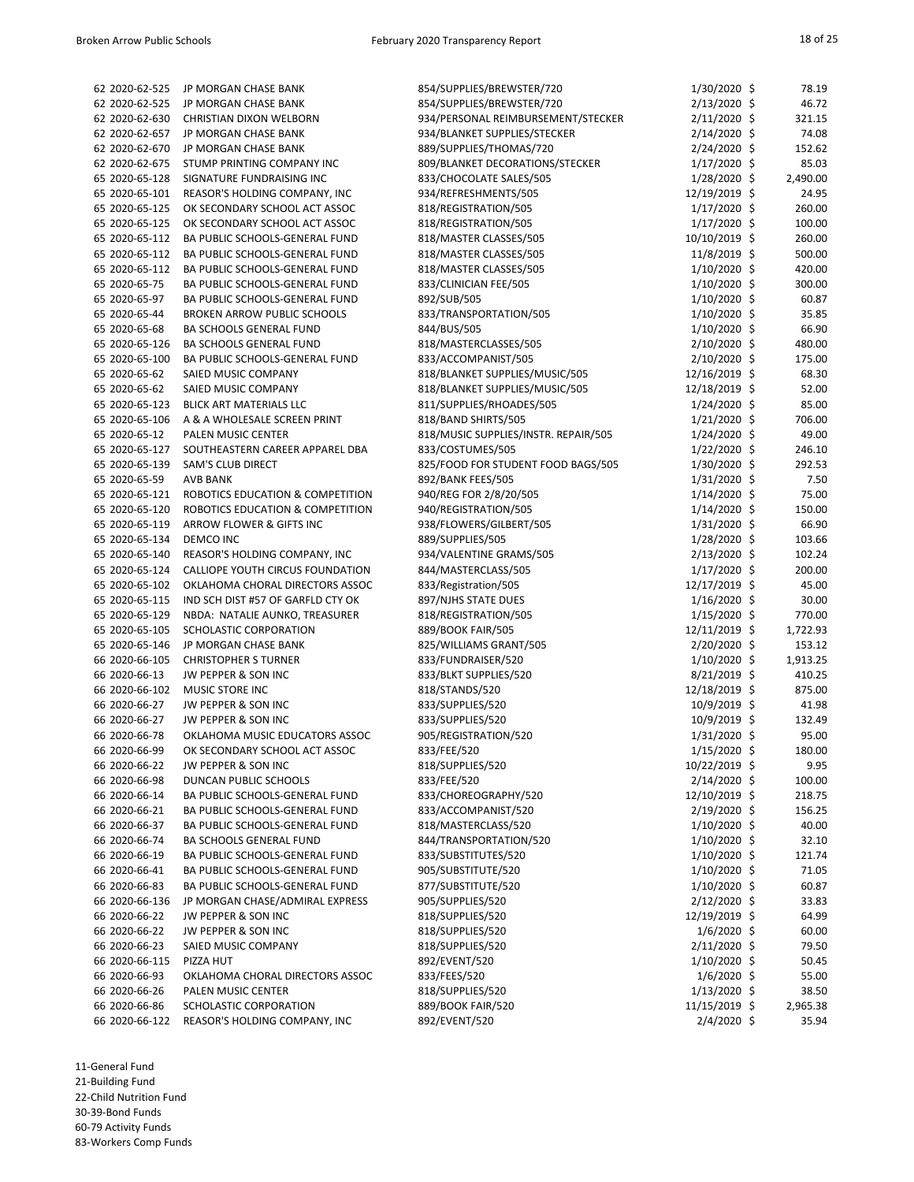| 62 2020-62-525 | JP MORGAN CHASE BANK                         | 854/SUPPLIES/BREWSTER/720            | $1/30/2020$ \$  | 78.19    |
|----------------|----------------------------------------------|--------------------------------------|-----------------|----------|
| 62 2020-62-525 | JP MORGAN CHASE BANK                         | 854/SUPPLIES/BREWSTER/720            | 2/13/2020 \$    | 46.72    |
| 62 2020-62-630 | <b>CHRISTIAN DIXON WELBORN</b>               | 934/PERSONAL REIMBURSEMENT/STECKER   | 2/11/2020 \$    | 321.15   |
| 62 2020-62-657 | JP MORGAN CHASE BANK                         | 934/BLANKET SUPPLIES/STECKER         | $2/14/2020$ \$  | 74.08    |
| 62 2020-62-670 | JP MORGAN CHASE BANK                         | 889/SUPPLIES/THOMAS/720              | 2/24/2020 \$    | 152.62   |
| 62 2020-62-675 | STUMP PRINTING COMPANY INC                   | 809/BLANKET DECORATIONS/STECKER      | $1/17/2020$ \$  | 85.03    |
|                | SIGNATURE FUNDRAISING INC                    |                                      |                 |          |
| 65 2020-65-128 |                                              | 833/CHOCOLATE SALES/505              | $1/28/2020$ \$  | 2,490.00 |
| 65 2020-65-101 | REASOR'S HOLDING COMPANY, INC                | 934/REFRESHMENTS/505                 | 12/19/2019 \$   | 24.95    |
| 65 2020-65-125 | OK SECONDARY SCHOOL ACT ASSOC                | 818/REGISTRATION/505                 | $1/17/2020$ \$  | 260.00   |
| 65 2020-65-125 | OK SECONDARY SCHOOL ACT ASSOC                | 818/REGISTRATION/505                 | $1/17/2020$ \$  | 100.00   |
| 65 2020-65-112 | BA PUBLIC SCHOOLS-GENERAL FUND               | 818/MASTER CLASSES/505               | 10/10/2019 \$   | 260.00   |
| 65 2020-65-112 | BA PUBLIC SCHOOLS-GENERAL FUND               | 818/MASTER CLASSES/505               | 11/8/2019 \$    | 500.00   |
| 65 2020-65-112 | BA PUBLIC SCHOOLS-GENERAL FUND               | 818/MASTER CLASSES/505               | $1/10/2020$ \$  | 420.00   |
| 65 2020-65-75  | BA PUBLIC SCHOOLS-GENERAL FUND               | 833/CLINICIAN FEE/505                | $1/10/2020$ \$  | 300.00   |
| 65 2020-65-97  | BA PUBLIC SCHOOLS-GENERAL FUND               | 892/SUB/505                          | $1/10/2020$ \$  | 60.87    |
|                |                                              |                                      |                 |          |
| 65 2020-65-44  | <b>BROKEN ARROW PUBLIC SCHOOLS</b>           | 833/TRANSPORTATION/505               | $1/10/2020$ \$  | 35.85    |
| 65 2020-65-68  | BA SCHOOLS GENERAL FUND                      | 844/BUS/505                          | 1/10/2020 \$    | 66.90    |
| 65 2020-65-126 | BA SCHOOLS GENERAL FUND                      | 818/MASTERCLASSES/505                | 2/10/2020 \$    | 480.00   |
| 65 2020-65-100 | BA PUBLIC SCHOOLS-GENERAL FUND               | 833/ACCOMPANIST/505                  | 2/10/2020 \$    | 175.00   |
| 65 2020-65-62  | <b>SAIED MUSIC COMPANY</b>                   | 818/BLANKET SUPPLIES/MUSIC/505       | 12/16/2019 \$   | 68.30    |
| 65 2020-65-62  | SAIED MUSIC COMPANY                          | 818/BLANKET SUPPLIES/MUSIC/505       | 12/18/2019 \$   | 52.00    |
| 65 2020-65-123 | BLICK ART MATERIALS LLC                      | 811/SUPPLIES/RHOADES/505             | $1/24/2020$ \$  | 85.00    |
| 65 2020-65-106 | A & A WHOLESALE SCREEN PRINT                 | 818/BAND SHIRTS/505                  | $1/21/2020$ \$  | 706.00   |
| 65 2020-65-12  | PALEN MUSIC CENTER                           |                                      |                 | 49.00    |
|                |                                              | 818/MUSIC SUPPLIES/INSTR. REPAIR/505 | 1/24/2020 \$    |          |
| 65 2020-65-127 | SOUTHEASTERN CAREER APPAREL DBA              | 833/COSTUMES/505                     | $1/22/2020$ \$  | 246.10   |
| 65 2020-65-139 | <b>SAM'S CLUB DIRECT</b>                     | 825/FOOD FOR STUDENT FOOD BAGS/505   | $1/30/2020$ \$  | 292.53   |
| 65 2020-65-59  | <b>AVB BANK</b>                              | 892/BANK FEES/505                    | $1/31/2020$ \$  | 7.50     |
| 65 2020-65-121 | ROBOTICS EDUCATION & COMPETITION             | 940/REG FOR 2/8/20/505               | $1/14/2020$ \$  | 75.00    |
| 65 2020-65-120 | ROBOTICS EDUCATION & COMPETITION             | 940/REGISTRATION/505                 | $1/14/2020$ \$  | 150.00   |
| 65 2020-65-119 | ARROW FLOWER & GIFTS INC                     | 938/FLOWERS/GILBERT/505              | $1/31/2020$ \$  | 66.90    |
| 65 2020-65-134 | <b>DEMCO INC</b>                             | 889/SUPPLIES/505                     | 1/28/2020 \$    | 103.66   |
|                | 65 2020-65-140 REASOR'S HOLDING COMPANY, INC | 934/VALENTINE GRAMS/505              | 2/13/2020 \$    | 102.24   |
|                |                                              |                                      |                 |          |
| 65 2020-65-124 | CALLIOPE YOUTH CIRCUS FOUNDATION             | 844/MASTERCLASS/505                  | $1/17/2020$ \$  | 200.00   |
| 65 2020-65-102 | OKLAHOMA CHORAL DIRECTORS ASSOC              | 833/Registration/505                 | $12/17/2019$ \$ | 45.00    |
| 65 2020-65-115 | IND SCH DIST #57 OF GARFLD CTY OK            | 897/NJHS STATE DUES                  | $1/16/2020$ \$  | 30.00    |
| 65 2020-65-129 | NBDA: NATALIE AUNKO, TREASURER               | 818/REGISTRATION/505                 | $1/15/2020$ \$  | 770.00   |
| 65 2020-65-105 | SCHOLASTIC CORPORATION                       | 889/BOOK FAIR/505                    | 12/11/2019 \$   | 1,722.93 |
| 65 2020-65-146 | JP MORGAN CHASE BANK                         | 825/WILLIAMS GRANT/505               | $2/20/2020$ \$  | 153.12   |
| 66 2020-66-105 | <b>CHRISTOPHER S TURNER</b>                  | 833/FUNDRAISER/520                   | $1/10/2020$ \$  | 1,913.25 |
| 66 2020-66-13  | JW PEPPER & SON INC                          | 833/BLKT SUPPLIES/520                | $8/21/2019$ \$  | 410.25   |
| 66 2020-66-102 |                                              | 818/STANDS/520                       |                 |          |
|                | MUSIC STORE INC                              |                                      | 12/18/2019 \$   | 875.00   |
| 66 2020-66-27  | JW PEPPER & SON INC                          | 833/SUPPLIES/520                     | 10/9/2019 \$    | 41.98    |
| 66 2020-66-27  | JW PEPPER & SON INC                          | 833/SUPPLIES/520                     | 10/9/2019 \$    | 132.49   |
| 66 2020-66-78  | OKLAHOMA MUSIC EDUCATORS ASSOC               | 905/REGISTRATION/520                 | $1/31/2020$ \$  | 95.00    |
| 66 2020-66-99  | OK SECONDARY SCHOOL ACT ASSOC                | 833/FEE/520                          | $1/15/2020$ \$  | 180.00   |
| 66 2020-66-22  | JW PEPPER & SON INC                          | 818/SUPPLIES/520                     | 10/22/2019 \$   | 9.95     |
| 66 2020-66-98  | DUNCAN PUBLIC SCHOOLS                        | 833/FEE/520                          | 2/14/2020 \$    | 100.00   |
| 66 2020-66-14  | BA PUBLIC SCHOOLS-GENERAL FUND               | 833/CHOREOGRAPHY/520                 | 12/10/2019 \$   | 218.75   |
| 66 2020-66-21  | BA PUBLIC SCHOOLS-GENERAL FUND               | 833/ACCOMPANIST/520                  | 2/19/2020 \$    | 156.25   |
|                |                                              |                                      |                 |          |
| 66 2020-66-37  | BA PUBLIC SCHOOLS-GENERAL FUND               | 818/MASTERCLASS/520                  | $1/10/2020$ \$  | 40.00    |
| 66 2020-66-74  | BA SCHOOLS GENERAL FUND                      | 844/TRANSPORTATION/520               | 1/10/2020 \$    | 32.10    |
| 66 2020-66-19  | BA PUBLIC SCHOOLS-GENERAL FUND               | 833/SUBSTITUTES/520                  | $1/10/2020$ \$  | 121.74   |
| 66 2020-66-41  | BA PUBLIC SCHOOLS-GENERAL FUND               | 905/SUBSTITUTE/520                   | $1/10/2020$ \$  | 71.05    |
| 66 2020-66-83  | BA PUBLIC SCHOOLS-GENERAL FUND               | 877/SUBSTITUTE/520                   | 1/10/2020 \$    | 60.87    |
| 66 2020-66-136 | JP MORGAN CHASE/ADMIRAL EXPRESS              | 905/SUPPLIES/520                     | $2/12/2020$ \$  | 33.83    |
| 66 2020-66-22  | JW PEPPER & SON INC                          | 818/SUPPLIES/520                     | 12/19/2019 \$   | 64.99    |
| 66 2020-66-22  | JW PEPPER & SON INC                          | 818/SUPPLIES/520                     | $1/6/2020$ \$   | 60.00    |
| 66 2020-66-23  | SAIED MUSIC COMPANY                          | 818/SUPPLIES/520                     | $2/11/2020$ \$  | 79.50    |
| 66 2020-66-115 | PIZZA HUT                                    |                                      |                 |          |
|                |                                              | 892/EVENT/520                        | $1/10/2020$ \$  | 50.45    |
| 66 2020-66-93  | OKLAHOMA CHORAL DIRECTORS ASSOC              | 833/FEES/520                         | $1/6/2020$ \$   | 55.00    |
| 66 2020-66-26  | PALEN MUSIC CENTER                           | 818/SUPPLIES/520                     | $1/13/2020$ \$  | 38.50    |
| 66 2020-66-86  | SCHOLASTIC CORPORATION                       | 889/BOOK FAIR/520                    | 11/15/2019 \$   | 2,965.38 |
| 66 2020-66-122 | REASOR'S HOLDING COMPANY, INC                | 892/EVENT/520                        | $2/4/2020$ \$   | 35.94    |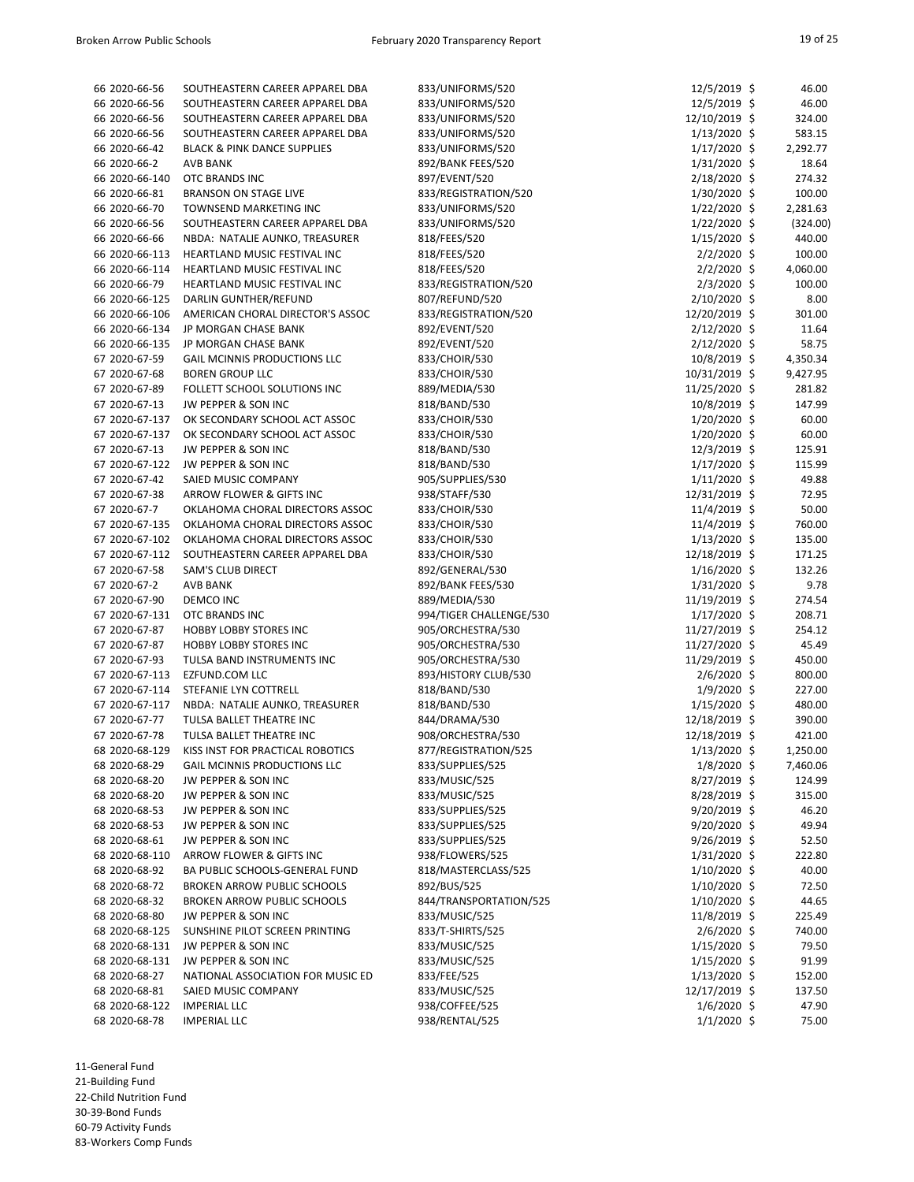| 66 2020-66-56  | SOUTHEASTERN CAREER APPAREL DBA        | 833/UNIFORMS/520        | $12/5/2019$ \$ | 46.00    |
|----------------|----------------------------------------|-------------------------|----------------|----------|
| 66 2020-66-56  | SOUTHEASTERN CAREER APPAREL DBA        | 833/UNIFORMS/520        | 12/5/2019 \$   | 46.00    |
| 66 2020-66-56  | SOUTHEASTERN CAREER APPAREL DBA        | 833/UNIFORMS/520        | 12/10/2019 \$  | 324.00   |
| 66 2020-66-56  | SOUTHEASTERN CAREER APPAREL DBA        | 833/UNIFORMS/520        | $1/13/2020$ \$ | 583.15   |
| 66 2020-66-42  | <b>BLACK &amp; PINK DANCE SUPPLIES</b> | 833/UNIFORMS/520        | $1/17/2020$ \$ | 2,292.77 |
| 66 2020-66-2   | <b>AVB BANK</b>                        | 892/BANK FEES/520       | $1/31/2020$ \$ | 18.64    |
| 66 2020-66-140 | OTC BRANDS INC                         | 897/EVENT/520           | 2/18/2020 \$   | 274.32   |
| 66 2020-66-81  | <b>BRANSON ON STAGE LIVE</b>           | 833/REGISTRATION/520    | $1/30/2020$ \$ | 100.00   |
| 66 2020-66-70  | TOWNSEND MARKETING INC                 |                         |                |          |
|                |                                        | 833/UNIFORMS/520        | $1/22/2020$ \$ | 2,281.63 |
| 66 2020-66-56  | SOUTHEASTERN CAREER APPAREL DBA        | 833/UNIFORMS/520        | $1/22/2020$ \$ | (324.00) |
| 66 2020-66-66  | NBDA: NATALIE AUNKO, TREASURER         | 818/FEES/520            | $1/15/2020$ \$ | 440.00   |
| 66 2020-66-113 | HEARTLAND MUSIC FESTIVAL INC           | 818/FEES/520            | $2/2/2020$ \$  | 100.00   |
| 66 2020-66-114 | HEARTLAND MUSIC FESTIVAL INC           | 818/FEES/520            | $2/2/2020$ \$  | 4,060.00 |
| 66 2020-66-79  | HEARTLAND MUSIC FESTIVAL INC           | 833/REGISTRATION/520    | $2/3/2020$ \$  | 100.00   |
| 66 2020-66-125 | DARLIN GUNTHER/REFUND                  | 807/REFUND/520          | $2/10/2020$ \$ | 8.00     |
| 66 2020-66-106 | AMERICAN CHORAL DIRECTOR'S ASSOC       | 833/REGISTRATION/520    | 12/20/2019 \$  | 301.00   |
| 66 2020-66-134 | JP MORGAN CHASE BANK                   | 892/EVENT/520           | $2/12/2020$ \$ | 11.64    |
| 66 2020-66-135 | JP MORGAN CHASE BANK                   | 892/EVENT/520           | $2/12/2020$ \$ | 58.75    |
|                |                                        |                         |                |          |
| 67 2020-67-59  | <b>GAIL MCINNIS PRODUCTIONS LLC</b>    | 833/CHOIR/530           | 10/8/2019 \$   | 4,350.34 |
| 67 2020-67-68  | <b>BOREN GROUP LLC</b>                 | 833/CHOIR/530           | 10/31/2019 \$  | 9,427.95 |
| 67 2020-67-89  | FOLLETT SCHOOL SOLUTIONS INC           | 889/MEDIA/530           | 11/25/2020 \$  | 281.82   |
| 67 2020-67-13  | JW PEPPER & SON INC                    | 818/BAND/530            | 10/8/2019 \$   | 147.99   |
| 67 2020-67-137 | OK SECONDARY SCHOOL ACT ASSOC          | 833/CHOIR/530           | $1/20/2020$ \$ | 60.00    |
| 67 2020-67-137 | OK SECONDARY SCHOOL ACT ASSOC          | 833/CHOIR/530           | $1/20/2020$ \$ | 60.00    |
| 67 2020-67-13  | JW PEPPER & SON INC                    | 818/BAND/530            | 12/3/2019 \$   | 125.91   |
| 67 2020-67-122 | JW PEPPER & SON INC                    | 818/BAND/530            | $1/17/2020$ \$ | 115.99   |
| 67 2020-67-42  | SAIED MUSIC COMPANY                    | 905/SUPPLIES/530        | $1/11/2020$ \$ | 49.88    |
|                |                                        |                         |                |          |
| 67 2020-67-38  | ARROW FLOWER & GIFTS INC               | 938/STAFF/530           | 12/31/2019 \$  | 72.95    |
| 67 2020-67-7   | OKLAHOMA CHORAL DIRECTORS ASSOC        | 833/CHOIR/530           | 11/4/2019 \$   | 50.00    |
| 67 2020-67-135 | OKLAHOMA CHORAL DIRECTORS ASSOC        | 833/CHOIR/530           | 11/4/2019 \$   | 760.00   |
| 67 2020-67-102 | OKLAHOMA CHORAL DIRECTORS ASSOC        | 833/CHOIR/530           | $1/13/2020$ \$ | 135.00   |
| 67 2020-67-112 | SOUTHEASTERN CAREER APPAREL DBA        | 833/CHOIR/530           | 12/18/2019 \$  | 171.25   |
| 67 2020-67-58  | <b>SAM'S CLUB DIRECT</b>               | 892/GENERAL/530         | $1/16/2020$ \$ | 132.26   |
| 67 2020-67-2   | <b>AVB BANK</b>                        | 892/BANK FEES/530       | $1/31/2020$ \$ | 9.78     |
| 67 2020-67-90  | DEMCO INC                              | 889/MEDIA/530           | 11/19/2019 \$  | 274.54   |
| 67 2020-67-131 | OTC BRANDS INC                         | 994/TIGER CHALLENGE/530 | $1/17/2020$ \$ | 208.71   |
| 67 2020-67-87  | <b>HOBBY LOBBY STORES INC</b>          | 905/ORCHESTRA/530       | 11/27/2019 \$  | 254.12   |
|                |                                        |                         |                |          |
| 67 2020-67-87  | <b>HOBBY LOBBY STORES INC</b>          | 905/ORCHESTRA/530       | 11/27/2020 \$  | 45.49    |
| 67 2020-67-93  | TULSA BAND INSTRUMENTS INC             | 905/ORCHESTRA/530       | 11/29/2019 \$  | 450.00   |
| 67 2020-67-113 | EZFUND.COM LLC                         | 893/HISTORY CLUB/530    | $2/6/2020$ \$  | 800.00   |
| 67 2020-67-114 | STEFANIE LYN COTTRELL                  | 818/BAND/530            | $1/9/2020$ \$  | 227.00   |
| 67 2020-67-117 | NBDA: NATALIE AUNKO, TREASURER         | 818/BAND/530            | $1/15/2020$ \$ | 480.00   |
| 67 2020-67-77  | TULSA BALLET THEATRE INC               | 844/DRAMA/530           | 12/18/2019 \$  | 390.00   |
| 67 2020-67-78  | TULSA BALLET THEATRE INC               | 908/ORCHESTRA/530       | 12/18/2019 \$  | 421.00   |
| 68 2020-68-129 | KISS INST FOR PRACTICAL ROBOTICS       | 877/REGISTRATION/525    | $1/13/2020$ \$ | 1,250.00 |
| 68 2020-68-29  | <b>GAIL MCINNIS PRODUCTIONS LLC</b>    | 833/SUPPLIES/525        | $1/8/2020$ \$  | 7,460.06 |
| 68 2020-68-20  | JW PEPPER & SON INC                    |                         | 8/27/2019 \$   | 124.99   |
|                |                                        | 833/MUSIC/525           |                |          |
| 68 2020-68-20  | JW PEPPER & SON INC                    | 833/MUSIC/525           | 8/28/2019 \$   | 315.00   |
| 68 2020-68-53  | JW PEPPER & SON INC                    | 833/SUPPLIES/525        | 9/20/2019 \$   | 46.20    |
| 68 2020-68-53  | JW PEPPER & SON INC                    | 833/SUPPLIES/525        | 9/20/2020 \$   | 49.94    |
| 68 2020-68-61  | JW PEPPER & SON INC                    | 833/SUPPLIES/525        | $9/26/2019$ \$ | 52.50    |
| 68 2020-68-110 | ARROW FLOWER & GIFTS INC               | 938/FLOWERS/525         | $1/31/2020$ \$ | 222.80   |
| 68 2020-68-92  | BA PUBLIC SCHOOLS-GENERAL FUND         | 818/MASTERCLASS/525     | $1/10/2020$ \$ | 40.00    |
| 68 2020-68-72  | <b>BROKEN ARROW PUBLIC SCHOOLS</b>     | 892/BUS/525             | $1/10/2020$ \$ | 72.50    |
| 68 2020-68-32  | <b>BROKEN ARROW PUBLIC SCHOOLS</b>     | 844/TRANSPORTATION/525  | $1/10/2020$ \$ | 44.65    |
| 68 2020-68-80  | JW PEPPER & SON INC                    | 833/MUSIC/525           | 11/8/2019 \$   | 225.49   |
| 68 2020-68-125 | SUNSHINE PILOT SCREEN PRINTING         |                         | $2/6/2020$ \$  | 740.00   |
|                |                                        | 833/T-SHIRTS/525        |                |          |
| 68 2020-68-131 | JW PEPPER & SON INC                    | 833/MUSIC/525           | $1/15/2020$ \$ | 79.50    |
| 68 2020-68-131 | JW PEPPER & SON INC                    | 833/MUSIC/525           | $1/15/2020$ \$ | 91.99    |
| 68 2020-68-27  | NATIONAL ASSOCIATION FOR MUSIC ED      | 833/FEE/525             | $1/13/2020$ \$ | 152.00   |
| 68 2020-68-81  | SAIED MUSIC COMPANY                    | 833/MUSIC/525           | 12/17/2019 \$  | 137.50   |
| 68 2020-68-122 | <b>IMPERIAL LLC</b>                    | 938/COFFEE/525          | $1/6/2020$ \$  | 47.90    |
| 68 2020-68-78  | <b>IMPERIAL LLC</b>                    | 938/RENTAL/525          | $1/1/2020$ \$  | 75.00    |

11-General Fund 21-Building Fund 22-Child Nutrition Fund

30-39-Bond Funds

60-79 Activity Funds 83-Workers Comp Funds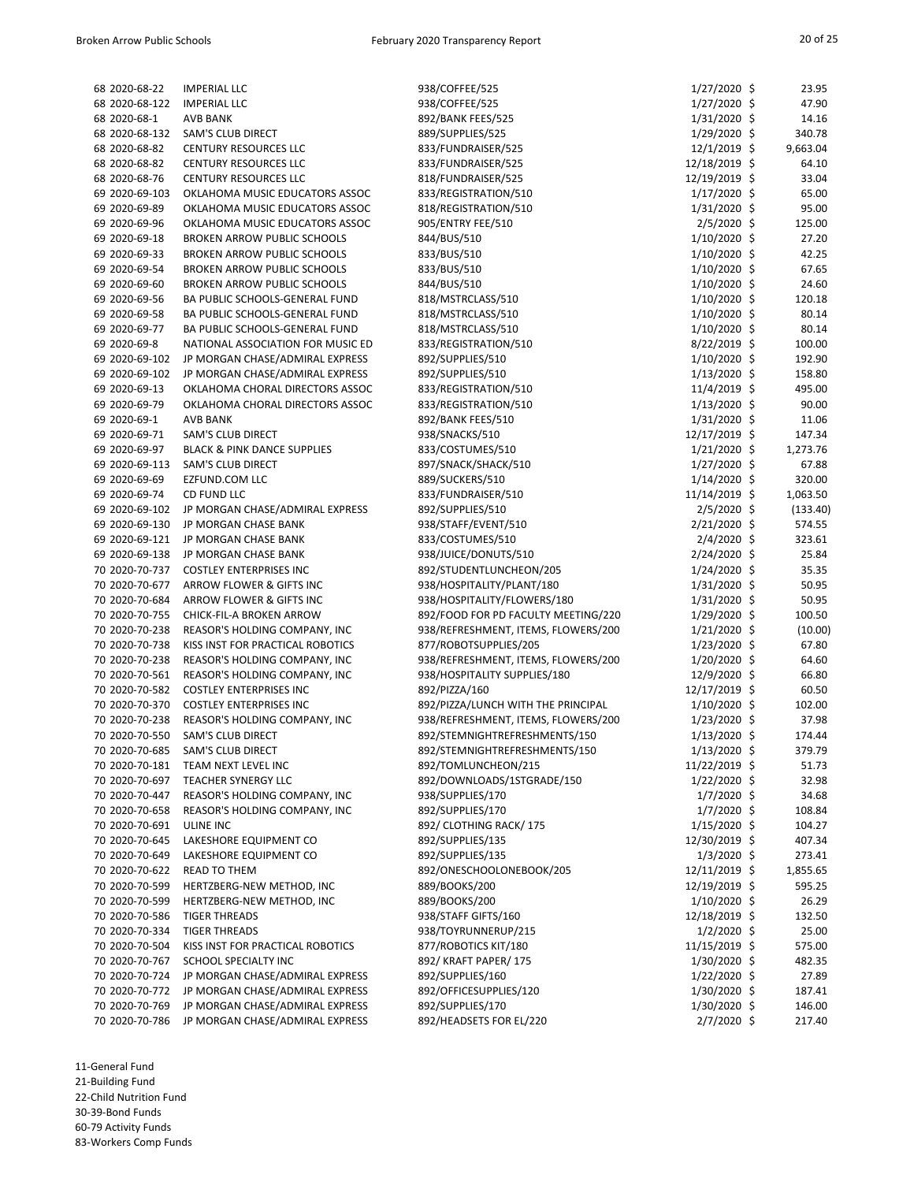| 68 2020-68-22  | <b>IMPERIAL LLC</b>                    | 938/COFFEE/525                      | $1/27/2020$ \$  | 23.95    |
|----------------|----------------------------------------|-------------------------------------|-----------------|----------|
| 68 2020-68-122 | <b>IMPERIAL LLC</b>                    | 938/COFFEE/525                      | $1/27/2020$ \$  | 47.90    |
| 68 2020-68-1   | <b>AVB BANK</b>                        | 892/BANK FEES/525                   | $1/31/2020$ \$  | 14.16    |
| 68 2020-68-132 | <b>SAM'S CLUB DIRECT</b>               | 889/SUPPLIES/525                    | $1/29/2020$ \$  | 340.78   |
| 68 2020-68-82  | <b>CENTURY RESOURCES LLC</b>           | 833/FUNDRAISER/525                  | $12/1/2019$ \$  | 9,663.04 |
| 68 2020-68-82  | <b>CENTURY RESOURCES LLC</b>           | 833/FUNDRAISER/525                  | 12/18/2019 \$   | 64.10    |
| 68 2020-68-76  | CENTURY RESOURCES LLC                  | 818/FUNDRAISER/525                  | 12/19/2019 \$   | 33.04    |
| 69 2020-69-103 | OKLAHOMA MUSIC EDUCATORS ASSOC         | 833/REGISTRATION/510                | $1/17/2020$ \$  | 65.00    |
| 69 2020-69-89  | OKLAHOMA MUSIC EDUCATORS ASSOC         | 818/REGISTRATION/510                | $1/31/2020$ \$  | 95.00    |
| 69 2020-69-96  | OKLAHOMA MUSIC EDUCATORS ASSOC         | 905/ENTRY FEE/510                   | $2/5/2020$ \$   | 125.00   |
| 69 2020-69-18  | <b>BROKEN ARROW PUBLIC SCHOOLS</b>     | 844/BUS/510                         | $1/10/2020$ \$  | 27.20    |
| 69 2020-69-33  | <b>BROKEN ARROW PUBLIC SCHOOLS</b>     | 833/BUS/510                         | $1/10/2020$ \$  | 42.25    |
| 69 2020-69-54  | BROKEN ARROW PUBLIC SCHOOLS            | 833/BUS/510                         | $1/10/2020$ \$  | 67.65    |
| 69 2020-69-60  | <b>BROKEN ARROW PUBLIC SCHOOLS</b>     | 844/BUS/510                         | $1/10/2020$ \$  | 24.60    |
| 69 2020-69-56  | BA PUBLIC SCHOOLS-GENERAL FUND         | 818/MSTRCLASS/510                   | $1/10/2020$ \$  | 120.18   |
| 69 2020-69-58  | BA PUBLIC SCHOOLS-GENERAL FUND         | 818/MSTRCLASS/510                   | $1/10/2020$ \$  | 80.14    |
| 69 2020-69-77  | BA PUBLIC SCHOOLS-GENERAL FUND         | 818/MSTRCLASS/510                   | $1/10/2020$ \$  | 80.14    |
| 69 2020-69-8   | NATIONAL ASSOCIATION FOR MUSIC ED      | 833/REGISTRATION/510                | $8/22/2019$ \$  | 100.00   |
| 69 2020-69-102 | JP MORGAN CHASE/ADMIRAL EXPRESS        | 892/SUPPLIES/510                    | 1/10/2020 \$    | 192.90   |
| 69 2020-69-102 | JP MORGAN CHASE/ADMIRAL EXPRESS        | 892/SUPPLIES/510                    | $1/13/2020$ \$  | 158.80   |
| 69 2020-69-13  | OKLAHOMA CHORAL DIRECTORS ASSOC        | 833/REGISTRATION/510                | $11/4/2019$ \$  | 495.00   |
| 69 2020-69-79  | OKLAHOMA CHORAL DIRECTORS ASSOC        | 833/REGISTRATION/510                | $1/13/2020$ \$  | 90.00    |
| 69 2020-69-1   | AVB BANK                               | 892/BANK FEES/510                   | $1/31/2020$ \$  | 11.06    |
| 69 2020-69-71  | <b>SAM'S CLUB DIRECT</b>               | 938/SNACKS/510                      | 12/17/2019 \$   | 147.34   |
| 69 2020-69-97  | <b>BLACK &amp; PINK DANCE SUPPLIES</b> | 833/COSTUMES/510                    | $1/21/2020$ \$  | 1,273.76 |
| 69 2020-69-113 | <b>SAM'S CLUB DIRECT</b>               | 897/SNACK/SHACK/510                 | $1/27/2020$ \$  | 67.88    |
| 69 2020-69-69  | EZFUND.COM LLC                         | 889/SUCKERS/510                     | $1/14/2020$ \$  | 320.00   |
| 69 2020-69-74  | CD FUND LLC                            | 833/FUNDRAISER/510                  | 11/14/2019 \$   | 1,063.50 |
| 69 2020-69-102 | JP MORGAN CHASE/ADMIRAL EXPRESS        | 892/SUPPLIES/510                    | $2/5/2020$ \$   | (133.40) |
| 69 2020-69-130 | JP MORGAN CHASE BANK                   | 938/STAFF/EVENT/510                 | $2/21/2020$ \$  | 574.55   |
| 69 2020-69-121 | JP MORGAN CHASE BANK                   | 833/COSTUMES/510                    | $2/4/2020$ \$   | 323.61   |
| 69 2020-69-138 | JP MORGAN CHASE BANK                   | 938/JUICE/DONUTS/510                | 2/24/2020 \$    | 25.84    |
| 70 2020-70-737 | <b>COSTLEY ENTERPRISES INC</b>         | 892/STUDENTLUNCHEON/205             | $1/24/2020$ \$  | 35.35    |
| 70 2020-70-677 | ARROW FLOWER & GIFTS INC               | 938/HOSPITALITY/PLANT/180           | 1/31/2020 \$    | 50.95    |
| 70 2020-70-684 | ARROW FLOWER & GIFTS INC               | 938/HOSPITALITY/FLOWERS/180         | $1/31/2020$ \$  | 50.95    |
| 70 2020-70-755 | CHICK-FIL-A BROKEN ARROW               | 892/FOOD FOR PD FACULTY MEETING/220 | 1/29/2020 \$    | 100.50   |
| 70 2020-70-238 | REASOR'S HOLDING COMPANY, INC          | 938/REFRESHMENT, ITEMS, FLOWERS/200 | $1/21/2020$ \$  | (10.00)  |
| 70 2020-70-738 | KISS INST FOR PRACTICAL ROBOTICS       | 877/ROBOTSUPPLIES/205               | $1/23/2020$ \$  | 67.80    |
| 70 2020-70-238 | REASOR'S HOLDING COMPANY, INC          | 938/REFRESHMENT, ITEMS, FLOWERS/200 | 1/20/2020 \$    | 64.60    |
| 70 2020-70-561 | REASOR'S HOLDING COMPANY, INC          | 938/HOSPITALITY SUPPLIES/180        | 12/9/2020 \$    | 66.80    |
| 70 2020-70-582 |                                        | 892/PIZZA/160                       |                 |          |
|                | <b>COSTLEY ENTERPRISES INC</b>         |                                     | 12/17/2019 \$   | 60.50    |
| 70 2020-70-370 | <b>COSTLEY ENTERPRISES INC</b>         | 892/PIZZA/LUNCH WITH THE PRINCIPAL  | $1/10/2020$ \$  | 102.00   |
| 70 2020-70-238 | REASOR'S HOLDING COMPANY, INC          | 938/REFRESHMENT, ITEMS, FLOWERS/200 | $1/23/2020$ \$  | 37.98    |
| 70 2020-70-550 | <b>SAM'S CLUB DIRECT</b>               | 892/STEMNIGHTREFRESHMENTS/150       | $1/13/2020$ \$  | 174.44   |
| 70 2020-70-685 | <b>SAM'S CLUB DIRECT</b>               | 892/STEMNIGHTREFRESHMENTS/150       | $1/13/2020$ \$  | 379.79   |
| 70 2020-70-181 | TEAM NEXT LEVEL INC                    | 892/TOMLUNCHEON/215                 | 11/22/2019 \$   | 51.73    |
| 70 2020-70-697 | <b>TEACHER SYNERGY LLC</b>             | 892/DOWNLOADS/1STGRADE/150          | $1/22/2020$ \$  | 32.98    |
| 70 2020-70-447 | REASOR'S HOLDING COMPANY, INC          | 938/SUPPLIES/170                    | $1/7/2020$ \$   | 34.68    |
| 70 2020-70-658 | REASOR'S HOLDING COMPANY, INC          | 892/SUPPLIES/170                    | $1/7/2020$ \$   | 108.84   |
| 70 2020-70-691 | <b>ULINE INC</b>                       | 892/ CLOTHING RACK/ 175             | $1/15/2020$ \$  | 104.27   |
| 70 2020-70-645 | LAKESHORE EQUIPMENT CO                 | 892/SUPPLIES/135                    | 12/30/2019 \$   | 407.34   |
| 70 2020-70-649 | LAKESHORE EQUIPMENT CO                 | 892/SUPPLIES/135                    | $1/3/2020$ \$   | 273.41   |
| 70 2020-70-622 | <b>READ TO THEM</b>                    | 892/ONESCHOOLONEBOOK/205            | $12/11/2019$ \$ | 1,855.65 |
| 70 2020-70-599 | HERTZBERG-NEW METHOD, INC              | 889/BOOKS/200                       | 12/19/2019 \$   | 595.25   |
| 70 2020-70-599 | HERTZBERG-NEW METHOD, INC              | 889/BOOKS/200                       | 1/10/2020 \$    | 26.29    |
| 70 2020-70-586 | <b>TIGER THREADS</b>                   | 938/STAFF GIFTS/160                 | 12/18/2019 \$   | 132.50   |
| 70 2020-70-334 | <b>TIGER THREADS</b>                   | 938/TOYRUNNERUP/215                 | $1/2/2020$ \$   | 25.00    |
| 70 2020-70-504 | KISS INST FOR PRACTICAL ROBOTICS       | 877/ROBOTICS KIT/180                | 11/15/2019 \$   | 575.00   |
| 70 2020-70-767 | SCHOOL SPECIALTY INC                   | 892/ KRAFT PAPER/175                | $1/30/2020$ \$  | 482.35   |
| 70 2020-70-724 | JP MORGAN CHASE/ADMIRAL EXPRESS        | 892/SUPPLIES/160                    | $1/22/2020$ \$  | 27.89    |
| 70 2020-70-772 | JP MORGAN CHASE/ADMIRAL EXPRESS        | 892/OFFICESUPPLIES/120              | $1/30/2020$ \$  | 187.41   |
| 70 2020-70-769 | JP MORGAN CHASE/ADMIRAL EXPRESS        | 892/SUPPLIES/170                    | $1/30/2020$ \$  | 146.00   |
| 70 2020-70-786 | JP MORGAN CHASE/ADMIRAL EXPRESS        | 892/HEADSETS FOR EL/220             | $2/7/2020$ \$   | 217.40   |

11-General Fund 21-Building Fund

22-Child Nutrition Fund

30-39-Bond Funds

60-79 Activity Funds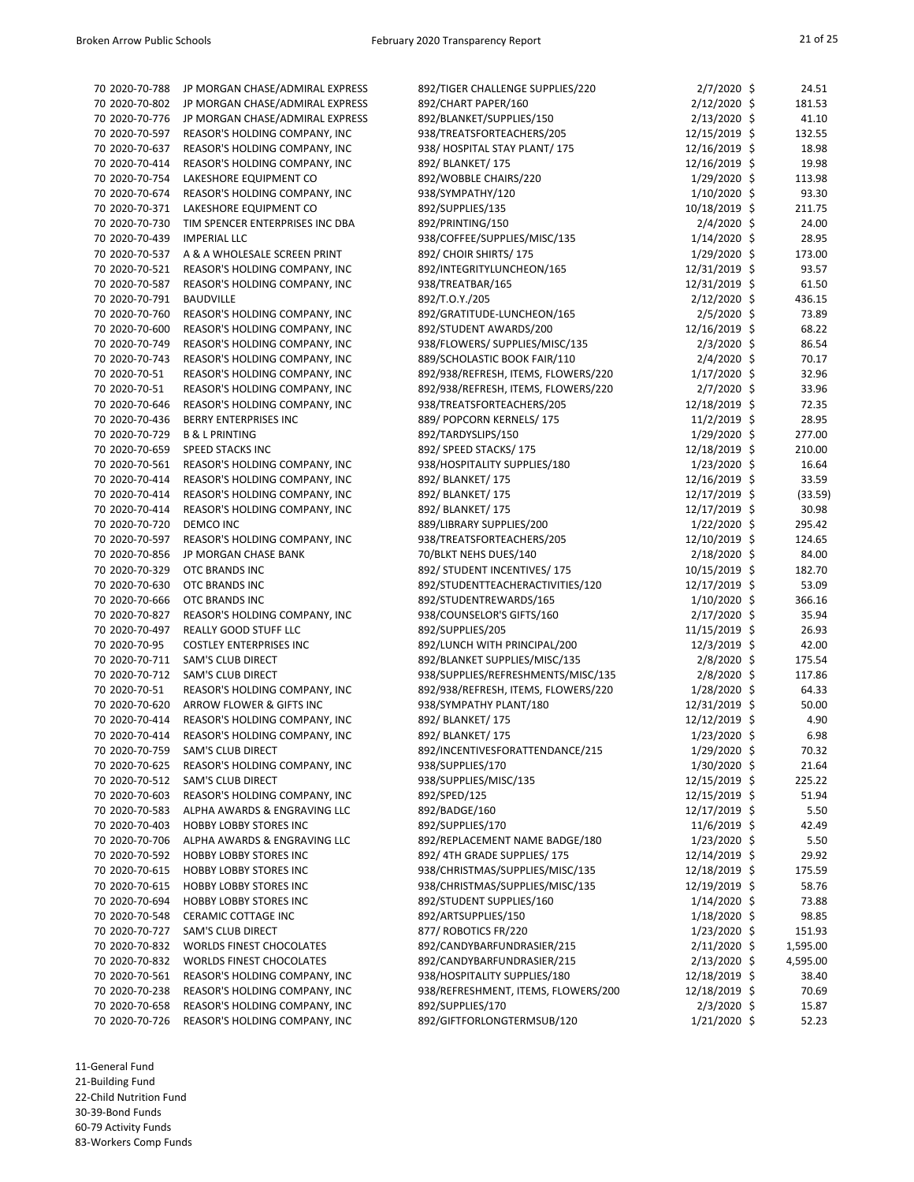| 70 2020-70-788 | JP MORGAN CHASE/ADMIRAL EXPRESS | 892/TIGER CHALLENGE SUPPLIES/220    | $2/7/2020$ \$  | 24.51    |
|----------------|---------------------------------|-------------------------------------|----------------|----------|
| 70 2020-70-802 | JP MORGAN CHASE/ADMIRAL EXPRESS | 892/CHART PAPER/160                 | $2/12/2020$ \$ | 181.53   |
| 70 2020-70-776 | JP MORGAN CHASE/ADMIRAL EXPRESS | 892/BLANKET/SUPPLIES/150            | 2/13/2020 \$   | 41.10    |
| 70 2020-70-597 | REASOR'S HOLDING COMPANY, INC   | 938/TREATSFORTEACHERS/205           | 12/15/2019 \$  | 132.55   |
| 70 2020-70-637 | REASOR'S HOLDING COMPANY, INC   | 938/ HOSPITAL STAY PLANT/ 175       | 12/16/2019 \$  | 18.98    |
| 70 2020-70-414 | REASOR'S HOLDING COMPANY, INC   | 892/ BLANKET/ 175                   | 12/16/2019 \$  | 19.98    |
| 70 2020-70-754 | LAKESHORE EQUIPMENT CO          | 892/WOBBLE CHAIRS/220               | $1/29/2020$ \$ | 113.98   |
| 70 2020-70-674 | REASOR'S HOLDING COMPANY, INC   | 938/SYMPATHY/120                    | $1/10/2020$ \$ | 93.30    |
| 70 2020-70-371 | LAKESHORE EQUIPMENT CO          | 892/SUPPLIES/135                    | 10/18/2019 \$  | 211.75   |
| 70 2020-70-730 | TIM SPENCER ENTERPRISES INC DBA | 892/PRINTING/150                    | $2/4/2020$ \$  | 24.00    |
| 70 2020-70-439 | <b>IMPERIAL LLC</b>             | 938/COFFEE/SUPPLIES/MISC/135        | $1/14/2020$ \$ | 28.95    |
| 70 2020-70-537 | A & A WHOLESALE SCREEN PRINT    | 892/ CHOIR SHIRTS/ 175              | $1/29/2020$ \$ | 173.00   |
| 70 2020-70-521 | REASOR'S HOLDING COMPANY, INC   | 892/INTEGRITYLUNCHEON/165           | 12/31/2019 \$  | 93.57    |
| 70 2020-70-587 | REASOR'S HOLDING COMPANY, INC   | 938/TREATBAR/165                    | 12/31/2019 \$  | 61.50    |
| 70 2020-70-791 | <b>BAUDVILLE</b>                | 892/T.O.Y./205                      | $2/12/2020$ \$ | 436.15   |
| 70 2020-70-760 | REASOR'S HOLDING COMPANY, INC   |                                     |                | 73.89    |
|                |                                 | 892/GRATITUDE-LUNCHEON/165          | $2/5/2020$ \$  |          |
| 70 2020-70-600 | REASOR'S HOLDING COMPANY, INC   | 892/STUDENT AWARDS/200              | 12/16/2019 \$  | 68.22    |
| 70 2020-70-749 | REASOR'S HOLDING COMPANY, INC   | 938/FLOWERS/ SUPPLIES/MISC/135      | $2/3/2020$ \$  | 86.54    |
| 70 2020-70-743 | REASOR'S HOLDING COMPANY, INC   | 889/SCHOLASTIC BOOK FAIR/110        | $2/4/2020$ \$  | 70.17    |
| 70 2020-70-51  | REASOR'S HOLDING COMPANY, INC   | 892/938/REFRESH, ITEMS, FLOWERS/220 | $1/17/2020$ \$ | 32.96    |
| 70 2020-70-51  | REASOR'S HOLDING COMPANY, INC   | 892/938/REFRESH, ITEMS, FLOWERS/220 | 2/7/2020 \$    | 33.96    |
| 70 2020-70-646 | REASOR'S HOLDING COMPANY, INC   | 938/TREATSFORTEACHERS/205           | 12/18/2019 \$  | 72.35    |
| 70 2020-70-436 | <b>BERRY ENTERPRISES INC</b>    | 889/ POPCORN KERNELS/175            | $11/2/2019$ \$ | 28.95    |
| 70 2020-70-729 | <b>B &amp; L PRINTING</b>       | 892/TARDYSLIPS/150                  | 1/29/2020 \$   | 277.00   |
| 70 2020-70-659 | <b>SPEED STACKS INC</b>         | 892/ SPEED STACKS/ 175              | 12/18/2019 \$  | 210.00   |
| 70 2020-70-561 | REASOR'S HOLDING COMPANY, INC   | 938/HOSPITALITY SUPPLIES/180        | $1/23/2020$ \$ | 16.64    |
| 70 2020-70-414 | REASOR'S HOLDING COMPANY, INC   | 892/ BLANKET/ 175                   | 12/16/2019 \$  | 33.59    |
| 70 2020-70-414 | REASOR'S HOLDING COMPANY, INC   | 892/ BLANKET/ 175                   | 12/17/2019 \$  | (33.59)  |
| 70 2020-70-414 | REASOR'S HOLDING COMPANY, INC   | 892/ BLANKET/ 175                   | 12/17/2019 \$  | 30.98    |
| 70 2020-70-720 | DEMCO INC                       | 889/LIBRARY SUPPLIES/200            | $1/22/2020$ \$ | 295.42   |
| 70 2020-70-597 | REASOR'S HOLDING COMPANY, INC   | 938/TREATSFORTEACHERS/205           | 12/10/2019 \$  | 124.65   |
| 70 2020-70-856 | JP MORGAN CHASE BANK            | 70/BLKT NEHS DUES/140               | 2/18/2020 \$   | 84.00    |
| 70 2020-70-329 | <b>OTC BRANDS INC</b>           | 892/ STUDENT INCENTIVES/ 175        | 10/15/2019 \$  | 182.70   |
| 70 2020-70-630 | <b>OTC BRANDS INC</b>           | 892/STUDENTTEACHERACTIVITIES/120    | 12/17/2019 \$  | 53.09    |
| 70 2020-70-666 | OTC BRANDS INC                  | 892/STUDENTREWARDS/165              | $1/10/2020$ \$ | 366.16   |
| 70 2020-70-827 | REASOR'S HOLDING COMPANY, INC   | 938/COUNSELOR'S GIFTS/160           | $2/17/2020$ \$ | 35.94    |
| 70 2020-70-497 | REALLY GOOD STUFF LLC           | 892/SUPPLIES/205                    | 11/15/2019 \$  | 26.93    |
| 70 2020-70-95  | <b>COSTLEY ENTERPRISES INC</b>  | 892/LUNCH WITH PRINCIPAL/200        | 12/3/2019 \$   | 42.00    |
| 70 2020-70-711 | <b>SAM'S CLUB DIRECT</b>        |                                     | 2/8/2020 \$    |          |
|                |                                 | 892/BLANKET SUPPLIES/MISC/135       |                | 175.54   |
| 70 2020-70-712 | <b>SAM'S CLUB DIRECT</b>        | 938/SUPPLIES/REFRESHMENTS/MISC/135  | $2/8/2020$ \$  | 117.86   |
| 70 2020-70-51  | REASOR'S HOLDING COMPANY, INC   | 892/938/REFRESH, ITEMS, FLOWERS/220 | 1/28/2020 \$   | 64.33    |
| 70 2020-70-620 | ARROW FLOWER & GIFTS INC        | 938/SYMPATHY PLANT/180              | 12/31/2019 \$  | 50.00    |
| 70 2020-70-414 | REASOR'S HOLDING COMPANY, INC   | 892/ BLANKET/ 175                   | 12/12/2019 \$  | 4.90     |
| 70 2020-70-414 | REASOR'S HOLDING COMPANY, INC   | 892/ BLANKET/ 175                   | $1/23/2020$ \$ | 6.98     |
| 70 2020-70-759 | <b>SAM'S CLUB DIRECT</b>        | 892/INCENTIVESFORATTENDANCE/215     | $1/29/2020$ \$ | 70.32    |
| 70 2020-70-625 | REASOR'S HOLDING COMPANY, INC   | 938/SUPPLIES/170                    | 1/30/2020 \$   | 21.64    |
| 70 2020-70-512 | <b>SAM'S CLUB DIRECT</b>        | 938/SUPPLIES/MISC/135               | 12/15/2019 \$  | 225.22   |
| 70 2020-70-603 | REASOR'S HOLDING COMPANY, INC   | 892/SPED/125                        | 12/15/2019 \$  | 51.94    |
| 70 2020-70-583 | ALPHA AWARDS & ENGRAVING LLC    | 892/BADGE/160                       | 12/17/2019 \$  | 5.50     |
| 70 2020-70-403 | <b>HOBBY LOBBY STORES INC</b>   | 892/SUPPLIES/170                    | $11/6/2019$ \$ | 42.49    |
| 70 2020-70-706 | ALPHA AWARDS & ENGRAVING LLC    | 892/REPLACEMENT NAME BADGE/180      | $1/23/2020$ \$ | 5.50     |
| 70 2020-70-592 | <b>HOBBY LOBBY STORES INC</b>   | 892/4TH GRADE SUPPLIES/175          | 12/14/2019 \$  | 29.92    |
| 70 2020-70-615 | <b>HOBBY LOBBY STORES INC</b>   | 938/CHRISTMAS/SUPPLIES/MISC/135     | 12/18/2019 \$  | 175.59   |
| 70 2020-70-615 | <b>HOBBY LOBBY STORES INC</b>   | 938/CHRISTMAS/SUPPLIES/MISC/135     | 12/19/2019 \$  | 58.76    |
| 70 2020-70-694 | <b>HOBBY LOBBY STORES INC</b>   | 892/STUDENT SUPPLIES/160            | $1/14/2020$ \$ | 73.88    |
| 70 2020-70-548 | <b>CERAMIC COTTAGE INC</b>      | 892/ARTSUPPLIES/150                 | $1/18/2020$ \$ | 98.85    |
| 70 2020-70-727 | <b>SAM'S CLUB DIRECT</b>        | 877/ ROBOTICS FR/220                | 1/23/2020 \$   | 151.93   |
| 70 2020-70-832 | WORLDS FINEST CHOCOLATES        | 892/CANDYBARFUNDRASIER/215          | $2/11/2020$ \$ | 1,595.00 |
| 70 2020-70-832 | <b>WORLDS FINEST CHOCOLATES</b> | 892/CANDYBARFUNDRASIER/215          | $2/13/2020$ \$ | 4,595.00 |
| 70 2020-70-561 | REASOR'S HOLDING COMPANY, INC   | 938/HOSPITALITY SUPPLIES/180        | 12/18/2019 \$  | 38.40    |
| 70 2020-70-238 | REASOR'S HOLDING COMPANY, INC   | 938/REFRESHMENT, ITEMS, FLOWERS/200 | 12/18/2019 \$  | 70.69    |
| 70 2020-70-658 | REASOR'S HOLDING COMPANY, INC   | 892/SUPPLIES/170                    | $2/3/2020$ \$  | 15.87    |
| 70 2020-70-726 | REASOR'S HOLDING COMPANY, INC   | 892/GIFTFORLONGTERMSUB/120          | $1/21/2020$ \$ | 52.23    |
|                |                                 |                                     |                |          |

11-General Fund

21-Building Fund

22-Child Nutrition Fund

30-39-Bond Funds

60-79 Activity Funds 83-Workers Comp Funds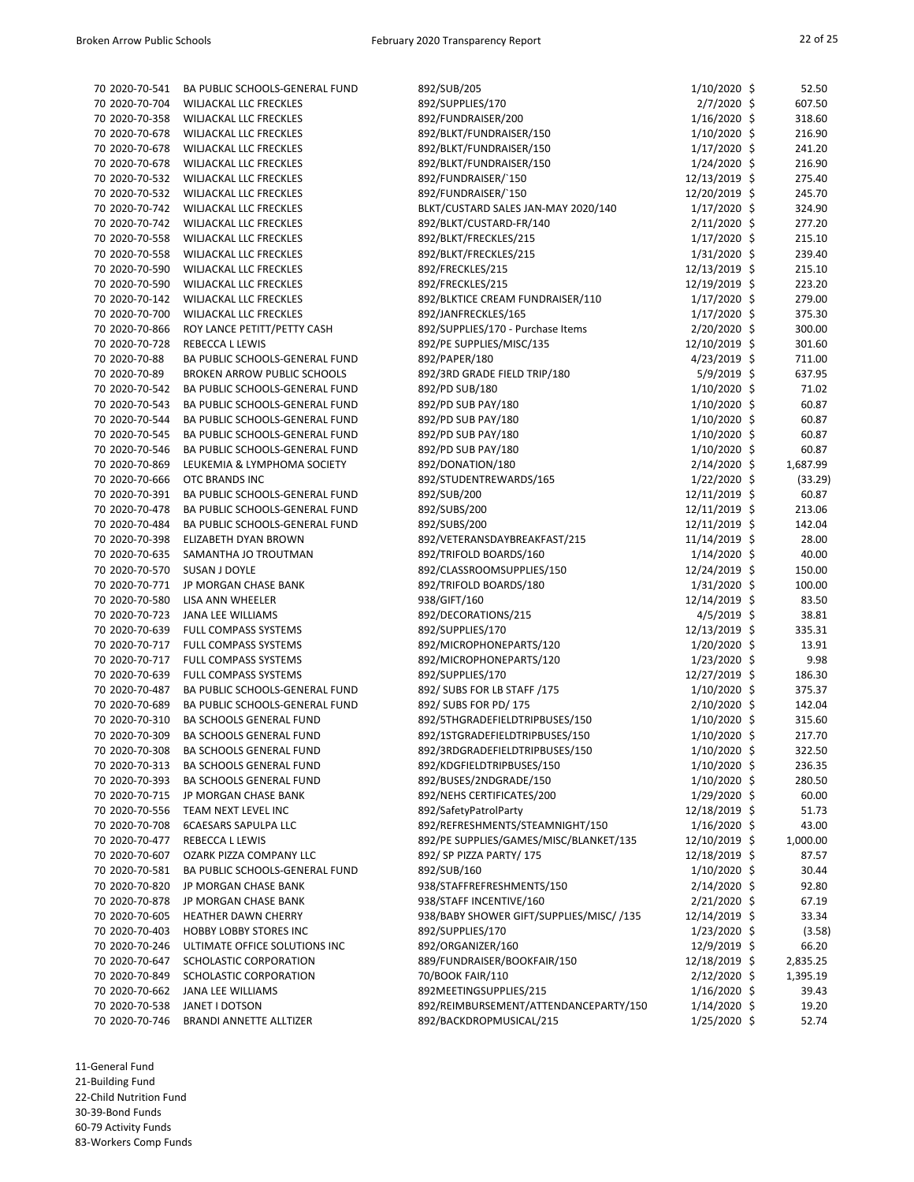| 70 2020-70-541 | BA PUBLIC SCHOOLS-GENERAL FUND     | 892/SUB/205                              | $1/10/2020$ \$  | 52.50    |
|----------------|------------------------------------|------------------------------------------|-----------------|----------|
| 70 2020-70-704 | <b>WILJACKAL LLC FRECKLES</b>      | 892/SUPPLIES/170                         | $2/7/2020$ \$   | 607.50   |
| 70 2020-70-358 | <b>WILJACKAL LLC FRECKLES</b>      | 892/FUNDRAISER/200                       | $1/16/2020$ \$  | 318.60   |
| 70 2020-70-678 | <b>WILJACKAL LLC FRECKLES</b>      | 892/BLKT/FUNDRAISER/150                  | $1/10/2020$ \$  | 216.90   |
| 70 2020-70-678 | <b>WILJACKAL LLC FRECKLES</b>      | 892/BLKT/FUNDRAISER/150                  | $1/17/2020$ \$  | 241.20   |
| 70 2020-70-678 | <b>WILJACKAL LLC FRECKLES</b>      | 892/BLKT/FUNDRAISER/150                  | $1/24/2020$ \$  | 216.90   |
| 70 2020-70-532 | WILJACKAL LLC FRECKLES             | 892/FUNDRAISER/`150                      | 12/13/2019 \$   | 275.40   |
| 70 2020-70-532 | WILJACKAL LLC FRECKLES             | 892/FUNDRAISER/`150                      | 12/20/2019 \$   | 245.70   |
| 70 2020-70-742 | <b>WILJACKAL LLC FRECKLES</b>      | BLKT/CUSTARD SALES JAN-MAY 2020/140      | $1/17/2020$ \$  | 324.90   |
| 70 2020-70-742 | <b>WILJACKAL LLC FRECKLES</b>      | 892/BLKT/CUSTARD-FR/140                  | $2/11/2020$ \$  | 277.20   |
| 70 2020-70-558 | WILJACKAL LLC FRECKLES             | 892/BLKT/FRECKLES/215                    | $1/17/2020$ \$  | 215.10   |
| 70 2020-70-558 | WILJACKAL LLC FRECKLES             | 892/BLKT/FRECKLES/215                    | $1/31/2020$ \$  | 239.40   |
| 70 2020-70-590 | <b>WILJACKAL LLC FRECKLES</b>      | 892/FRECKLES/215                         | 12/13/2019 \$   | 215.10   |
| 70 2020-70-590 | WILJACKAL LLC FRECKLES             | 892/FRECKLES/215                         | 12/19/2019 \$   | 223.20   |
| 70 2020-70-142 | <b>WILJACKAL LLC FRECKLES</b>      | 892/BLKTICE CREAM FUNDRAISER/110         | $1/17/2020$ \$  | 279.00   |
| 70 2020-70-700 | WILJACKAL LLC FRECKLES             | 892/JANFRECKLES/165                      | $1/17/2020$ \$  | 375.30   |
| 70 2020-70-866 | ROY LANCE PETITT/PETTY CASH        | 892/SUPPLIES/170 - Purchase Items        | 2/20/2020 \$    | 300.00   |
| 70 2020-70-728 | <b>REBECCA L LEWIS</b>             | 892/PE SUPPLIES/MISC/135                 | 12/10/2019 \$   | 301.60   |
| 70 2020-70-88  | BA PUBLIC SCHOOLS-GENERAL FUND     | 892/PAPER/180                            | $4/23/2019$ \$  | 711.00   |
| 70 2020-70-89  | <b>BROKEN ARROW PUBLIC SCHOOLS</b> | 892/3RD GRADE FIELD TRIP/180             | 5/9/2019 \$     | 637.95   |
| 70 2020-70-542 |                                    | 892/PD SUB/180                           |                 | 71.02    |
|                | BA PUBLIC SCHOOLS-GENERAL FUND     |                                          | $1/10/2020$ \$  |          |
| 70 2020-70-543 | BA PUBLIC SCHOOLS-GENERAL FUND     | 892/PD SUB PAY/180                       | $1/10/2020$ \$  | 60.87    |
| 70 2020-70-544 | BA PUBLIC SCHOOLS-GENERAL FUND     | 892/PD SUB PAY/180                       | $1/10/2020$ \$  | 60.87    |
| 70 2020-70-545 | BA PUBLIC SCHOOLS-GENERAL FUND     | 892/PD SUB PAY/180                       | $1/10/2020$ \$  | 60.87    |
| 70 2020-70-546 | BA PUBLIC SCHOOLS-GENERAL FUND     | 892/PD SUB PAY/180                       | $1/10/2020$ \$  | 60.87    |
| 70 2020-70-869 | LEUKEMIA & LYMPHOMA SOCIETY        | 892/DONATION/180                         | $2/14/2020$ \$  | 1,687.99 |
| 70 2020-70-666 | <b>OTC BRANDS INC</b>              | 892/STUDENTREWARDS/165                   | $1/22/2020$ \$  | (33.29)  |
| 70 2020-70-391 | BA PUBLIC SCHOOLS-GENERAL FUND     | 892/SUB/200                              | 12/11/2019 \$   | 60.87    |
| 70 2020-70-478 | BA PUBLIC SCHOOLS-GENERAL FUND     | 892/SUBS/200                             | 12/11/2019 \$   | 213.06   |
| 70 2020-70-484 | BA PUBLIC SCHOOLS-GENERAL FUND     | 892/SUBS/200                             | $12/11/2019$ \$ | 142.04   |
| 70 2020-70-398 | ELIZABETH DYAN BROWN               | 892/VETERANSDAYBREAKFAST/215             | 11/14/2019 \$   | 28.00    |
| 70 2020-70-635 | SAMANTHA JO TROUTMAN               | 892/TRIFOLD BOARDS/160                   | 1/14/2020 \$    | 40.00    |
| 70 2020-70-570 | <b>SUSAN J DOYLE</b>               | 892/CLASSROOMSUPPLIES/150                | 12/24/2019 \$   | 150.00   |
| 70 2020-70-771 | JP MORGAN CHASE BANK               | 892/TRIFOLD BOARDS/180                   | $1/31/2020$ \$  | 100.00   |
| 70 2020-70-580 | LISA ANN WHEELER                   | 938/GIFT/160                             | 12/14/2019 \$   | 83.50    |
| 70 2020-70-723 | JANA LEE WILLIAMS                  | 892/DECORATIONS/215                      | $4/5/2019$ \$   | 38.81    |
| 70 2020-70-639 | FULL COMPASS SYSTEMS               | 892/SUPPLIES/170                         | 12/13/2019 \$   | 335.31   |
| 70 2020-70-717 | <b>FULL COMPASS SYSTEMS</b>        | 892/MICROPHONEPARTS/120                  | $1/20/2020$ \$  | 13.91    |
| 70 2020-70-717 | FULL COMPASS SYSTEMS               | 892/MICROPHONEPARTS/120                  | $1/23/2020$ \$  | 9.98     |
| 70 2020-70-639 | FULL COMPASS SYSTEMS               | 892/SUPPLIES/170                         | 12/27/2019 \$   | 186.30   |
| 70 2020-70-487 | BA PUBLIC SCHOOLS-GENERAL FUND     | 892/ SUBS FOR LB STAFF /175              | $1/10/2020$ \$  | 375.37   |
| 70 2020-70-689 | BA PUBLIC SCHOOLS-GENERAL FUND     | 892/ SUBS FOR PD/ 175                    | $2/10/2020$ \$  | 142.04   |
| 70 2020-70-310 | BA SCHOOLS GENERAL FUND            | 892/5THGRADEFIELDTRIPBUSES/150           | $1/10/2020$ \$  | 315.60   |
| 70 2020-70-309 | BA SCHOOLS GENERAL FUND            | 892/1STGRADEFIELDTRIPBUSES/150           | $1/10/2020$ \$  | 217.70   |
| 70 2020-70-308 | BA SCHOOLS GENERAL FUND            | 892/3RDGRADEFIELDTRIPBUSES/150           | $1/10/2020$ \$  | 322.50   |
| 70 2020-70-313 | <b>BA SCHOOLS GENERAL FUND</b>     | 892/KDGFIELDTRIPBUSES/150                | $1/10/2020$ \$  | 236.35   |
| 70 2020-70-393 | BA SCHOOLS GENERAL FUND            | 892/BUSES/2NDGRADE/150                   | $1/10/2020$ \$  | 280.50   |
| 70 2020-70-715 | JP MORGAN CHASE BANK               | 892/NEHS CERTIFICATES/200                | $1/29/2020$ \$  | 60.00    |
| 70 2020-70-556 | TEAM NEXT LEVEL INC                | 892/SafetyPatrolParty                    | 12/18/2019 \$   | 51.73    |
| 70 2020-70-708 | <b>6CAESARS SAPULPA LLC</b>        | 892/REFRESHMENTS/STEAMNIGHT/150          | $1/16/2020$ \$  | 43.00    |
| 70 2020-70-477 | <b>REBECCA L LEWIS</b>             | 892/PE SUPPLIES/GAMES/MISC/BLANKET/135   | 12/10/2019 \$   | 1,000.00 |
| 70 2020-70-607 | OZARK PIZZA COMPANY LLC            | 892/ SP PIZZA PARTY/ 175                 | 12/18/2019 \$   | 87.57    |
| 70 2020-70-581 | BA PUBLIC SCHOOLS-GENERAL FUND     | 892/SUB/160                              | $1/10/2020$ \$  | 30.44    |
| 70 2020-70-820 | JP MORGAN CHASE BANK               | 938/STAFFREFRESHMENTS/150                | $2/14/2020$ \$  | 92.80    |
| 70 2020-70-878 | JP MORGAN CHASE BANK               | 938/STAFF INCENTIVE/160                  | $2/21/2020$ \$  | 67.19    |
| 70 2020-70-605 | <b>HEATHER DAWN CHERRY</b>         | 938/BABY SHOWER GIFT/SUPPLIES/MISC/ /135 | 12/14/2019 \$   | 33.34    |
| 70 2020-70-403 | <b>HOBBY LOBBY STORES INC</b>      | 892/SUPPLIES/170                         | $1/23/2020$ \$  | (3.58)   |
| 70 2020-70-246 | ULTIMATE OFFICE SOLUTIONS INC      | 892/ORGANIZER/160                        | 12/9/2019 \$    | 66.20    |
| 70 2020-70-647 | SCHOLASTIC CORPORATION             | 889/FUNDRAISER/BOOKFAIR/150              | 12/18/2019 \$   | 2,835.25 |
| 70 2020-70-849 | SCHOLASTIC CORPORATION             | 70/BOOK FAIR/110                         | $2/12/2020$ \$  | 1,395.19 |
| 70 2020-70-662 | <b>JANA LEE WILLIAMS</b>           | 892MEETINGSUPPLIES/215                   | 1/16/2020 \$    | 39.43    |
| 70 2020-70-538 | JANET I DOTSON                     | 892/REIMBURSEMENT/ATTENDANCEPARTY/150    | $1/14/2020$ \$  | 19.20    |
| 70 2020-70-746 | <b>BRANDI ANNETTE ALLTIZER</b>     | 892/BACKDROPMUSICAL/215                  | $1/25/2020$ \$  | 52.74    |

11-General Fund 21-Building Fund 22-Child Nutrition Fund 30-39-Bond Funds 60-79 Activity Funds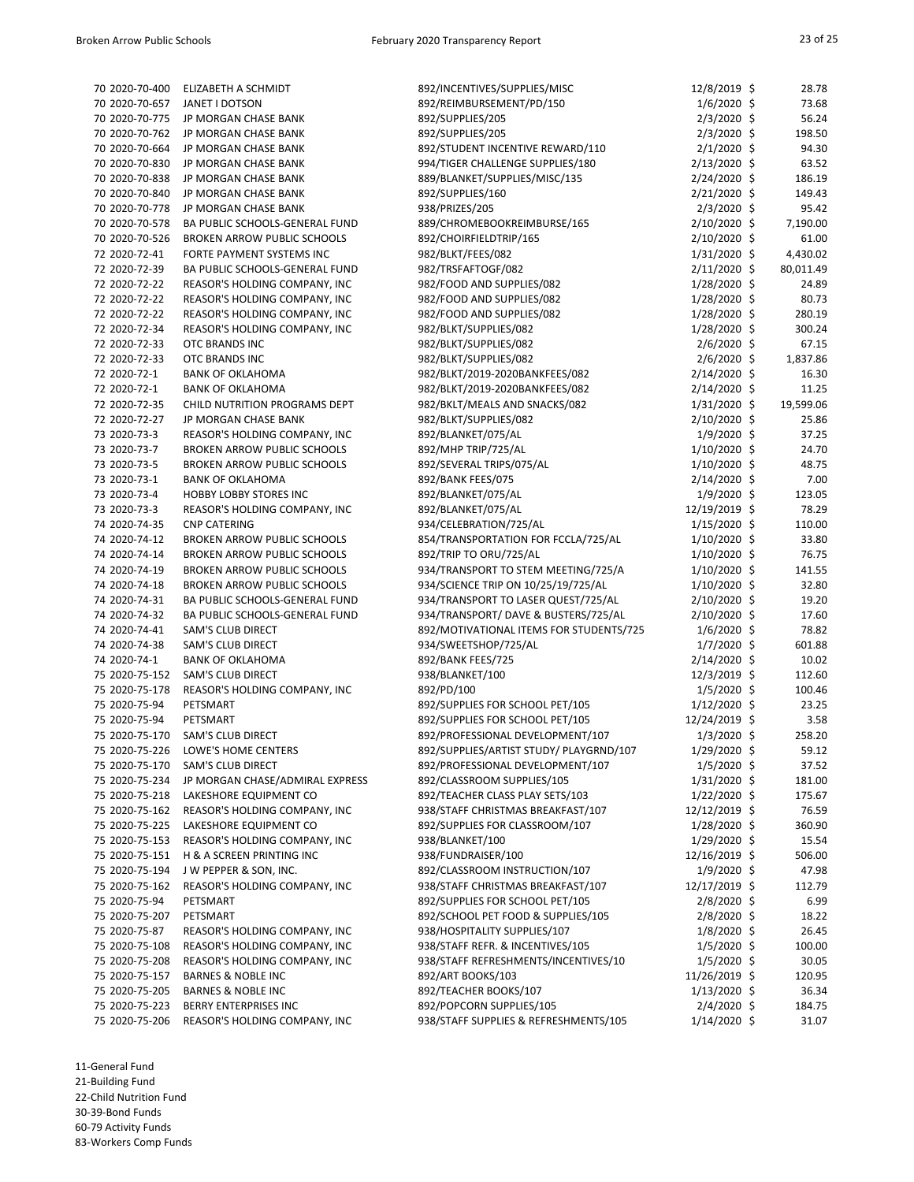| 70 2020-70-400 | ELIZABETH A SCHMIDT                | 892/INCENTIVES/SUPPLIES/MISC            | 12/8/2019 \$   | 28.78     |
|----------------|------------------------------------|-----------------------------------------|----------------|-----------|
| 70 2020-70-657 | JANET I DOTSON                     | 892/REIMBURSEMENT/PD/150                | $1/6/2020$ \$  | 73.68     |
| 70 2020-70-775 | JP MORGAN CHASE BANK               | 892/SUPPLIES/205                        | $2/3/2020$ \$  | 56.24     |
| 70 2020-70-762 | JP MORGAN CHASE BANK               | 892/SUPPLIES/205                        | $2/3/2020$ \$  | 198.50    |
| 70 2020-70-664 | JP MORGAN CHASE BANK               | 892/STUDENT INCENTIVE REWARD/110        | $2/1/2020$ \$  | 94.30     |
| 70 2020-70-830 | JP MORGAN CHASE BANK               | 994/TIGER CHALLENGE SUPPLIES/180        | 2/13/2020 \$   | 63.52     |
| 70 2020-70-838 | JP MORGAN CHASE BANK               | 889/BLANKET/SUPPLIES/MISC/135           | $2/24/2020$ \$ | 186.19    |
| 70 2020-70-840 |                                    | 892/SUPPLIES/160                        |                |           |
|                | JP MORGAN CHASE BANK               |                                         | 2/21/2020 \$   | 149.43    |
| 70 2020-70-778 | JP MORGAN CHASE BANK               | 938/PRIZES/205                          | $2/3/2020$ \$  | 95.42     |
| 70 2020-70-578 | BA PUBLIC SCHOOLS-GENERAL FUND     | 889/CHROMEBOOKREIMBURSE/165             | $2/10/2020$ \$ | 7,190.00  |
| 70 2020-70-526 | <b>BROKEN ARROW PUBLIC SCHOOLS</b> | 892/CHOIRFIELDTRIP/165                  | 2/10/2020 \$   | 61.00     |
| 72 2020-72-41  | FORTE PAYMENT SYSTEMS INC          | 982/BLKT/FEES/082                       | $1/31/2020$ \$ | 4,430.02  |
| 72 2020-72-39  | BA PUBLIC SCHOOLS-GENERAL FUND     | 982/TRSFAFTOGF/082                      | 2/11/2020 \$   | 80,011.49 |
| 72 2020-72-22  | REASOR'S HOLDING COMPANY, INC      | 982/FOOD AND SUPPLIES/082               | $1/28/2020$ \$ | 24.89     |
| 72 2020-72-22  | REASOR'S HOLDING COMPANY, INC      | 982/FOOD AND SUPPLIES/082               | $1/28/2020$ \$ | 80.73     |
| 72 2020-72-22  | REASOR'S HOLDING COMPANY, INC      | 982/FOOD AND SUPPLIES/082               | $1/28/2020$ \$ | 280.19    |
| 72 2020-72-34  | REASOR'S HOLDING COMPANY, INC      | 982/BLKT/SUPPLIES/082                   | 1/28/2020 \$   | 300.24    |
| 72 2020-72-33  | OTC BRANDS INC                     | 982/BLKT/SUPPLIES/082                   | $2/6/2020$ \$  | 67.15     |
| 72 2020-72-33  | OTC BRANDS INC                     | 982/BLKT/SUPPLIES/082                   | $2/6/2020$ \$  | 1,837.86  |
| 72 2020-72-1   | <b>BANK OF OKLAHOMA</b>            | 982/BLKT/2019-2020BANKFEES/082          | $2/14/2020$ \$ | 16.30     |
| 72 2020-72-1   | <b>BANK OF OKLAHOMA</b>            | 982/BLKT/2019-2020BANKFEES/082          | $2/14/2020$ \$ | 11.25     |
| 72 2020-72-35  | CHILD NUTRITION PROGRAMS DEPT      | 982/BKLT/MEALS AND SNACKS/082           | $1/31/2020$ \$ | 19,599.06 |
| 72 2020-72-27  | JP MORGAN CHASE BANK               | 982/BLKT/SUPPLIES/082                   | $2/10/2020$ \$ | 25.86     |
| 73 2020-73-3   | REASOR'S HOLDING COMPANY, INC      | 892/BLANKET/075/AL                      | $1/9/2020$ \$  | 37.25     |
|                |                                    |                                         |                |           |
| 73 2020-73-7   | <b>BROKEN ARROW PUBLIC SCHOOLS</b> | 892/MHP TRIP/725/AL                     | $1/10/2020$ \$ | 24.70     |
| 73 2020-73-5   | <b>BROKEN ARROW PUBLIC SCHOOLS</b> | 892/SEVERAL TRIPS/075/AL                | $1/10/2020$ \$ | 48.75     |
| 73 2020-73-1   | <b>BANK OF OKLAHOMA</b>            | 892/BANK FEES/075                       | 2/14/2020 \$   | 7.00      |
| 73 2020-73-4   | <b>HOBBY LOBBY STORES INC</b>      | 892/BLANKET/075/AL                      | $1/9/2020$ \$  | 123.05    |
| 73 2020-73-3   | REASOR'S HOLDING COMPANY, INC      | 892/BLANKET/075/AL                      | 12/19/2019 \$  | 78.29     |
| 74 2020-74-35  | <b>CNP CATERING</b>                | 934/CELEBRATION/725/AL                  | $1/15/2020$ \$ | 110.00    |
| 74 2020-74-12  | <b>BROKEN ARROW PUBLIC SCHOOLS</b> | 854/TRANSPORTATION FOR FCCLA/725/AL     | $1/10/2020$ \$ | 33.80     |
| 74 2020-74-14  | <b>BROKEN ARROW PUBLIC SCHOOLS</b> | 892/TRIP TO ORU/725/AL                  | $1/10/2020$ \$ | 76.75     |
| 74 2020-74-19  | <b>BROKEN ARROW PUBLIC SCHOOLS</b> | 934/TRANSPORT TO STEM MEETING/725/A     | $1/10/2020$ \$ | 141.55    |
| 74 2020-74-18  | <b>BROKEN ARROW PUBLIC SCHOOLS</b> | 934/SCIENCE TRIP ON 10/25/19/725/AL     | $1/10/2020$ \$ | 32.80     |
| 74 2020-74-31  | BA PUBLIC SCHOOLS-GENERAL FUND     | 934/TRANSPORT TO LASER QUEST/725/AL     | 2/10/2020 \$   | 19.20     |
| 74 2020-74-32  | BA PUBLIC SCHOOLS-GENERAL FUND     | 934/TRANSPORT/ DAVE & BUSTERS/725/AL    | 2/10/2020 \$   | 17.60     |
| 74 2020-74-41  | <b>SAM'S CLUB DIRECT</b>           | 892/MOTIVATIONAL ITEMS FOR STUDENTS/725 | $1/6/2020$ \$  | 78.82     |
| 74 2020-74-38  | <b>SAM'S CLUB DIRECT</b>           | 934/SWEETSHOP/725/AL                    | $1/7/2020$ \$  | 601.88    |
| 74 2020-74-1   | <b>BANK OF OKLAHOMA</b>            | 892/BANK FEES/725                       | 2/14/2020 \$   | 10.02     |
| 75 2020-75-152 | <b>SAM'S CLUB DIRECT</b>           | 938/BLANKET/100                         | $12/3/2019$ \$ | 112.60    |
| 75 2020-75-178 | REASOR'S HOLDING COMPANY, INC      | 892/PD/100                              | $1/5/2020$ \$  | 100.46    |
| 75 2020-75-94  | PETSMART                           | 892/SUPPLIES FOR SCHOOL PET/105         | $1/12/2020$ \$ | 23.25     |
| 75 2020-75-94  | PETSMART                           | 892/SUPPLIES FOR SCHOOL PET/105         | 12/24/2019 \$  | 3.58      |
| 75 2020-75-170 | <b>SAM'S CLUB DIRECT</b>           | 892/PROFESSIONAL DEVELOPMENT/107        | $1/3/2020$ \$  | 258.20    |
| 75 2020-75-226 | LOWE'S HOME CENTERS                |                                         |                | 59.12     |
|                |                                    | 892/SUPPLIES/ARTIST STUDY/ PLAYGRND/107 | $1/29/2020$ \$ |           |
| 75 2020-75-170 | <b>SAM'S CLUB DIRECT</b>           | 892/PROFESSIONAL DEVELOPMENT/107        | $1/5/2020$ \$  | 37.52     |
| 75 2020-75-234 | JP MORGAN CHASE/ADMIRAL EXPRESS    | 892/CLASSROOM SUPPLIES/105              | 1/31/2020 \$   | 181.00    |
| 75 2020-75-218 | LAKESHORE EQUIPMENT CO             | 892/TEACHER CLASS PLAY SETS/103         | $1/22/2020$ \$ | 175.67    |
| 75 2020-75-162 | REASOR'S HOLDING COMPANY, INC      | 938/STAFF CHRISTMAS BREAKFAST/107       | 12/12/2019 \$  | 76.59     |
| 75 2020-75-225 | LAKESHORE EQUIPMENT CO             | 892/SUPPLIES FOR CLASSROOM/107          | $1/28/2020$ \$ | 360.90    |
| 75 2020-75-153 | REASOR'S HOLDING COMPANY, INC      | 938/BLANKET/100                         | $1/29/2020$ \$ | 15.54     |
| 75 2020-75-151 | H & A SCREEN PRINTING INC          | 938/FUNDRAISER/100                      | 12/16/2019 \$  | 506.00    |
| 75 2020-75-194 | J W PEPPER & SON, INC.             | 892/CLASSROOM INSTRUCTION/107           | $1/9/2020$ \$  | 47.98     |
| 75 2020-75-162 | REASOR'S HOLDING COMPANY, INC      | 938/STAFF CHRISTMAS BREAKFAST/107       | 12/17/2019 \$  | 112.79    |
| 75 2020-75-94  | PETSMART                           | 892/SUPPLIES FOR SCHOOL PET/105         | $2/8/2020$ \$  | 6.99      |
| 75 2020-75-207 | PETSMART                           | 892/SCHOOL PET FOOD & SUPPLIES/105      | $2/8/2020$ \$  | 18.22     |
| 75 2020-75-87  | REASOR'S HOLDING COMPANY, INC      | 938/HOSPITALITY SUPPLIES/107            | $1/8/2020$ \$  | 26.45     |
| 75 2020-75-108 | REASOR'S HOLDING COMPANY, INC      | 938/STAFF REFR. & INCENTIVES/105        | $1/5/2020$ \$  | 100.00    |
| 75 2020-75-208 | REASOR'S HOLDING COMPANY, INC      | 938/STAFF REFRESHMENTS/INCENTIVES/10    | $1/5/2020$ \$  | 30.05     |
| 75 2020-75-157 | <b>BARNES &amp; NOBLE INC</b>      | 892/ART BOOKS/103                       | 11/26/2019 \$  | 120.95    |
| 75 2020-75-205 | <b>BARNES &amp; NOBLE INC</b>      | 892/TEACHER BOOKS/107                   | $1/13/2020$ \$ | 36.34     |
| 75 2020-75-223 | <b>BERRY ENTERPRISES INC</b>       | 892/POPCORN SUPPLIES/105                | $2/4/2020$ \$  | 184.75    |
| 75 2020-75-206 | REASOR'S HOLDING COMPANY, INC      | 938/STAFF SUPPLIES & REFRESHMENTS/105   | 1/14/2020 \$   | 31.07     |
|                |                                    |                                         |                |           |

11-General Fund

21-Building Fund 22-Child Nutrition Fund

30-39-Bond Funds

60-79 Activity Funds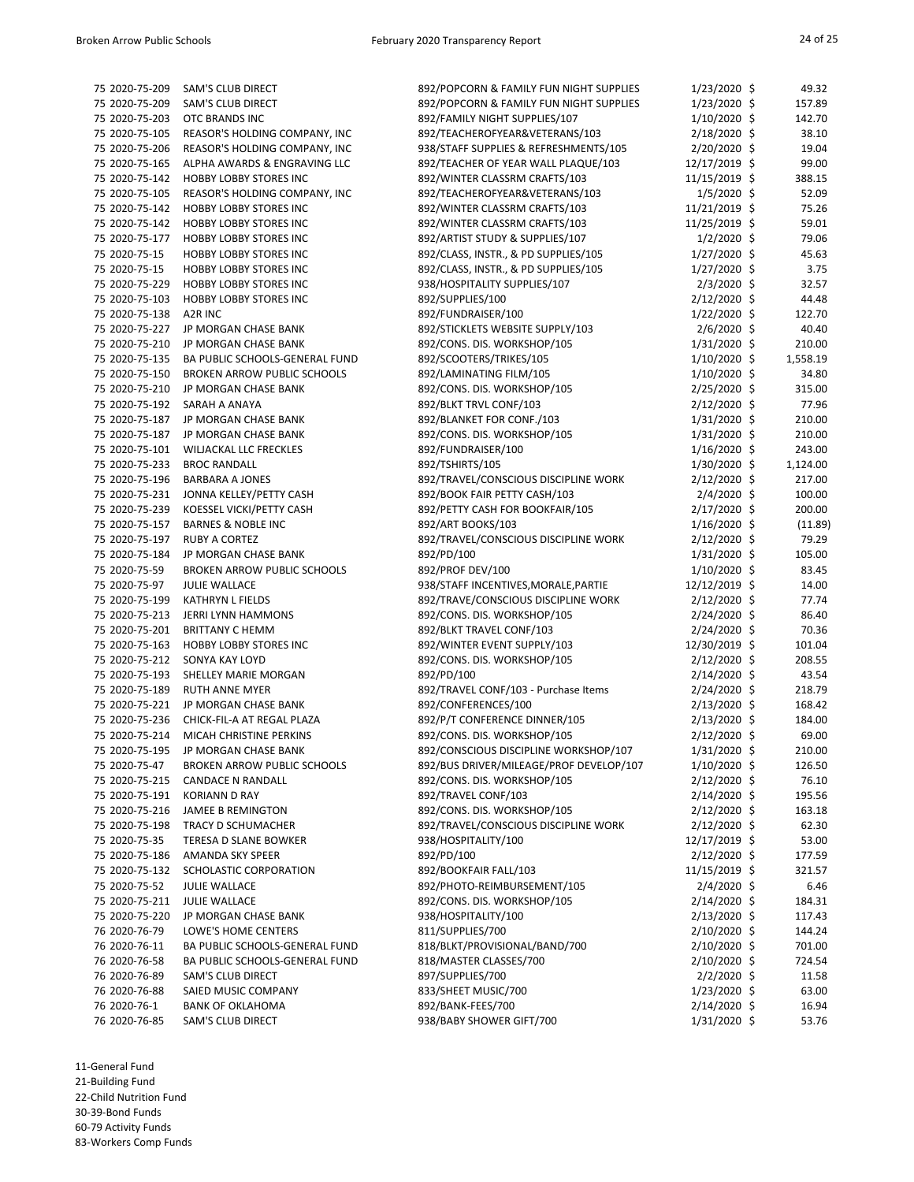| 75 2020-75-209 | <b>SAM'S CLUB DIRECT</b>            | 892/POPCORN & FAMILY FUN NIGHT SUPPLIES | $1/23/2020$ \$ | 49.32    |
|----------------|-------------------------------------|-----------------------------------------|----------------|----------|
| 75 2020-75-209 | <b>SAM'S CLUB DIRECT</b>            | 892/POPCORN & FAMILY FUN NIGHT SUPPLIES | $1/23/2020$ \$ | 157.89   |
| 75 2020-75-203 | OTC BRANDS INC                      | 892/FAMILY NIGHT SUPPLIES/107           | $1/10/2020$ \$ | 142.70   |
| 75 2020-75-105 | REASOR'S HOLDING COMPANY, INC       | 892/TEACHEROFYEAR&VETERANS/103          | 2/18/2020 \$   | 38.10    |
| 75 2020-75-206 | REASOR'S HOLDING COMPANY, INC       | 938/STAFF SUPPLIES & REFRESHMENTS/105   | 2/20/2020 \$   | 19.04    |
| 75 2020-75-165 | ALPHA AWARDS & ENGRAVING LLC        | 892/TEACHER OF YEAR WALL PLAQUE/103     | 12/17/2019 \$  | 99.00    |
| 75 2020-75-142 | <b>HOBBY LOBBY STORES INC</b>       | 892/WINTER CLASSRM CRAFTS/103           | 11/15/2019 \$  | 388.15   |
| 75 2020-75-105 | REASOR'S HOLDING COMPANY, INC       | 892/TEACHEROFYEAR&VETERANS/103          | $1/5/2020$ \$  | 52.09    |
| 75 2020-75-142 | <b>HOBBY LOBBY STORES INC</b>       | 892/WINTER CLASSRM CRAFTS/103           | 11/21/2019 \$  | 75.26    |
| 75 2020-75-142 | <b>HOBBY LOBBY STORES INC</b>       | 892/WINTER CLASSRM CRAFTS/103           | 11/25/2019 \$  | 59.01    |
| 75 2020-75-177 | <b>HOBBY LOBBY STORES INC</b>       | 892/ARTIST STUDY & SUPPLIES/107         | $1/2/2020$ \$  | 79.06    |
| 75 2020-75-15  | <b>HOBBY LOBBY STORES INC</b>       | 892/CLASS, INSTR., & PD SUPPLIES/105    | $1/27/2020$ \$ | 45.63    |
| 75 2020-75-15  | <b>HOBBY LOBBY STORES INC</b>       | 892/CLASS, INSTR., & PD SUPPLIES/105    | $1/27/2020$ \$ | 3.75     |
| 75 2020-75-229 | <b>HOBBY LOBBY STORES INC</b>       | 938/HOSPITALITY SUPPLIES/107            | $2/3/2020$ \$  | 32.57    |
| 75 2020-75-103 | <b>HOBBY LOBBY STORES INC</b>       | 892/SUPPLIES/100                        | 2/12/2020 \$   | 44.48    |
| 75 2020-75-138 | A2R INC                             | 892/FUNDRAISER/100                      | $1/22/2020$ \$ | 122.70   |
| 75 2020-75-227 | JP MORGAN CHASE BANK                | 892/STICKLETS WEBSITE SUPPLY/103        | $2/6/2020$ \$  | 40.40    |
| 75 2020-75-210 | JP MORGAN CHASE BANK                | 892/CONS. DIS. WORKSHOP/105             | 1/31/2020 \$   | 210.00   |
| 75 2020-75-135 | BA PUBLIC SCHOOLS-GENERAL FUND      | 892/SCOOTERS/TRIKES/105                 | $1/10/2020$ \$ | 1,558.19 |
| 75 2020-75-150 | <b>BROKEN ARROW PUBLIC SCHOOLS</b>  | 892/LAMINATING FILM/105                 | $1/10/2020$ \$ | 34.80    |
| 75 2020-75-210 | JP MORGAN CHASE BANK                | 892/CONS. DIS. WORKSHOP/105             | $2/25/2020$ \$ | 315.00   |
| 75 2020-75-192 | SARAH A ANAYA                       | 892/BLKT TRVL CONF/103                  | $2/12/2020$ \$ | 77.96    |
| 75 2020-75-187 | JP MORGAN CHASE BANK                | 892/BLANKET FOR CONF./103               | $1/31/2020$ \$ | 210.00   |
| 75 2020-75-187 | JP MORGAN CHASE BANK                | 892/CONS. DIS. WORKSHOP/105             | $1/31/2020$ \$ | 210.00   |
| 75 2020-75-101 | <b>WILJACKAL LLC FRECKLES</b>       | 892/FUNDRAISER/100                      |                |          |
| 75 2020-75-233 |                                     |                                         | $1/16/2020$ \$ | 243.00   |
|                | <b>BROC RANDALL</b>                 | 892/TSHIRTS/105                         | 1/30/2020 \$   | 1,124.00 |
| 75 2020-75-196 | <b>BARBARA A JONES</b>              | 892/TRAVEL/CONSCIOUS DISCIPLINE WORK    | $2/12/2020$ \$ | 217.00   |
| 75 2020-75-231 | JONNA KELLEY/PETTY CASH             | 892/BOOK FAIR PETTY CASH/103            | $2/4/2020$ \$  | 100.00   |
| 75 2020-75-239 | KOESSEL VICKI/PETTY CASH            | 892/PETTY CASH FOR BOOKFAIR/105         | $2/17/2020$ \$ | 200.00   |
| 75 2020-75-157 | <b>BARNES &amp; NOBLE INC</b>       | 892/ART BOOKS/103                       | $1/16/2020$ \$ | (11.89)  |
| 75 2020-75-197 | <b>RUBY A CORTEZ</b>                | 892/TRAVEL/CONSCIOUS DISCIPLINE WORK    | 2/12/2020 \$   | 79.29    |
|                | 75 2020-75-184 JP MORGAN CHASE BANK | 892/PD/100                              | 1/31/2020 \$   | 105.00   |
| 75 2020-75-59  | <b>BROKEN ARROW PUBLIC SCHOOLS</b>  | 892/PROF DEV/100                        | $1/10/2020$ \$ | 83.45    |
| 75 2020-75-97  | <b>JULIE WALLACE</b>                | 938/STAFF INCENTIVES, MORALE, PARTIE    | 12/12/2019 \$  | 14.00    |
| 75 2020-75-199 | <b>KATHRYN L FIELDS</b>             | 892/TRAVE/CONSCIOUS DISCIPLINE WORK     | $2/12/2020$ \$ | 77.74    |
| 75 2020-75-213 | <b>JERRI LYNN HAMMONS</b>           | 892/CONS. DIS. WORKSHOP/105             | $2/24/2020$ \$ | 86.40    |
| 75 2020-75-201 | <b>BRITTANY C HEMM</b>              | 892/BLKT TRAVEL CONF/103                | $2/24/2020$ \$ | 70.36    |
| 75 2020-75-163 | <b>HOBBY LOBBY STORES INC</b>       | 892/WINTER EVENT SUPPLY/103             | 12/30/2019 \$  | 101.04   |
| 75 2020-75-212 | SONYA KAY LOYD                      | 892/CONS. DIS. WORKSHOP/105             | 2/12/2020 \$   | 208.55   |
| 75 2020-75-193 | <b>SHELLEY MARIE MORGAN</b>         | 892/PD/100                              | $2/14/2020$ \$ | 43.54    |
| 75 2020-75-189 | <b>RUTH ANNE MYER</b>               | 892/TRAVEL CONF/103 - Purchase Items    | $2/24/2020$ \$ | 218.79   |
| 75 2020-75-221 | JP MORGAN CHASE BANK                | 892/CONFERENCES/100                     | $2/13/2020$ \$ | 168.42   |
| 75 2020-75-236 | CHICK-FIL-A AT REGAL PLAZA          | 892/P/T CONFERENCE DINNER/105           | $2/13/2020$ \$ | 184.00   |
| 75 2020-75-214 | MICAH CHRISTINE PERKINS             | 892/CONS. DIS. WORKSHOP/105             | $2/12/2020$ \$ | 69.00    |
| 75 2020-75-195 | JP MORGAN CHASE BANK                | 892/CONSCIOUS DISCIPLINE WORKSHOP/107   | $1/31/2020$ \$ | 210.00   |
| 75 2020-75-47  | <b>BROKEN ARROW PUBLIC SCHOOLS</b>  | 892/BUS DRIVER/MILEAGE/PROF DEVELOP/107 | $1/10/2020$ \$ | 126.50   |
| 75 2020-75-215 | <b>CANDACE N RANDALL</b>            | 892/CONS. DIS. WORKSHOP/105             | $2/12/2020$ \$ | 76.10    |
| 75 2020-75-191 | <b>KORIANN D RAY</b>                | 892/TRAVEL CONF/103                     | $2/14/2020$ \$ | 195.56   |
| 75 2020-75-216 | <b>JAMEE B REMINGTON</b>            | 892/CONS. DIS. WORKSHOP/105             | $2/12/2020$ \$ | 163.18   |
| 75 2020-75-198 | TRACY D SCHUMACHER                  | 892/TRAVEL/CONSCIOUS DISCIPLINE WORK    | $2/12/2020$ \$ | 62.30    |
| 75 2020-75-35  | <b>TERESA D SLANE BOWKER</b>        | 938/HOSPITALITY/100                     | 12/17/2019 \$  | 53.00    |
| 75 2020-75-186 | AMANDA SKY SPEER                    | 892/PD/100                              | $2/12/2020$ \$ | 177.59   |
| 75 2020-75-132 | SCHOLASTIC CORPORATION              | 892/BOOKFAIR FALL/103                   | 11/15/2019 \$  | 321.57   |
| 75 2020-75-52  | <b>JULIE WALLACE</b>                | 892/PHOTO-REIMBURSEMENT/105             | $2/4/2020$ \$  | 6.46     |
| 75 2020-75-211 | <b>JULIE WALLACE</b>                | 892/CONS. DIS. WORKSHOP/105             | $2/14/2020$ \$ | 184.31   |
| 75 2020-75-220 | JP MORGAN CHASE BANK                | 938/HOSPITALITY/100                     | 2/13/2020 \$   | 117.43   |
| 76 2020-76-79  | LOWE'S HOME CENTERS                 | 811/SUPPLIES/700                        | $2/10/2020$ \$ | 144.24   |
| 76 2020-76-11  | BA PUBLIC SCHOOLS-GENERAL FUND      | 818/BLKT/PROVISIONAL/BAND/700           | $2/10/2020$ \$ | 701.00   |
| 76 2020-76-58  | BA PUBLIC SCHOOLS-GENERAL FUND      | 818/MASTER CLASSES/700                  | $2/10/2020$ \$ | 724.54   |
| 76 2020-76-89  | <b>SAM'S CLUB DIRECT</b>            | 897/SUPPLIES/700                        | $2/2/2020$ \$  | 11.58    |
| 76 2020-76-88  | SAIED MUSIC COMPANY                 | 833/SHEET MUSIC/700                     | $1/23/2020$ \$ | 63.00    |
| 76 2020-76-1   | <b>BANK OF OKLAHOMA</b>             | 892/BANK-FEES/700                       | $2/14/2020$ \$ | 16.94    |
| 76 2020-76-85  | <b>SAM'S CLUB DIRECT</b>            | 938/BABY SHOWER GIFT/700                | $1/31/2020$ \$ | 53.76    |

11-General Fund

21-Building Fund

22-Child Nutrition Fund

30-39-Bond Funds 60-79 Activity Funds